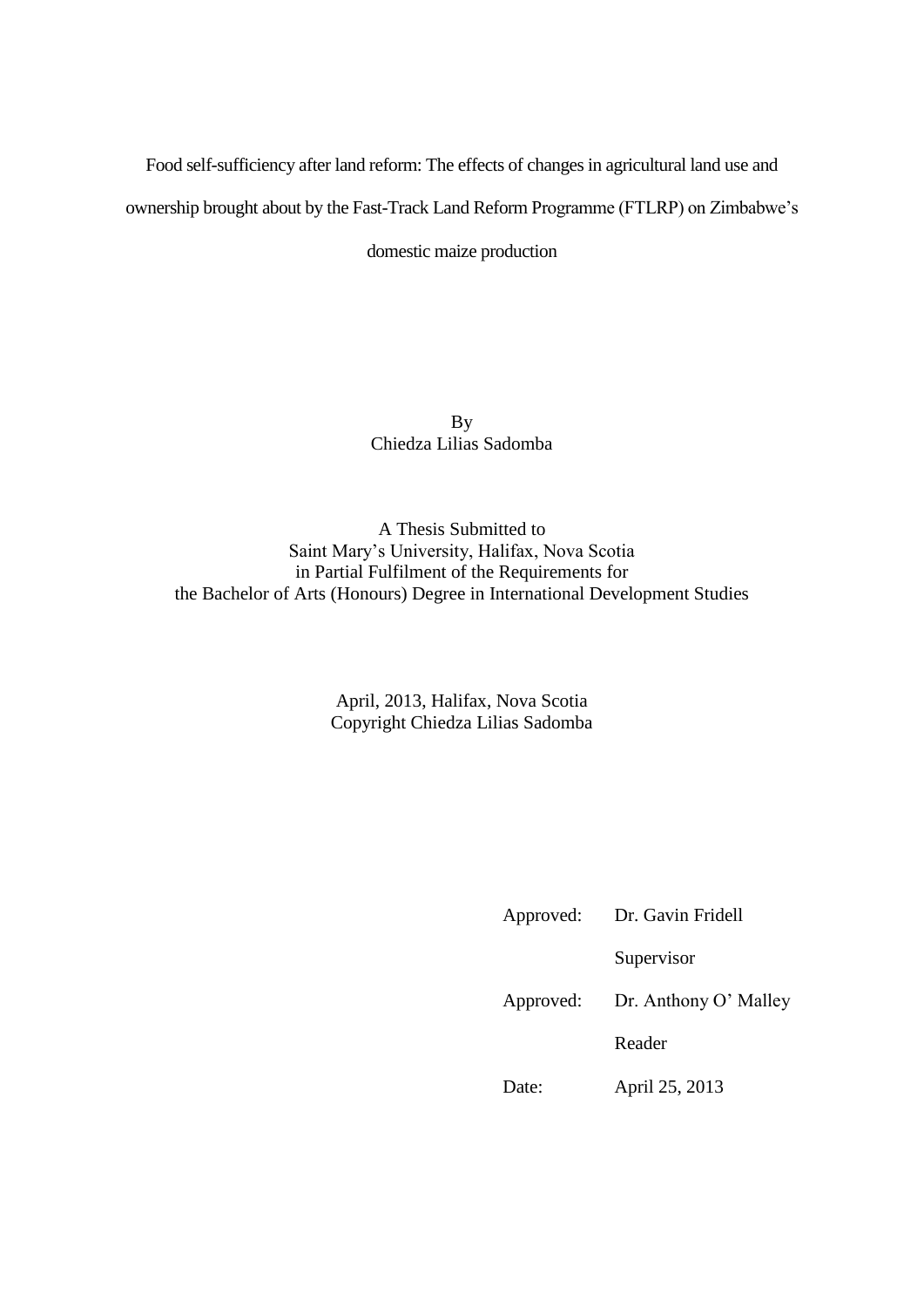Food self-sufficiency after land reform: The effects of changes in agricultural land use and

ownership brought about by the Fast-Track Land Reform Programme (FTLRP) on Zimbabwe's

domestic maize production

By Chiedza Lilias Sadomba

A Thesis Submitted to Saint Mary's University, Halifax, Nova Scotia in Partial Fulfilment of the Requirements for the Bachelor of Arts (Honours) Degree in International Development Studies

> April, 2013, Halifax, Nova Scotia Copyright Chiedza Lilias Sadomba

| Approved: | Dr. Gavin Fridell     |  |
|-----------|-----------------------|--|
|           | Supervisor            |  |
| Approved: | Dr. Anthony O' Malley |  |
|           | Reader                |  |
| Date:     | April 25, 2013        |  |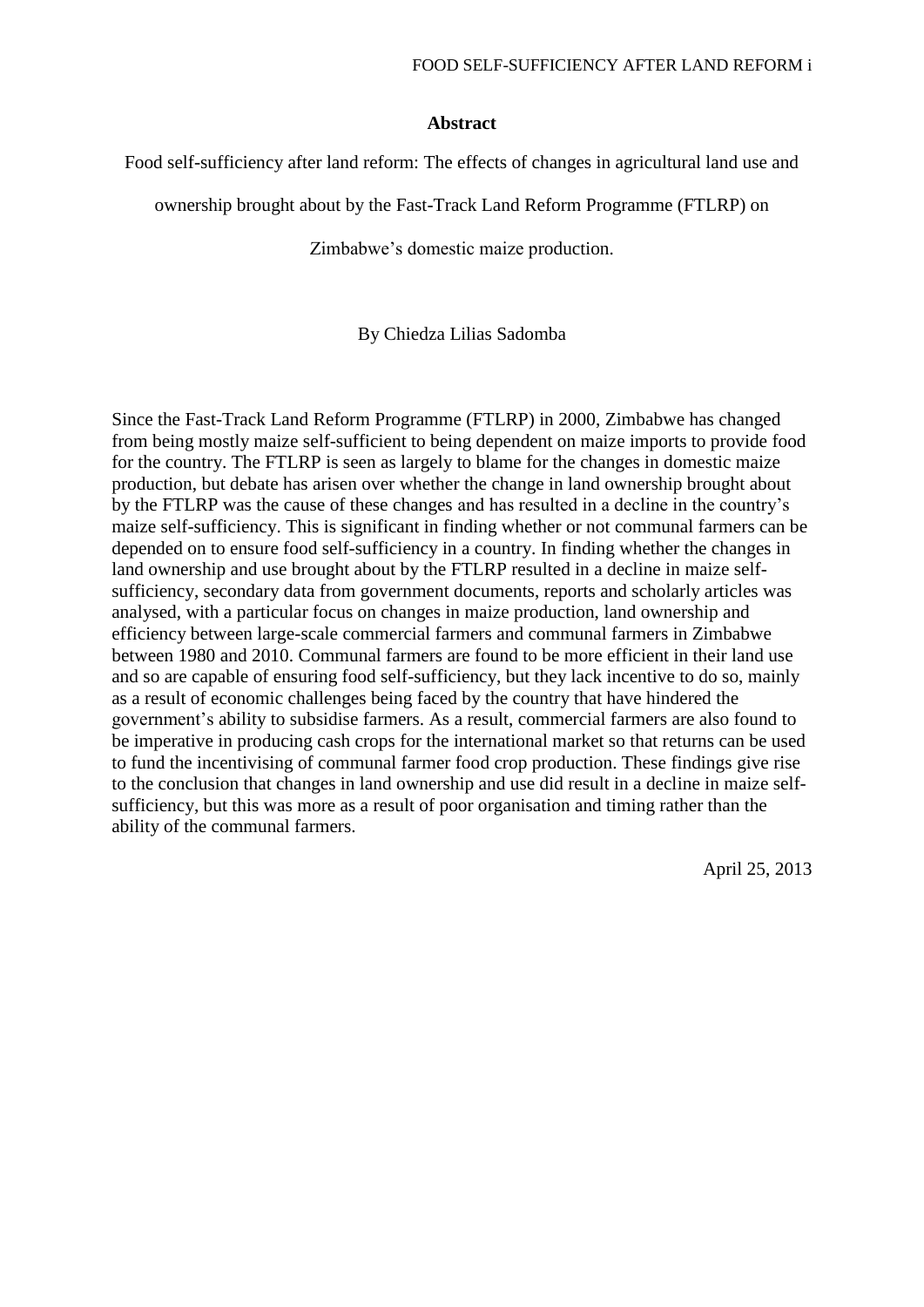## **Abstract**

Food self-sufficiency after land reform: The effects of changes in agricultural land use and

ownership brought about by the Fast-Track Land Reform Programme (FTLRP) on

Zimbabwe's domestic maize production.

By Chiedza Lilias Sadomba

Since the Fast-Track Land Reform Programme (FTLRP) in 2000, Zimbabwe has changed from being mostly maize self-sufficient to being dependent on maize imports to provide food for the country. The FTLRP is seen as largely to blame for the changes in domestic maize production, but debate has arisen over whether the change in land ownership brought about by the FTLRP was the cause of these changes and has resulted in a decline in the country's maize self-sufficiency. This is significant in finding whether or not communal farmers can be depended on to ensure food self-sufficiency in a country. In finding whether the changes in land ownership and use brought about by the FTLRP resulted in a decline in maize selfsufficiency, secondary data from government documents, reports and scholarly articles was analysed, with a particular focus on changes in maize production, land ownership and efficiency between large-scale commercial farmers and communal farmers in Zimbabwe between 1980 and 2010. Communal farmers are found to be more efficient in their land use and so are capable of ensuring food self-sufficiency, but they lack incentive to do so, mainly as a result of economic challenges being faced by the country that have hindered the government's ability to subsidise farmers. As a result, commercial farmers are also found to be imperative in producing cash crops for the international market so that returns can be used to fund the incentivising of communal farmer food crop production. These findings give rise to the conclusion that changes in land ownership and use did result in a decline in maize selfsufficiency, but this was more as a result of poor organisation and timing rather than the ability of the communal farmers.

April 25, 2013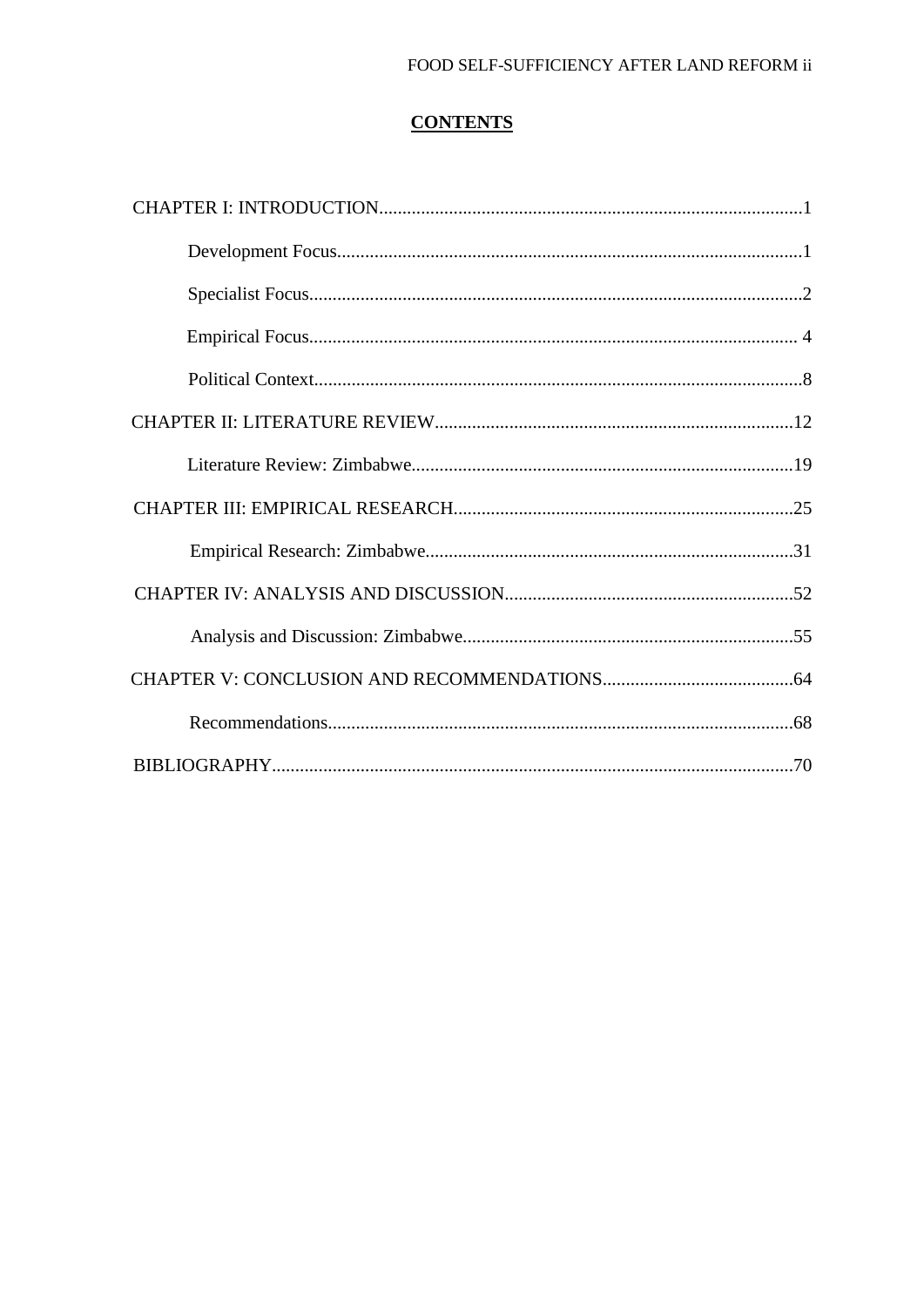## FOOD SELF-SUFFICIENCY AFTER LAND REFORM ii

# **CONTENTS**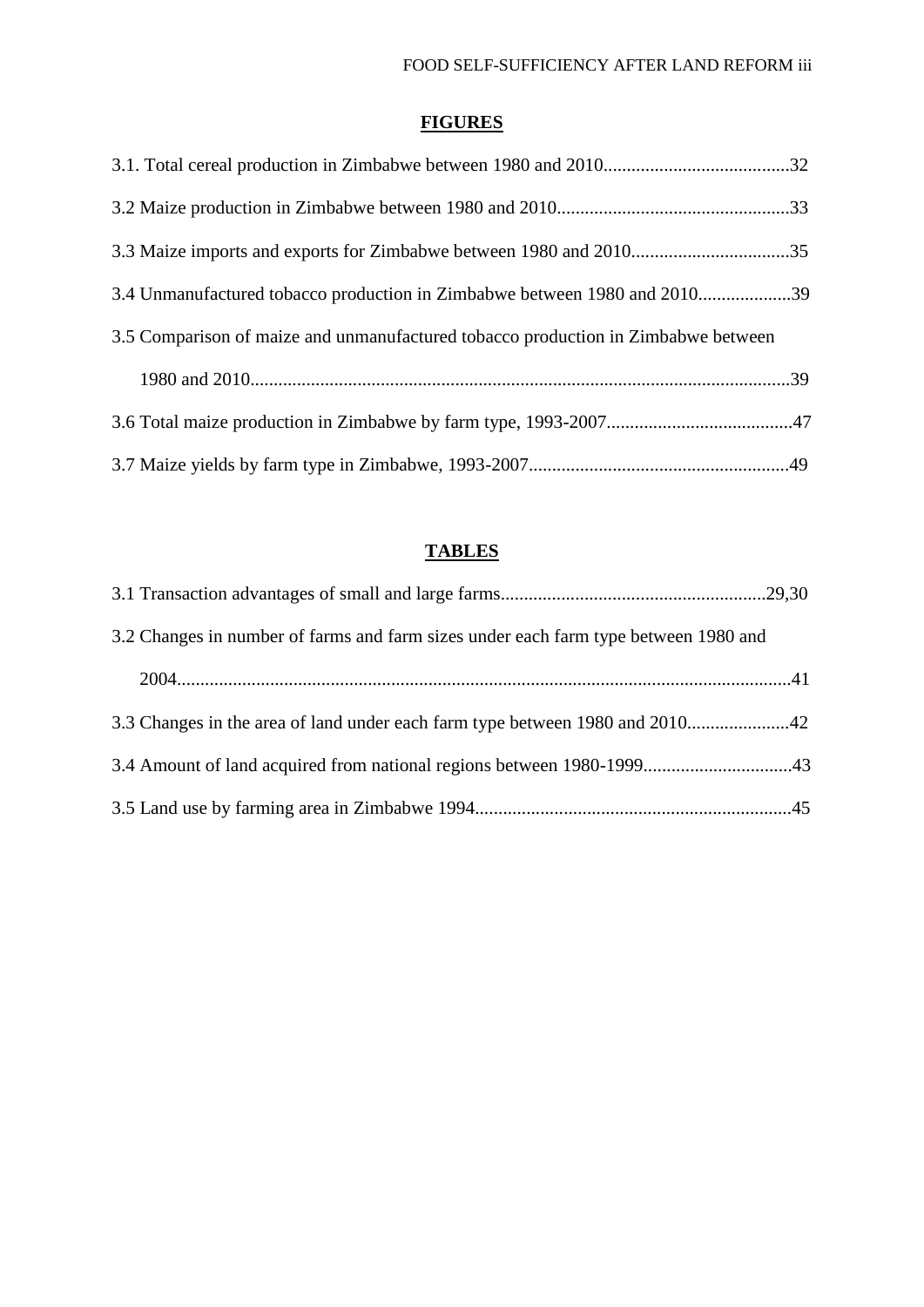# **FIGURES**

| 3.4 Unmanufactured tobacco production in Zimbabwe between 1980 and 201039         |  |
|-----------------------------------------------------------------------------------|--|
| 3.5 Comparison of maize and unmanufactured tobacco production in Zimbabwe between |  |
|                                                                                   |  |
|                                                                                   |  |
|                                                                                   |  |

## **TABLES**

| 3.2 Changes in number of farms and farm sizes under each farm type between 1980 and |  |
|-------------------------------------------------------------------------------------|--|
|                                                                                     |  |
| 3.3 Changes in the area of land under each farm type between 1980 and 201042        |  |
| 3.4 Amount of land acquired from national regions between 1980-199943               |  |
|                                                                                     |  |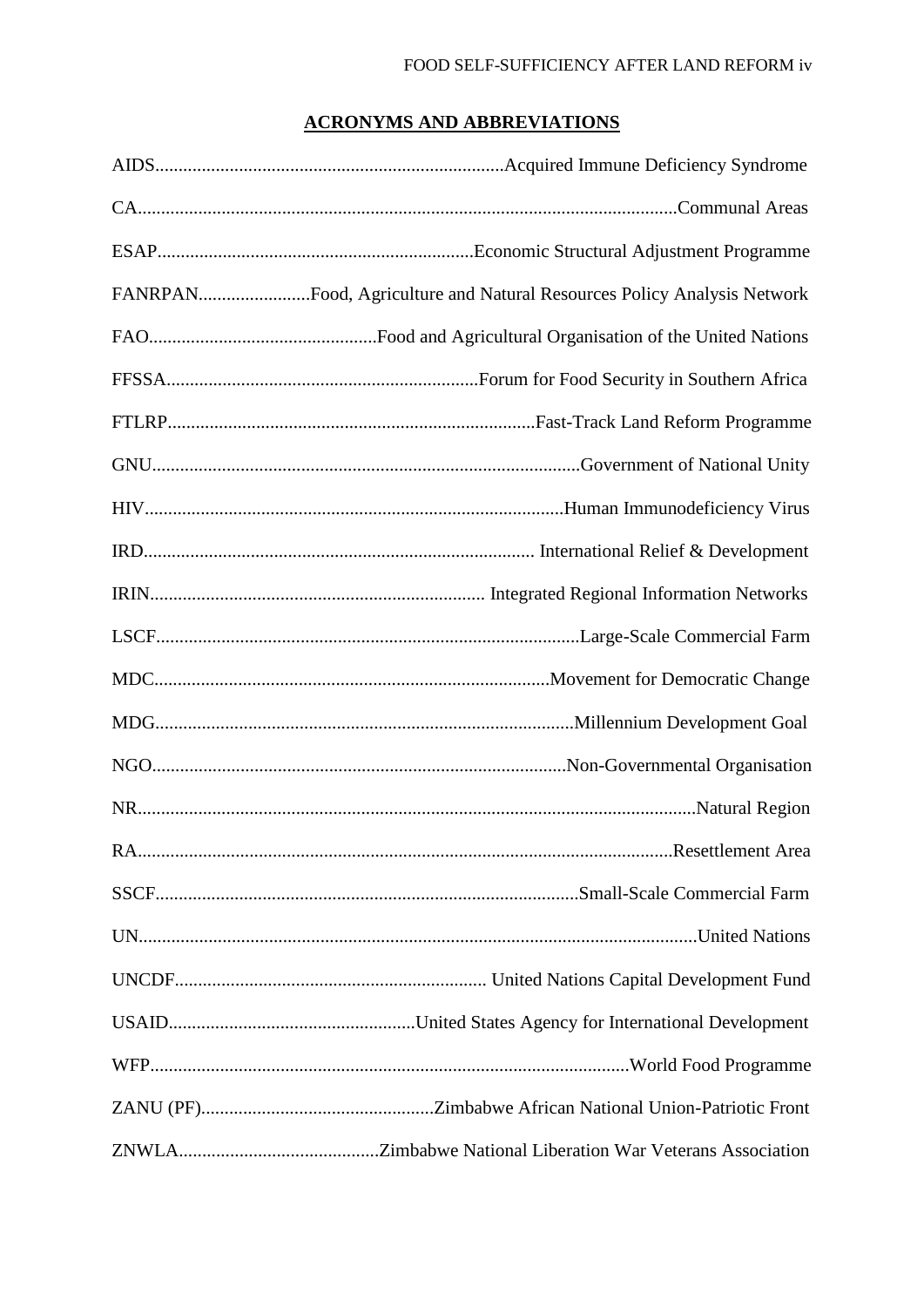# **ACRONYMS AND ABBREVIATIONS**

| FANRPANFood, Agriculture and Natural Resources Policy Analysis Network |
|------------------------------------------------------------------------|
|                                                                        |
|                                                                        |
|                                                                        |
|                                                                        |
|                                                                        |
|                                                                        |
|                                                                        |
|                                                                        |
|                                                                        |
|                                                                        |
|                                                                        |
|                                                                        |
|                                                                        |
|                                                                        |
|                                                                        |
|                                                                        |
|                                                                        |
|                                                                        |
|                                                                        |
|                                                                        |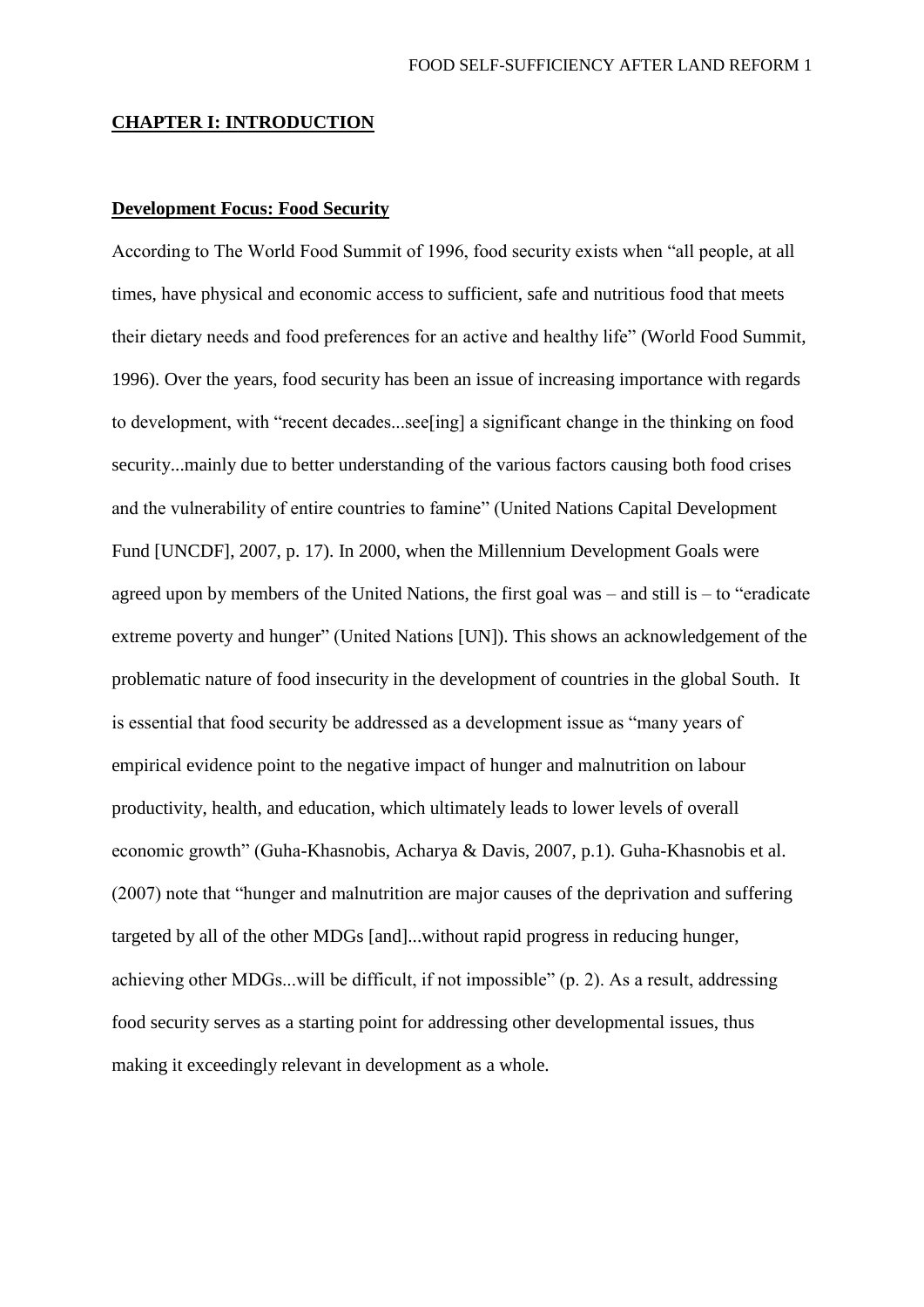### **CHAPTER I: INTRODUCTION**

## **Development Focus: Food Security**

According to The World Food Summit of 1996, food security exists when "all people, at all times, have physical and economic access to sufficient, safe and nutritious food that meets their dietary needs and food preferences for an active and healthy life" (World Food Summit, 1996). Over the years, food security has been an issue of increasing importance with regards to development, with "recent decades...see[ing] a significant change in the thinking on food security...mainly due to better understanding of the various factors causing both food crises and the vulnerability of entire countries to famine" (United Nations Capital Development Fund [UNCDF], 2007, p. 17). In 2000, when the Millennium Development Goals were agreed upon by members of the United Nations, the first goal was – and still is – to "eradicate extreme poverty and hunger" (United Nations [UN]). This shows an acknowledgement of the problematic nature of food insecurity in the development of countries in the global South. It is essential that food security be addressed as a development issue as "many years of empirical evidence point to the negative impact of hunger and malnutrition on labour productivity, health, and education, which ultimately leads to lower levels of overall economic growth" (Guha-Khasnobis, Acharya & Davis, 2007, p.1). Guha-Khasnobis et al. (2007) note that "hunger and malnutrition are major causes of the deprivation and suffering targeted by all of the other MDGs [and]...without rapid progress in reducing hunger, achieving other MDGs...will be difficult, if not impossible" (p. 2). As a result, addressing food security serves as a starting point for addressing other developmental issues, thus making it exceedingly relevant in development as a whole.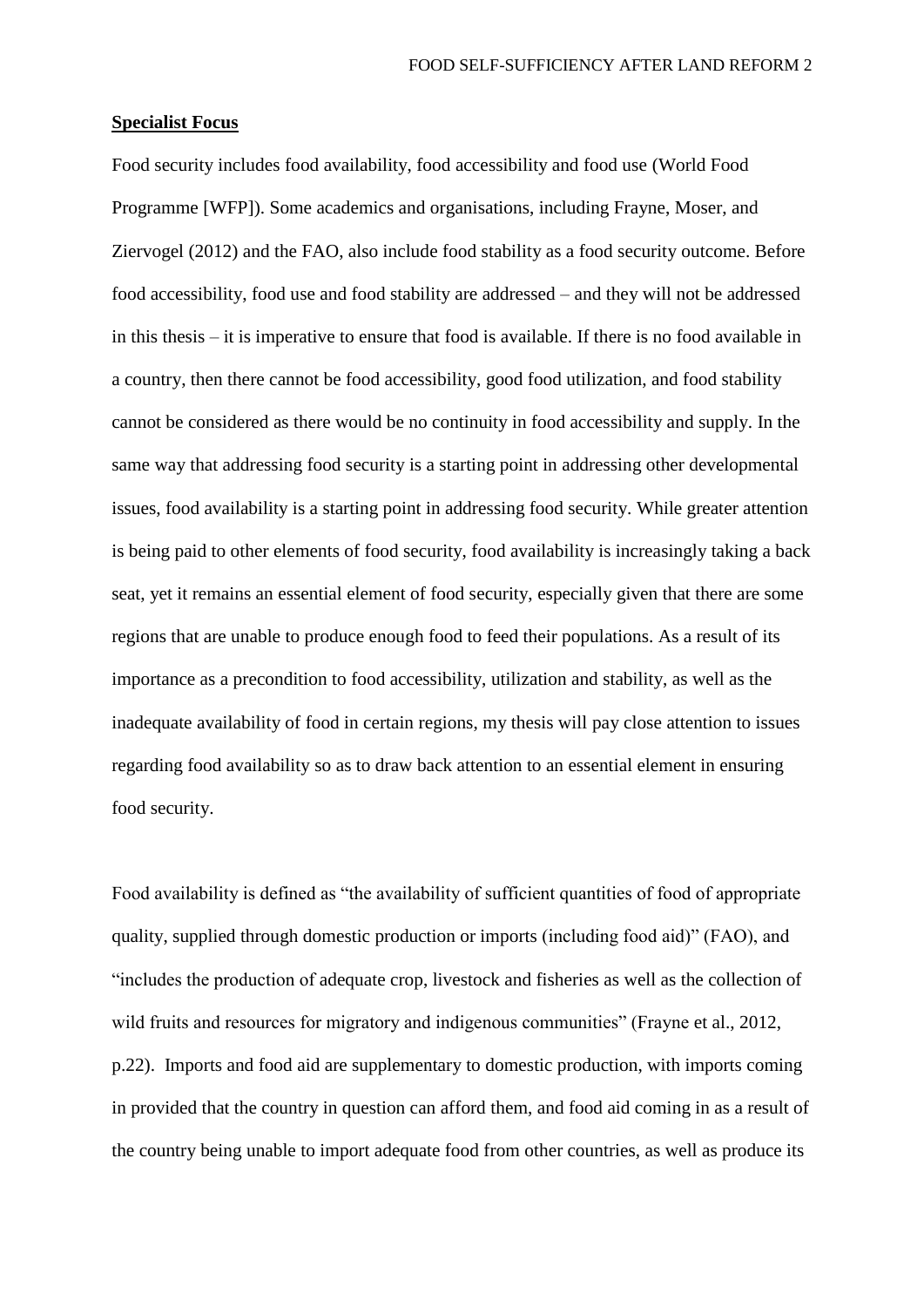## **Specialist Focus**

Food security includes food availability, food accessibility and food use (World Food Programme [WFP]). Some academics and organisations, including Frayne, Moser, and Ziervogel (2012) and the FAO, also include food stability as a food security outcome. Before food accessibility, food use and food stability are addressed – and they will not be addressed in this thesis – it is imperative to ensure that food is available. If there is no food available in a country, then there cannot be food accessibility, good food utilization, and food stability cannot be considered as there would be no continuity in food accessibility and supply. In the same way that addressing food security is a starting point in addressing other developmental issues, food availability is a starting point in addressing food security. While greater attention is being paid to other elements of food security, food availability is increasingly taking a back seat, yet it remains an essential element of food security, especially given that there are some regions that are unable to produce enough food to feed their populations. As a result of its importance as a precondition to food accessibility, utilization and stability, as well as the inadequate availability of food in certain regions, my thesis will pay close attention to issues regarding food availability so as to draw back attention to an essential element in ensuring food security.

Food availability is defined as "the availability of sufficient quantities of food of appropriate quality, supplied through domestic production or imports (including food aid)" (FAO), and "includes the production of adequate crop, livestock and fisheries as well as the collection of wild fruits and resources for migratory and indigenous communities" (Frayne et al., 2012, p.22). Imports and food aid are supplementary to domestic production, with imports coming in provided that the country in question can afford them, and food aid coming in as a result of the country being unable to import adequate food from other countries, as well as produce its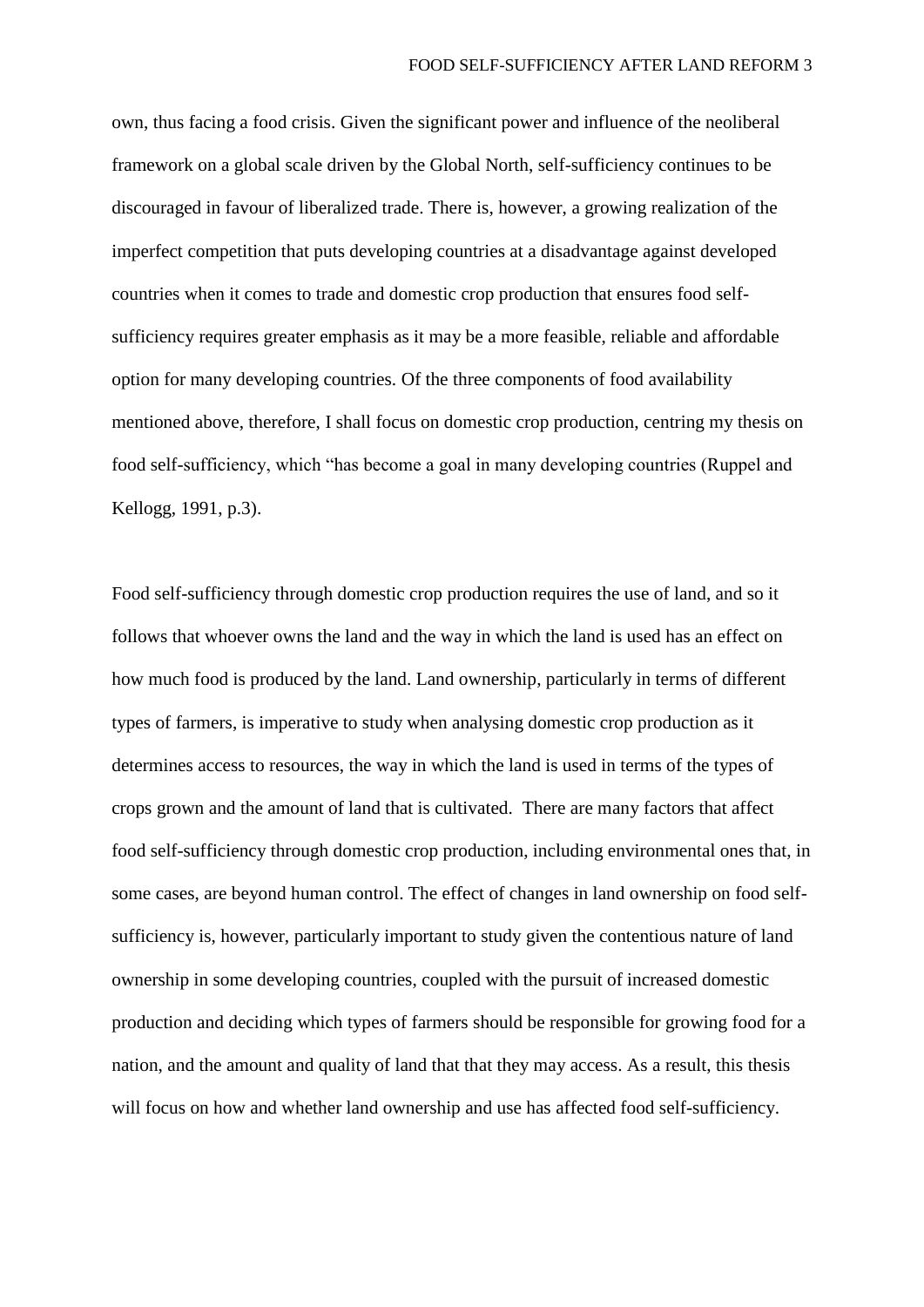own, thus facing a food crisis. Given the significant power and influence of the neoliberal framework on a global scale driven by the Global North, self-sufficiency continues to be discouraged in favour of liberalized trade. There is, however, a growing realization of the imperfect competition that puts developing countries at a disadvantage against developed countries when it comes to trade and domestic crop production that ensures food selfsufficiency requires greater emphasis as it may be a more feasible, reliable and affordable option for many developing countries. Of the three components of food availability mentioned above, therefore, I shall focus on domestic crop production, centring my thesis on food self-sufficiency, which "has become a goal in many developing countries (Ruppel and Kellogg, 1991, p.3).

Food self-sufficiency through domestic crop production requires the use of land, and so it follows that whoever owns the land and the way in which the land is used has an effect on how much food is produced by the land. Land ownership, particularly in terms of different types of farmers, is imperative to study when analysing domestic crop production as it determines access to resources, the way in which the land is used in terms of the types of crops grown and the amount of land that is cultivated. There are many factors that affect food self-sufficiency through domestic crop production, including environmental ones that, in some cases, are beyond human control. The effect of changes in land ownership on food selfsufficiency is, however, particularly important to study given the contentious nature of land ownership in some developing countries, coupled with the pursuit of increased domestic production and deciding which types of farmers should be responsible for growing food for a nation, and the amount and quality of land that that they may access. As a result, this thesis will focus on how and whether land ownership and use has affected food self-sufficiency.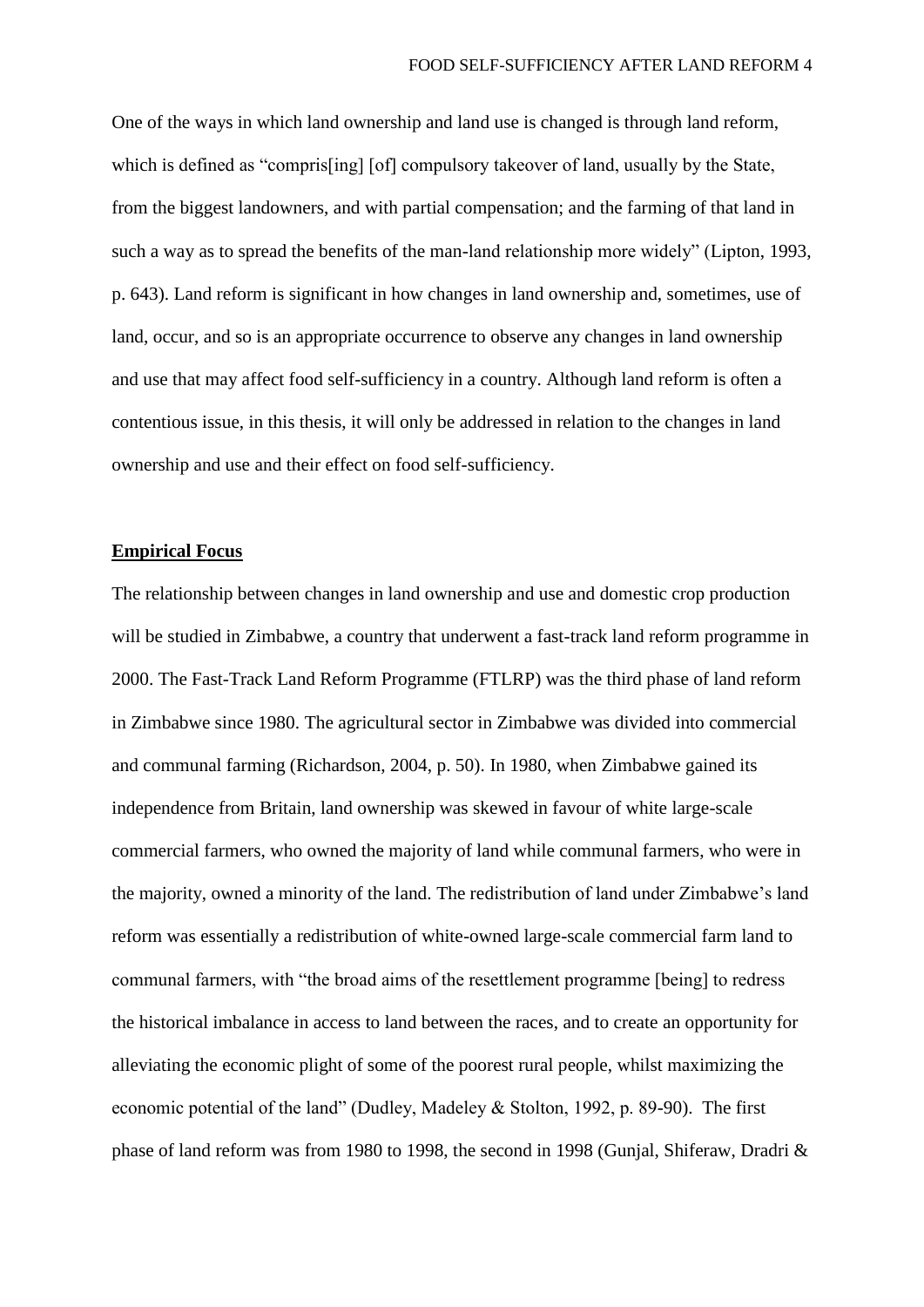One of the ways in which land ownership and land use is changed is through land reform, which is defined as "compristing] [of] compulsory takeover of land, usually by the State, from the biggest landowners, and with partial compensation; and the farming of that land in such a way as to spread the benefits of the man-land relationship more widely" (Lipton, 1993, p. 643). Land reform is significant in how changes in land ownership and, sometimes, use of land, occur, and so is an appropriate occurrence to observe any changes in land ownership and use that may affect food self-sufficiency in a country. Although land reform is often a contentious issue, in this thesis, it will only be addressed in relation to the changes in land ownership and use and their effect on food self-sufficiency.

## **Empirical Focus**

The relationship between changes in land ownership and use and domestic crop production will be studied in Zimbabwe, a country that underwent a fast-track land reform programme in 2000. The Fast-Track Land Reform Programme (FTLRP) was the third phase of land reform in Zimbabwe since 1980. The agricultural sector in Zimbabwe was divided into commercial and communal farming (Richardson, 2004, p. 50). In 1980, when Zimbabwe gained its independence from Britain, land ownership was skewed in favour of white large-scale commercial farmers, who owned the majority of land while communal farmers, who were in the majority, owned a minority of the land. The redistribution of land under Zimbabwe's land reform was essentially a redistribution of white-owned large-scale commercial farm land to communal farmers, with "the broad aims of the resettlement programme [being] to redress the historical imbalance in access to land between the races, and to create an opportunity for alleviating the economic plight of some of the poorest rural people, whilst maximizing the economic potential of the land" (Dudley, Madeley & Stolton, 1992, p. 89-90). The first phase of land reform was from 1980 to 1998, the second in 1998 (Gunjal, Shiferaw, Dradri &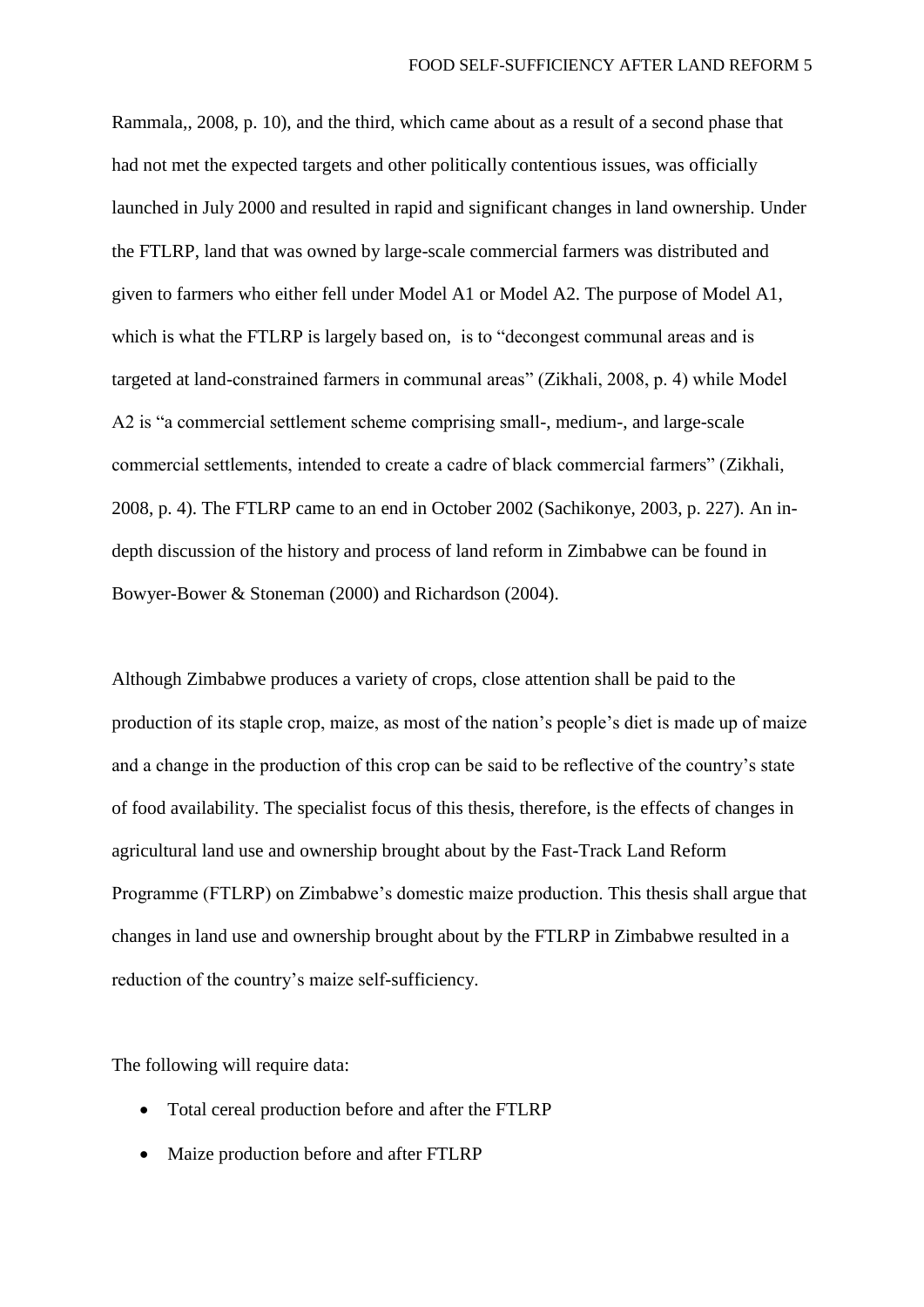Rammala,, 2008, p. 10), and the third, which came about as a result of a second phase that had not met the expected targets and other politically contentious issues, was officially launched in July 2000 and resulted in rapid and significant changes in land ownership. Under the FTLRP, land that was owned by large-scale commercial farmers was distributed and given to farmers who either fell under Model A1 or Model A2. The purpose of Model A1, which is what the FTLRP is largely based on, is to "decongest communal areas and is targeted at land-constrained farmers in communal areas" (Zikhali, 2008, p. 4) while Model A2 is "a commercial settlement scheme comprising small-, medium-, and large-scale commercial settlements, intended to create a cadre of black commercial farmers" (Zikhali, 2008, p. 4). The FTLRP came to an end in October 2002 (Sachikonye, 2003, p. 227). An indepth discussion of the history and process of land reform in Zimbabwe can be found in Bowyer-Bower & Stoneman (2000) and Richardson (2004).

Although Zimbabwe produces a variety of crops, close attention shall be paid to the production of its staple crop, maize, as most of the nation's people's diet is made up of maize and a change in the production of this crop can be said to be reflective of the country's state of food availability. The specialist focus of this thesis, therefore, is the effects of changes in agricultural land use and ownership brought about by the Fast-Track Land Reform Programme (FTLRP) on Zimbabwe's domestic maize production. This thesis shall argue that changes in land use and ownership brought about by the FTLRP in Zimbabwe resulted in a reduction of the country's maize self-sufficiency.

The following will require data:

- Total cereal production before and after the FTLRP
- Maize production before and after FTLRP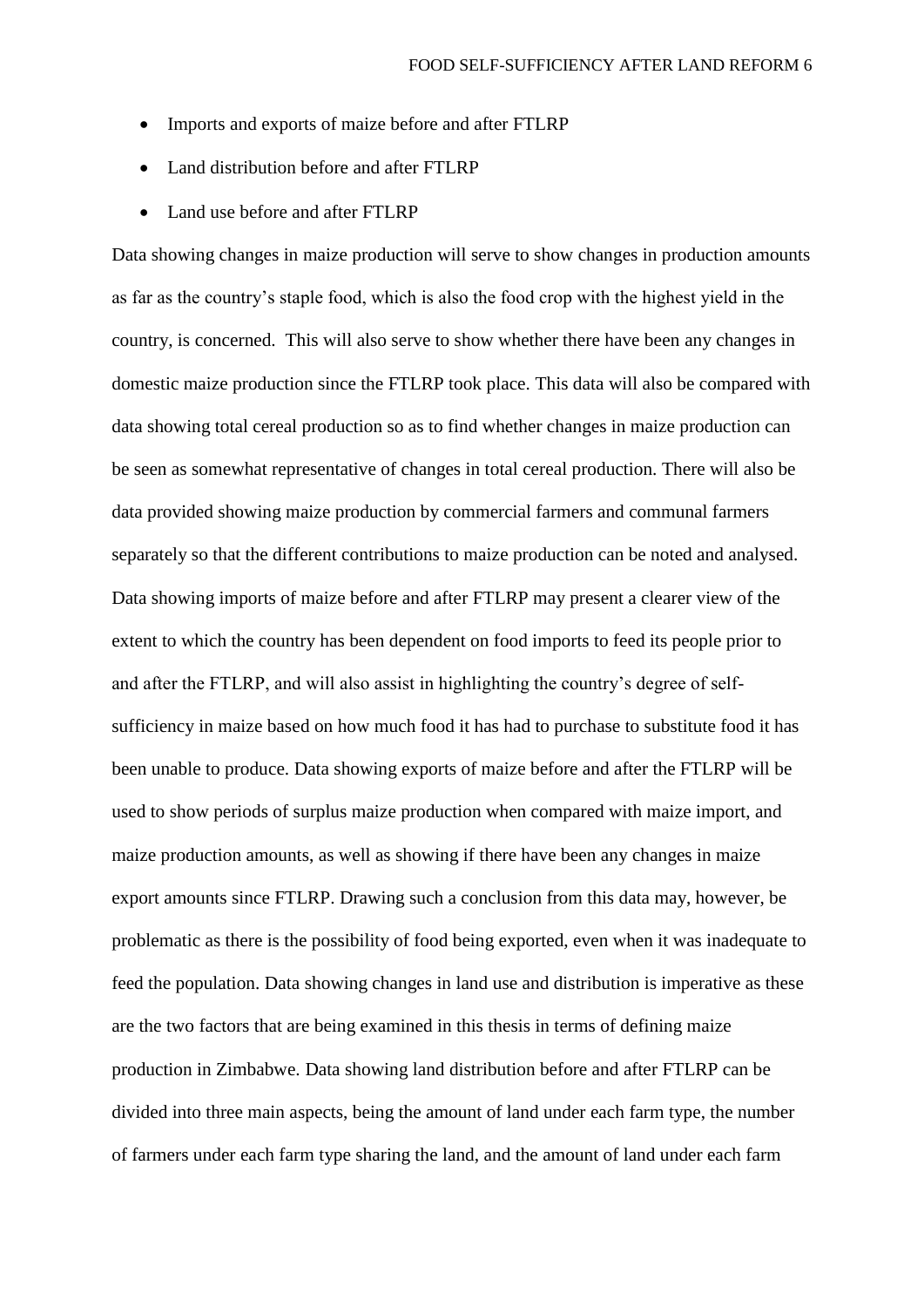- Imports and exports of maize before and after FTLRP
- Land distribution before and after FTLRP
- Land use before and after FTLRP

Data showing changes in maize production will serve to show changes in production amounts as far as the country's staple food, which is also the food crop with the highest yield in the country, is concerned. This will also serve to show whether there have been any changes in domestic maize production since the FTLRP took place. This data will also be compared with data showing total cereal production so as to find whether changes in maize production can be seen as somewhat representative of changes in total cereal production. There will also be data provided showing maize production by commercial farmers and communal farmers separately so that the different contributions to maize production can be noted and analysed. Data showing imports of maize before and after FTLRP may present a clearer view of the extent to which the country has been dependent on food imports to feed its people prior to and after the FTLRP, and will also assist in highlighting the country's degree of selfsufficiency in maize based on how much food it has had to purchase to substitute food it has been unable to produce. Data showing exports of maize before and after the FTLRP will be used to show periods of surplus maize production when compared with maize import, and maize production amounts, as well as showing if there have been any changes in maize export amounts since FTLRP. Drawing such a conclusion from this data may, however, be problematic as there is the possibility of food being exported, even when it was inadequate to feed the population. Data showing changes in land use and distribution is imperative as these are the two factors that are being examined in this thesis in terms of defining maize production in Zimbabwe. Data showing land distribution before and after FTLRP can be divided into three main aspects, being the amount of land under each farm type, the number of farmers under each farm type sharing the land, and the amount of land under each farm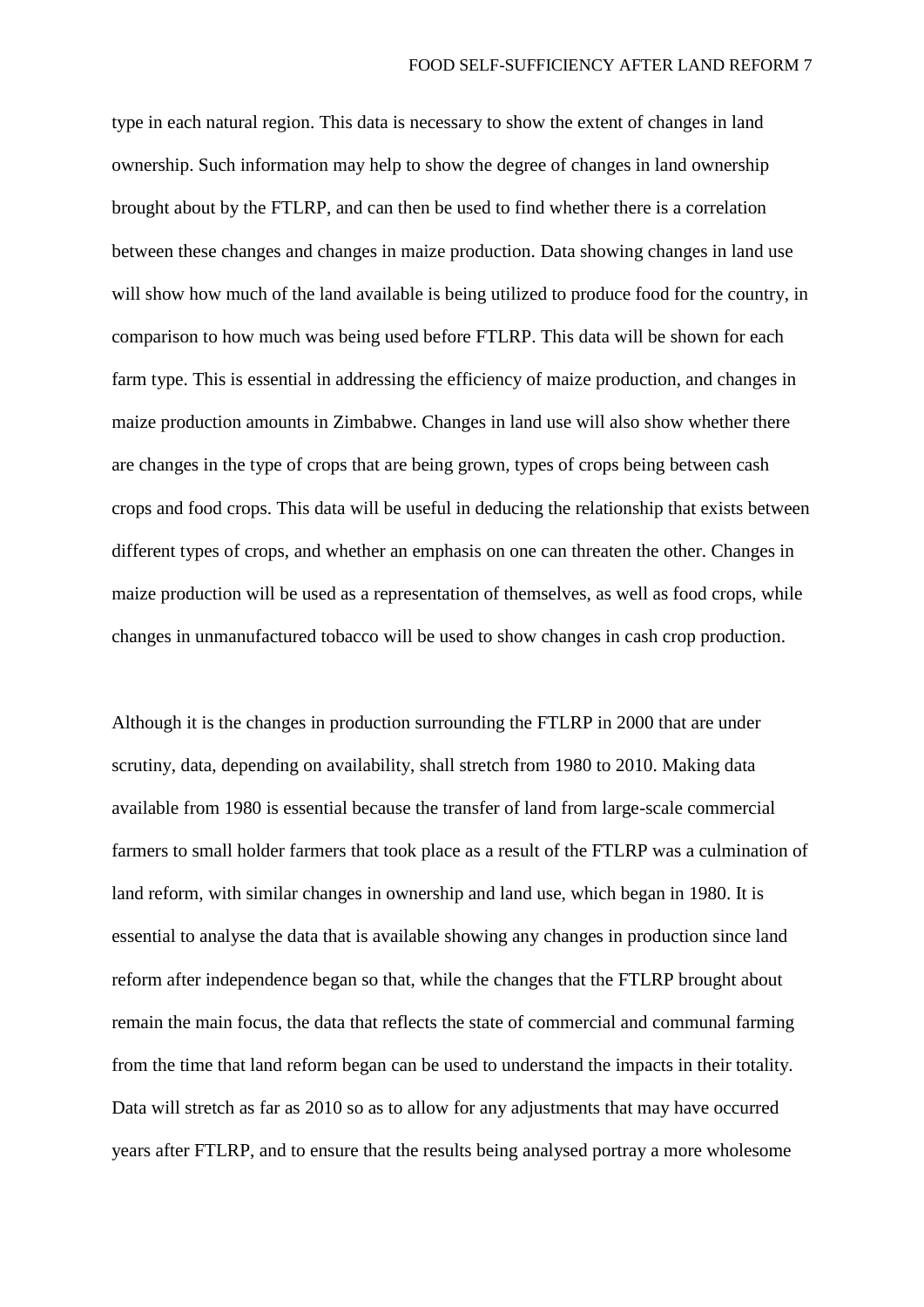type in each natural region. This data is necessary to show the extent of changes in land ownership. Such information may help to show the degree of changes in land ownership brought about by the FTLRP, and can then be used to find whether there is a correlation between these changes and changes in maize production. Data showing changes in land use will show how much of the land available is being utilized to produce food for the country, in comparison to how much was being used before FTLRP. This data will be shown for each farm type. This is essential in addressing the efficiency of maize production, and changes in maize production amounts in Zimbabwe. Changes in land use will also show whether there are changes in the type of crops that are being grown, types of crops being between cash crops and food crops. This data will be useful in deducing the relationship that exists between different types of crops, and whether an emphasis on one can threaten the other. Changes in maize production will be used as a representation of themselves, as well as food crops, while changes in unmanufactured tobacco will be used to show changes in cash crop production.

Although it is the changes in production surrounding the FTLRP in 2000 that are under scrutiny, data, depending on availability, shall stretch from 1980 to 2010. Making data available from 1980 is essential because the transfer of land from large-scale commercial farmers to small holder farmers that took place as a result of the FTLRP was a culmination of land reform, with similar changes in ownership and land use, which began in 1980. It is essential to analyse the data that is available showing any changes in production since land reform after independence began so that, while the changes that the FTLRP brought about remain the main focus, the data that reflects the state of commercial and communal farming from the time that land reform began can be used to understand the impacts in their totality. Data will stretch as far as 2010 so as to allow for any adjustments that may have occurred years after FTLRP, and to ensure that the results being analysed portray a more wholesome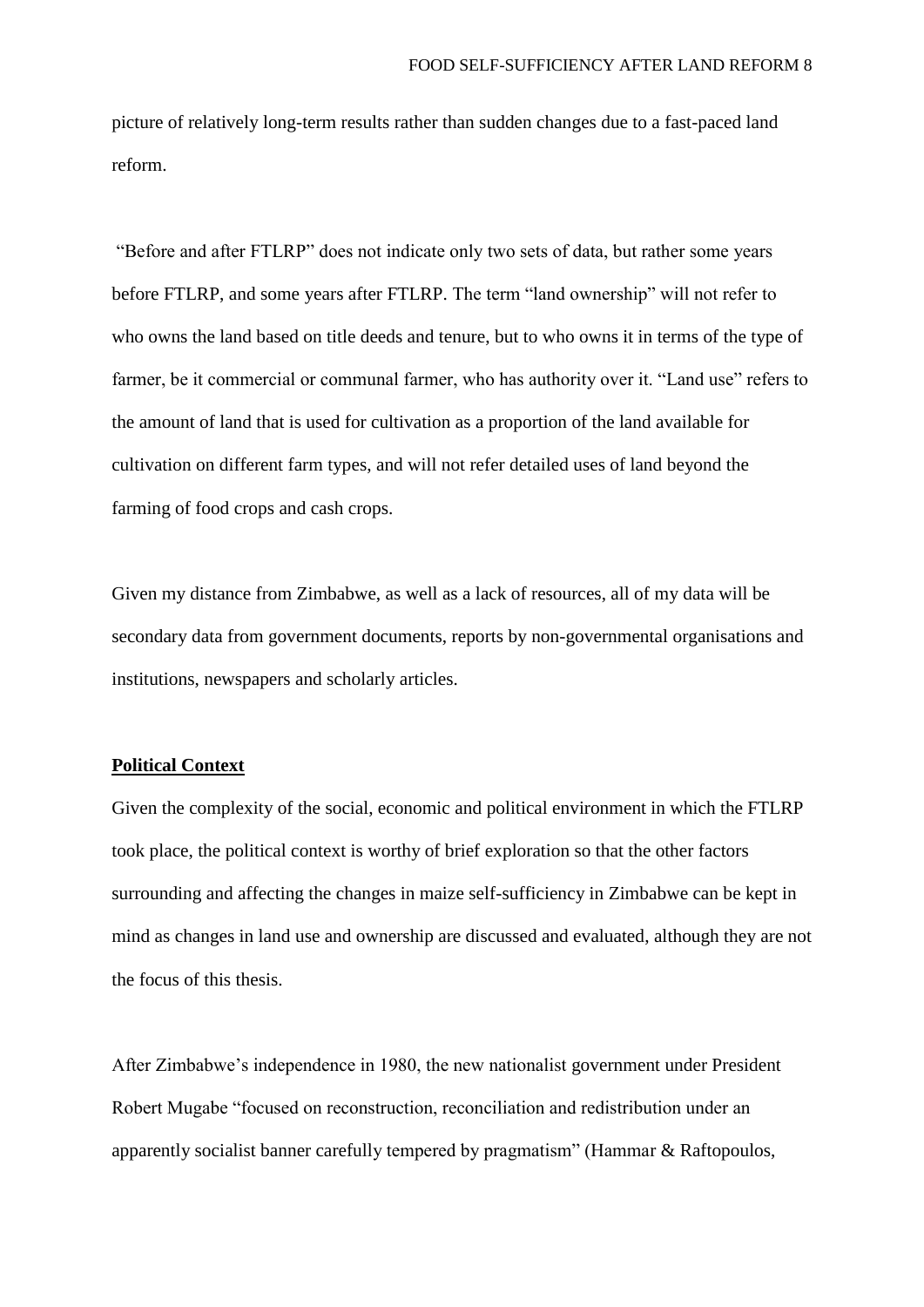picture of relatively long-term results rather than sudden changes due to a fast-paced land reform.

"Before and after FTLRP" does not indicate only two sets of data, but rather some years before FTLRP, and some years after FTLRP. The term "land ownership" will not refer to who owns the land based on title deeds and tenure, but to who owns it in terms of the type of farmer, be it commercial or communal farmer, who has authority over it. "Land use" refers to the amount of land that is used for cultivation as a proportion of the land available for cultivation on different farm types, and will not refer detailed uses of land beyond the farming of food crops and cash crops.

Given my distance from Zimbabwe, as well as a lack of resources, all of my data will be secondary data from government documents, reports by non-governmental organisations and institutions, newspapers and scholarly articles.

## **Political Context**

Given the complexity of the social, economic and political environment in which the FTLRP took place, the political context is worthy of brief exploration so that the other factors surrounding and affecting the changes in maize self-sufficiency in Zimbabwe can be kept in mind as changes in land use and ownership are discussed and evaluated, although they are not the focus of this thesis.

After Zimbabwe's independence in 1980, the new nationalist government under President Robert Mugabe "focused on reconstruction, reconciliation and redistribution under an apparently socialist banner carefully tempered by pragmatism" (Hammar & Raftopoulos,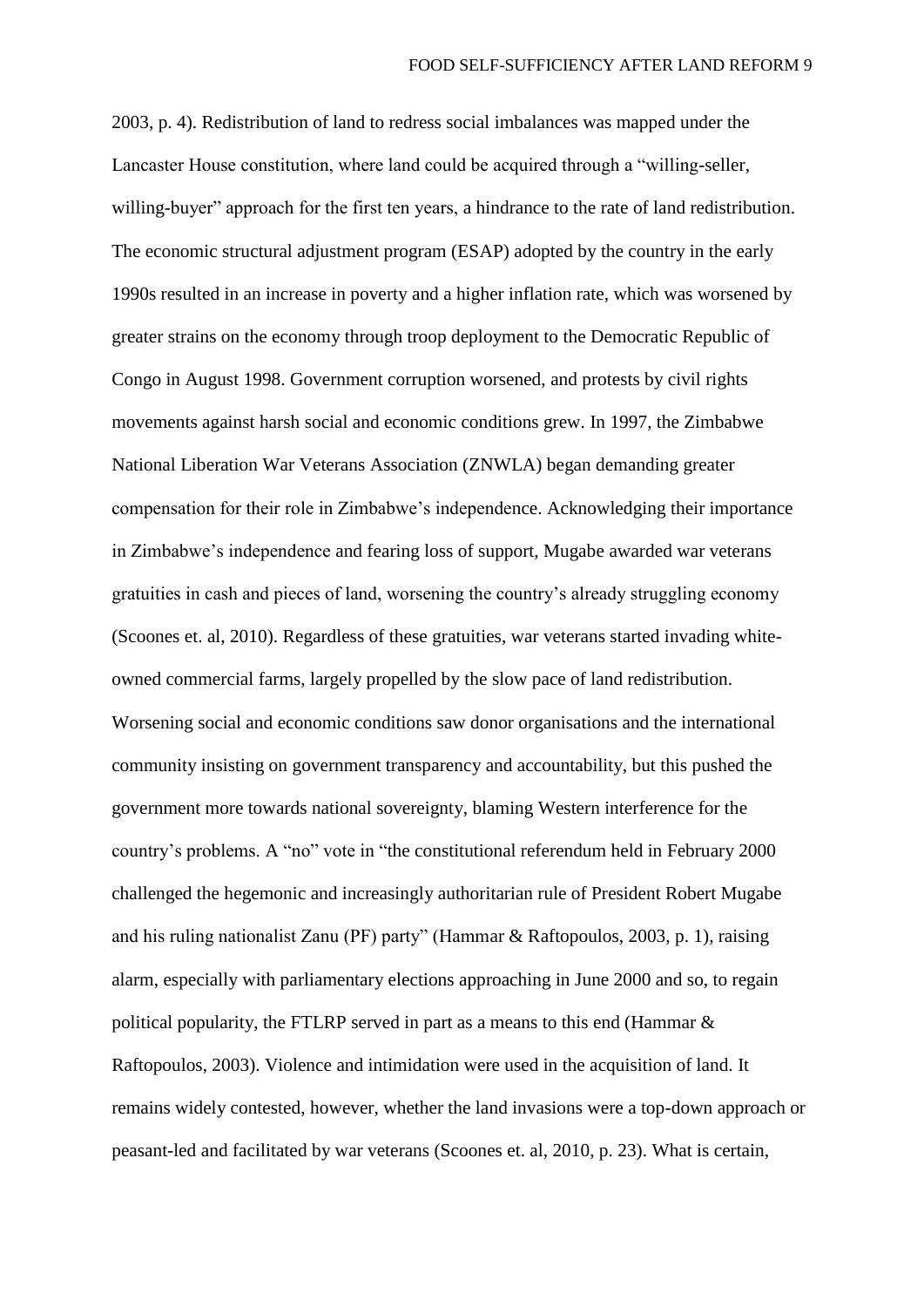2003, p. 4). Redistribution of land to redress social imbalances was mapped under the Lancaster House constitution, where land could be acquired through a "willing-seller, willing-buyer" approach for the first ten years, a hindrance to the rate of land redistribution. The economic structural adjustment program (ESAP) adopted by the country in the early 1990s resulted in an increase in poverty and a higher inflation rate, which was worsened by greater strains on the economy through troop deployment to the Democratic Republic of Congo in August 1998. Government corruption worsened, and protests by civil rights movements against harsh social and economic conditions grew. In 1997, the Zimbabwe National Liberation War Veterans Association (ZNWLA) began demanding greater compensation for their role in Zimbabwe's independence. Acknowledging their importance in Zimbabwe's independence and fearing loss of support, Mugabe awarded war veterans gratuities in cash and pieces of land, worsening the country's already struggling economy (Scoones et. al, 2010). Regardless of these gratuities, war veterans started invading whiteowned commercial farms, largely propelled by the slow pace of land redistribution. Worsening social and economic conditions saw donor organisations and the international community insisting on government transparency and accountability, but this pushed the government more towards national sovereignty, blaming Western interference for the country's problems. A "no" vote in "the constitutional referendum held in February 2000 challenged the hegemonic and increasingly authoritarian rule of President Robert Mugabe and his ruling nationalist Zanu (PF) party" (Hammar & Raftopoulos, 2003, p. 1), raising alarm, especially with parliamentary elections approaching in June 2000 and so, to regain political popularity, the FTLRP served in part as a means to this end (Hammar & Raftopoulos, 2003). Violence and intimidation were used in the acquisition of land. It remains widely contested, however, whether the land invasions were a top-down approach or peasant-led and facilitated by war veterans (Scoones et. al, 2010, p. 23). What is certain,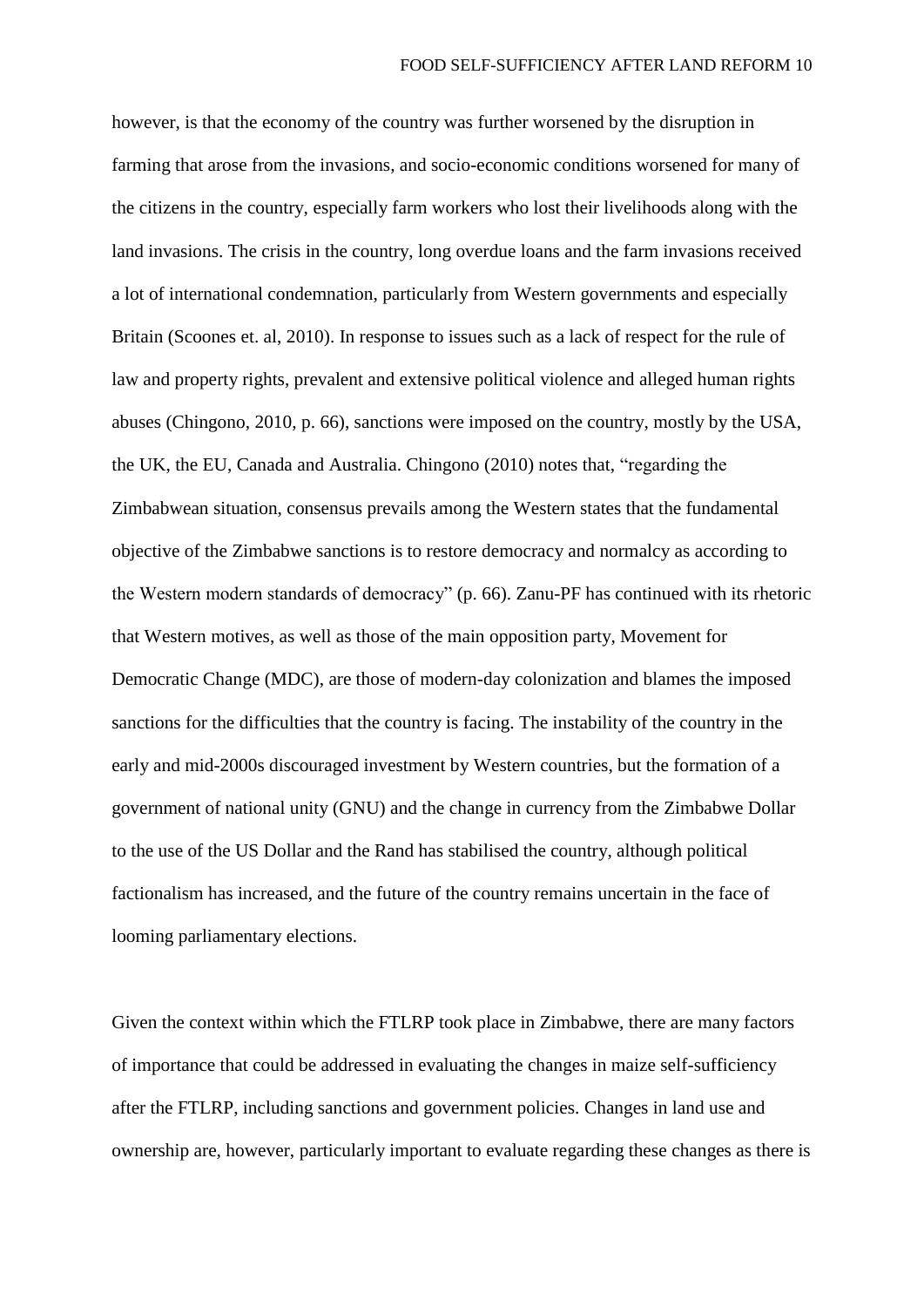however, is that the economy of the country was further worsened by the disruption in farming that arose from the invasions, and socio-economic conditions worsened for many of the citizens in the country, especially farm workers who lost their livelihoods along with the land invasions. The crisis in the country, long overdue loans and the farm invasions received a lot of international condemnation, particularly from Western governments and especially Britain (Scoones et. al, 2010). In response to issues such as a lack of respect for the rule of law and property rights, prevalent and extensive political violence and alleged human rights abuses (Chingono, 2010, p. 66), sanctions were imposed on the country, mostly by the USA, the UK, the EU, Canada and Australia. Chingono (2010) notes that, "regarding the Zimbabwean situation, consensus prevails among the Western states that the fundamental objective of the Zimbabwe sanctions is to restore democracy and normalcy as according to the Western modern standards of democracy" (p. 66). Zanu-PF has continued with its rhetoric that Western motives, as well as those of the main opposition party, Movement for Democratic Change (MDC), are those of modern-day colonization and blames the imposed sanctions for the difficulties that the country is facing. The instability of the country in the early and mid-2000s discouraged investment by Western countries, but the formation of a government of national unity (GNU) and the change in currency from the Zimbabwe Dollar to the use of the US Dollar and the Rand has stabilised the country, although political factionalism has increased, and the future of the country remains uncertain in the face of looming parliamentary elections.

Given the context within which the FTLRP took place in Zimbabwe, there are many factors of importance that could be addressed in evaluating the changes in maize self-sufficiency after the FTLRP, including sanctions and government policies. Changes in land use and ownership are, however, particularly important to evaluate regarding these changes as there is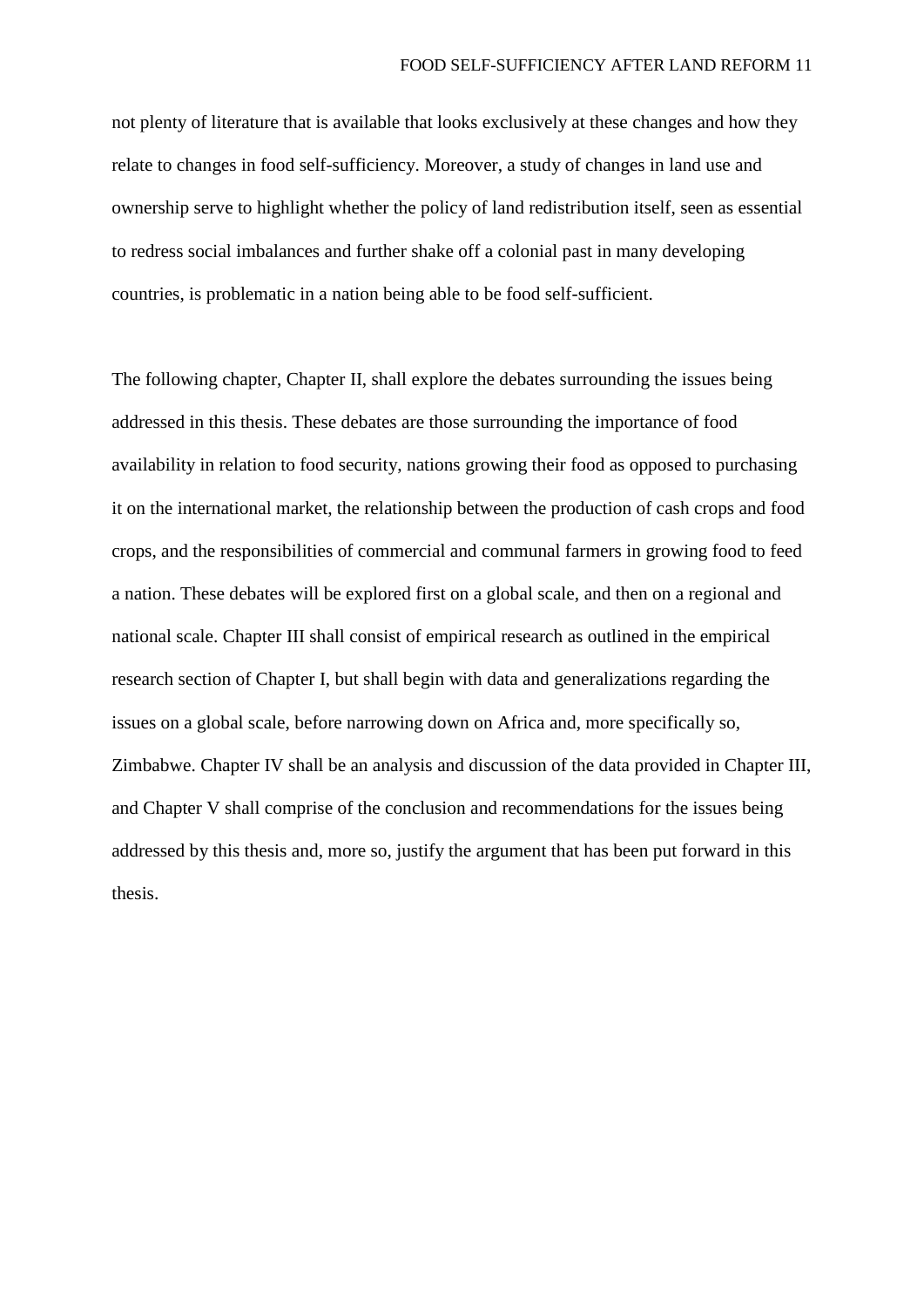not plenty of literature that is available that looks exclusively at these changes and how they relate to changes in food self-sufficiency. Moreover, a study of changes in land use and ownership serve to highlight whether the policy of land redistribution itself, seen as essential to redress social imbalances and further shake off a colonial past in many developing countries, is problematic in a nation being able to be food self-sufficient.

The following chapter, Chapter II, shall explore the debates surrounding the issues being addressed in this thesis. These debates are those surrounding the importance of food availability in relation to food security, nations growing their food as opposed to purchasing it on the international market, the relationship between the production of cash crops and food crops, and the responsibilities of commercial and communal farmers in growing food to feed a nation. These debates will be explored first on a global scale, and then on a regional and national scale. Chapter III shall consist of empirical research as outlined in the empirical research section of Chapter I, but shall begin with data and generalizations regarding the issues on a global scale, before narrowing down on Africa and, more specifically so, Zimbabwe. Chapter IV shall be an analysis and discussion of the data provided in Chapter III, and Chapter V shall comprise of the conclusion and recommendations for the issues being addressed by this thesis and, more so, justify the argument that has been put forward in this thesis.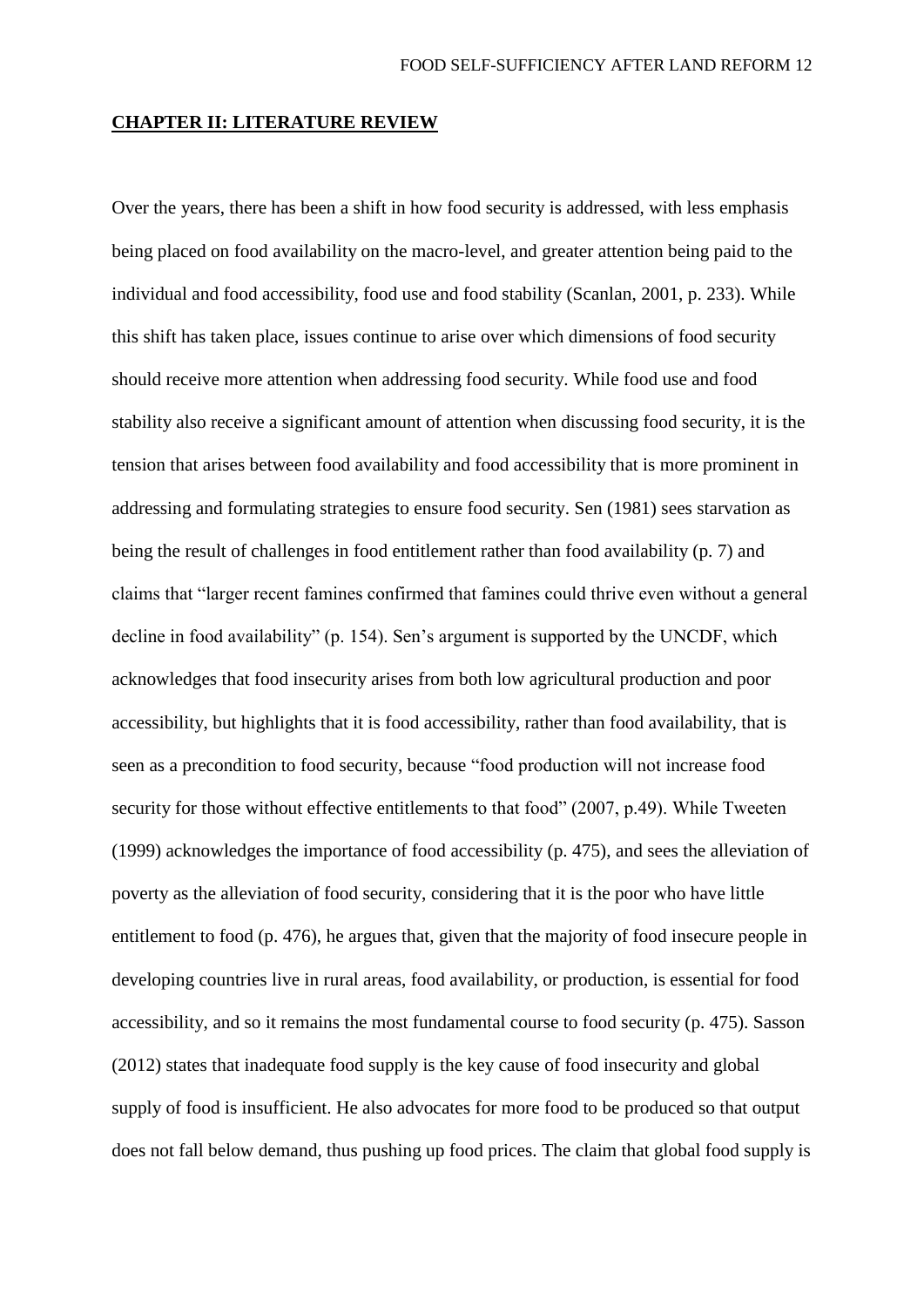#### **CHAPTER II: LITERATURE REVIEW**

Over the years, there has been a shift in how food security is addressed, with less emphasis being placed on food availability on the macro-level, and greater attention being paid to the individual and food accessibility, food use and food stability (Scanlan, 2001, p. 233). While this shift has taken place, issues continue to arise over which dimensions of food security should receive more attention when addressing food security. While food use and food stability also receive a significant amount of attention when discussing food security, it is the tension that arises between food availability and food accessibility that is more prominent in addressing and formulating strategies to ensure food security. Sen (1981) sees starvation as being the result of challenges in food entitlement rather than food availability (p. 7) and claims that "larger recent famines confirmed that famines could thrive even without a general decline in food availability" (p. 154). Sen's argument is supported by the UNCDF, which acknowledges that food insecurity arises from both low agricultural production and poor accessibility, but highlights that it is food accessibility, rather than food availability, that is seen as a precondition to food security, because "food production will not increase food security for those without effective entitlements to that food" (2007, p.49). While Tweeten (1999) acknowledges the importance of food accessibility (p. 475), and sees the alleviation of poverty as the alleviation of food security, considering that it is the poor who have little entitlement to food (p. 476), he argues that, given that the majority of food insecure people in developing countries live in rural areas, food availability, or production, is essential for food accessibility, and so it remains the most fundamental course to food security (p. 475). Sasson (2012) states that inadequate food supply is the key cause of food insecurity and global supply of food is insufficient. He also advocates for more food to be produced so that output does not fall below demand, thus pushing up food prices. The claim that global food supply is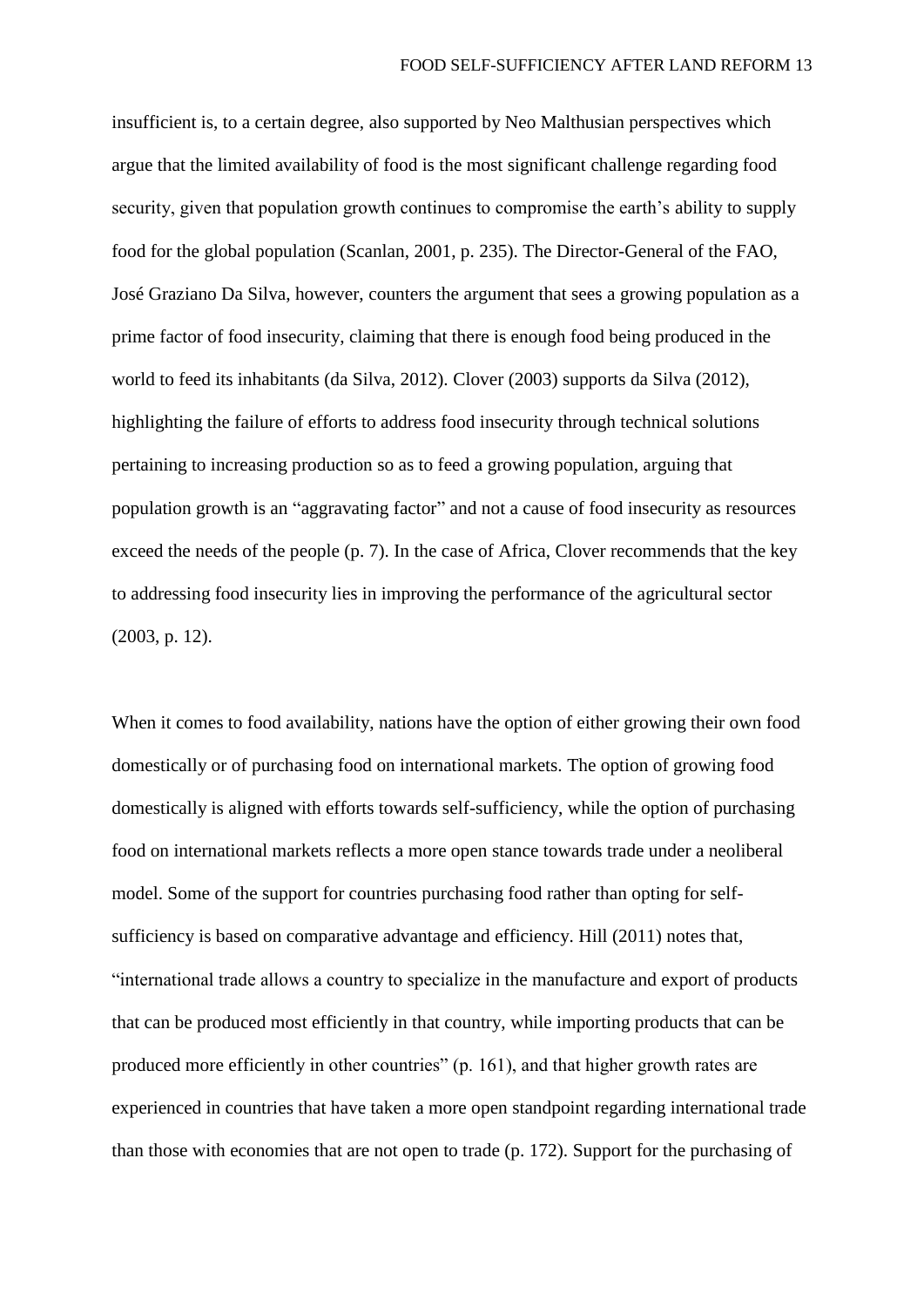insufficient is, to a certain degree, also supported by Neo Malthusian perspectives which argue that the limited availability of food is the most significant challenge regarding food security, given that population growth continues to compromise the earth's ability to supply food for the global population (Scanlan, 2001, p. 235). The Director-General of the FAO, José Graziano Da Silva, however, counters the argument that sees a growing population as a prime factor of food insecurity, claiming that there is enough food being produced in the world to feed its inhabitants (da Silva, 2012). Clover (2003) supports da Silva (2012), highlighting the failure of efforts to address food insecurity through technical solutions pertaining to increasing production so as to feed a growing population, arguing that population growth is an "aggravating factor" and not a cause of food insecurity as resources exceed the needs of the people (p. 7). In the case of Africa, Clover recommends that the key to addressing food insecurity lies in improving the performance of the agricultural sector (2003, p. 12).

When it comes to food availability, nations have the option of either growing their own food domestically or of purchasing food on international markets. The option of growing food domestically is aligned with efforts towards self-sufficiency, while the option of purchasing food on international markets reflects a more open stance towards trade under a neoliberal model. Some of the support for countries purchasing food rather than opting for selfsufficiency is based on comparative advantage and efficiency. Hill (2011) notes that, "international trade allows a country to specialize in the manufacture and export of products that can be produced most efficiently in that country, while importing products that can be produced more efficiently in other countries" (p. 161), and that higher growth rates are experienced in countries that have taken a more open standpoint regarding international trade than those with economies that are not open to trade (p. 172). Support for the purchasing of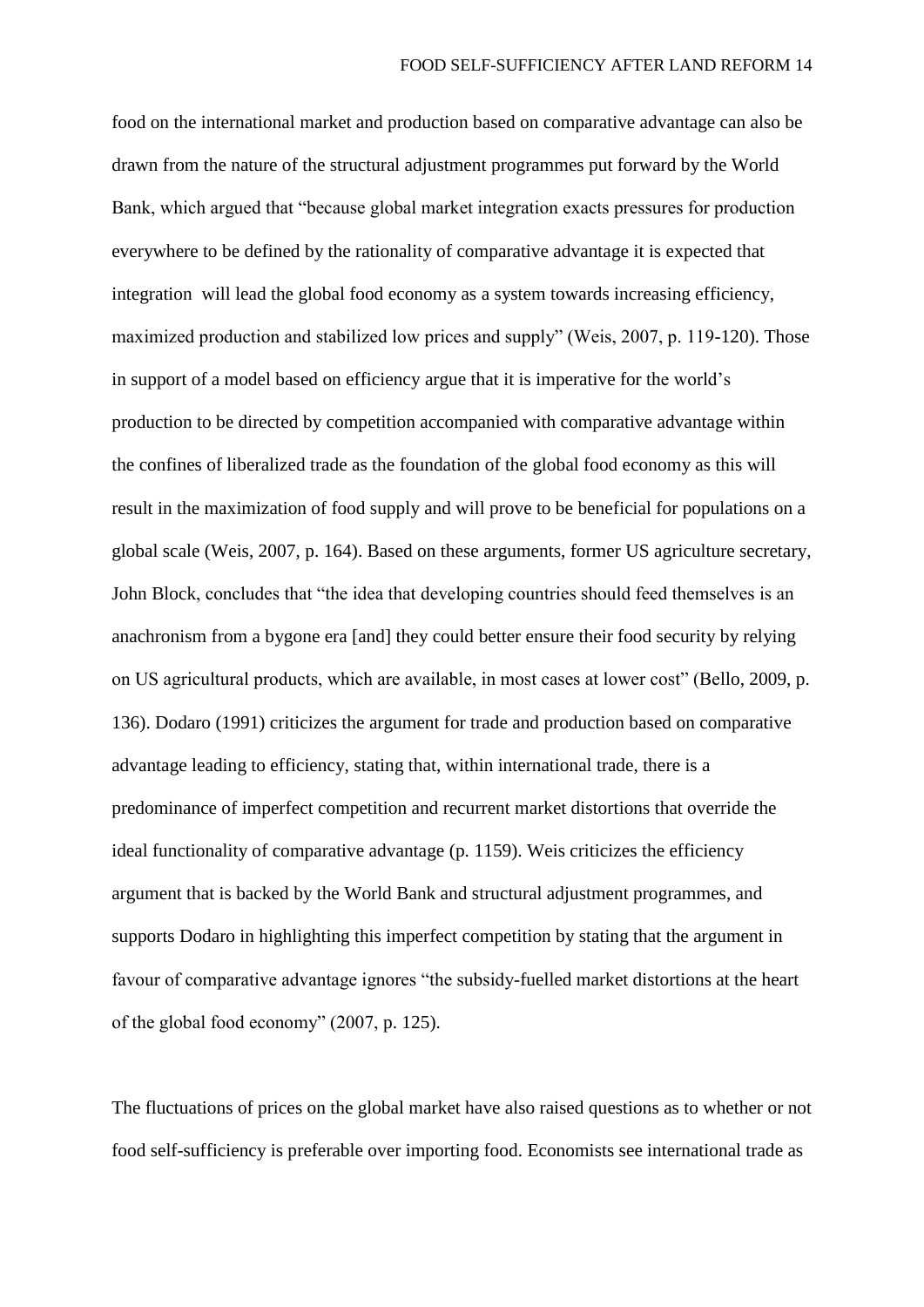food on the international market and production based on comparative advantage can also be drawn from the nature of the structural adjustment programmes put forward by the World Bank, which argued that "because global market integration exacts pressures for production everywhere to be defined by the rationality of comparative advantage it is expected that integration will lead the global food economy as a system towards increasing efficiency, maximized production and stabilized low prices and supply" (Weis, 2007, p. 119-120). Those in support of a model based on efficiency argue that it is imperative for the world's production to be directed by competition accompanied with comparative advantage within the confines of liberalized trade as the foundation of the global food economy as this will result in the maximization of food supply and will prove to be beneficial for populations on a global scale (Weis, 2007, p. 164). Based on these arguments, former US agriculture secretary, John Block, concludes that "the idea that developing countries should feed themselves is an anachronism from a bygone era [and] they could better ensure their food security by relying on US agricultural products, which are available, in most cases at lower cost" (Bello, 2009, p. 136). Dodaro (1991) criticizes the argument for trade and production based on comparative advantage leading to efficiency, stating that, within international trade, there is a predominance of imperfect competition and recurrent market distortions that override the ideal functionality of comparative advantage (p. 1159). Weis criticizes the efficiency argument that is backed by the World Bank and structural adjustment programmes, and supports Dodaro in highlighting this imperfect competition by stating that the argument in favour of comparative advantage ignores "the subsidy-fuelled market distortions at the heart of the global food economy" (2007, p. 125).

The fluctuations of prices on the global market have also raised questions as to whether or not food self-sufficiency is preferable over importing food. Economists see international trade as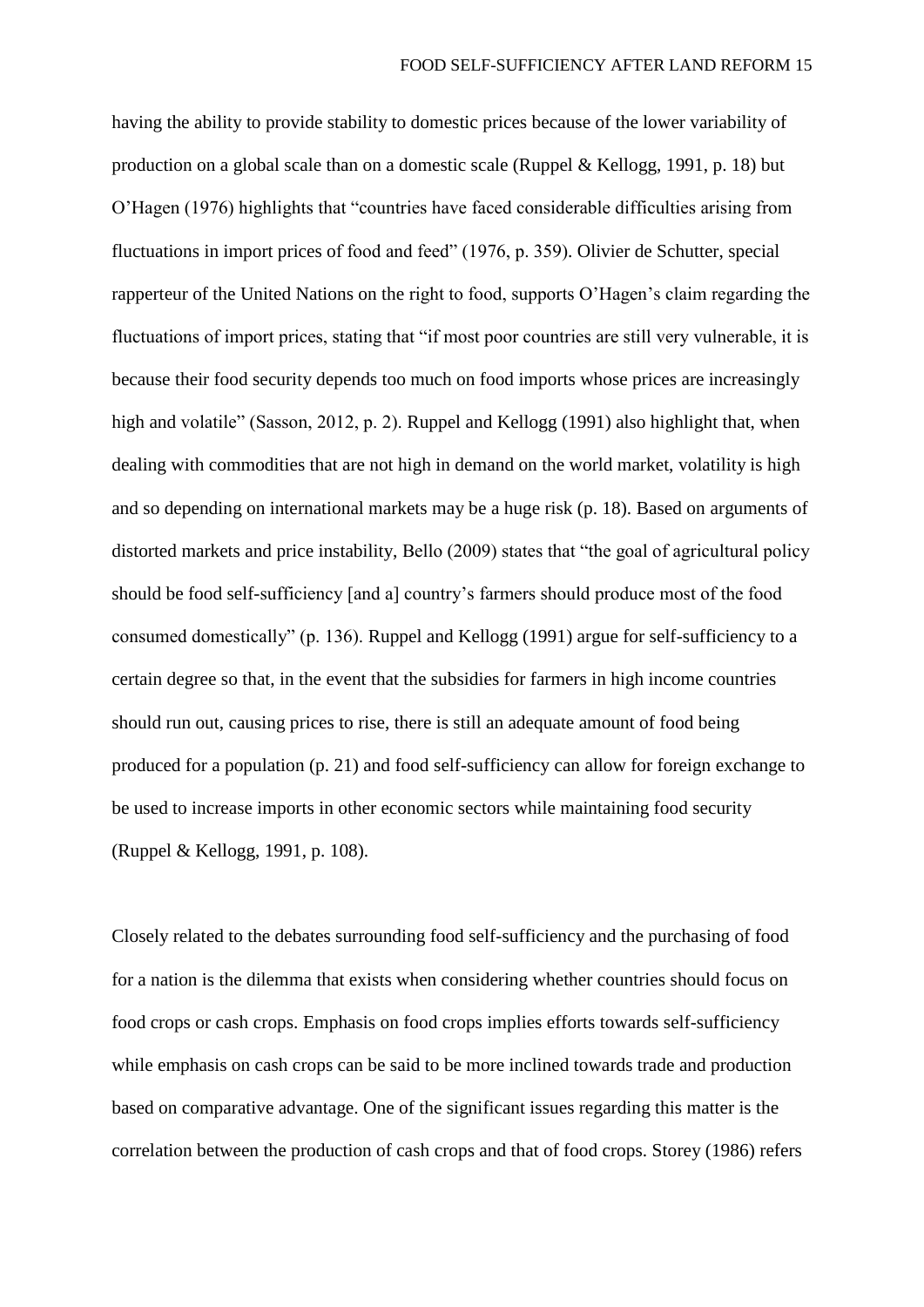having the ability to provide stability to domestic prices because of the lower variability of production on a global scale than on a domestic scale (Ruppel & Kellogg, 1991, p. 18) but O'Hagen (1976) highlights that "countries have faced considerable difficulties arising from fluctuations in import prices of food and feed" (1976, p. 359). Olivier de Schutter, special rapperteur of the United Nations on the right to food, supports O'Hagen's claim regarding the fluctuations of import prices, stating that "if most poor countries are still very vulnerable, it is because their food security depends too much on food imports whose prices are increasingly high and volatile" (Sasson, 2012, p. 2). Ruppel and Kellogg (1991) also highlight that, when dealing with commodities that are not high in demand on the world market, volatility is high and so depending on international markets may be a huge risk (p. 18). Based on arguments of distorted markets and price instability, Bello (2009) states that "the goal of agricultural policy should be food self-sufficiency [and a] country's farmers should produce most of the food consumed domestically" (p. 136). Ruppel and Kellogg (1991) argue for self-sufficiency to a certain degree so that, in the event that the subsidies for farmers in high income countries should run out, causing prices to rise, there is still an adequate amount of food being produced for a population (p. 21) and food self-sufficiency can allow for foreign exchange to be used to increase imports in other economic sectors while maintaining food security (Ruppel & Kellogg, 1991, p. 108).

Closely related to the debates surrounding food self-sufficiency and the purchasing of food for a nation is the dilemma that exists when considering whether countries should focus on food crops or cash crops. Emphasis on food crops implies efforts towards self-sufficiency while emphasis on cash crops can be said to be more inclined towards trade and production based on comparative advantage. One of the significant issues regarding this matter is the correlation between the production of cash crops and that of food crops. Storey (1986) refers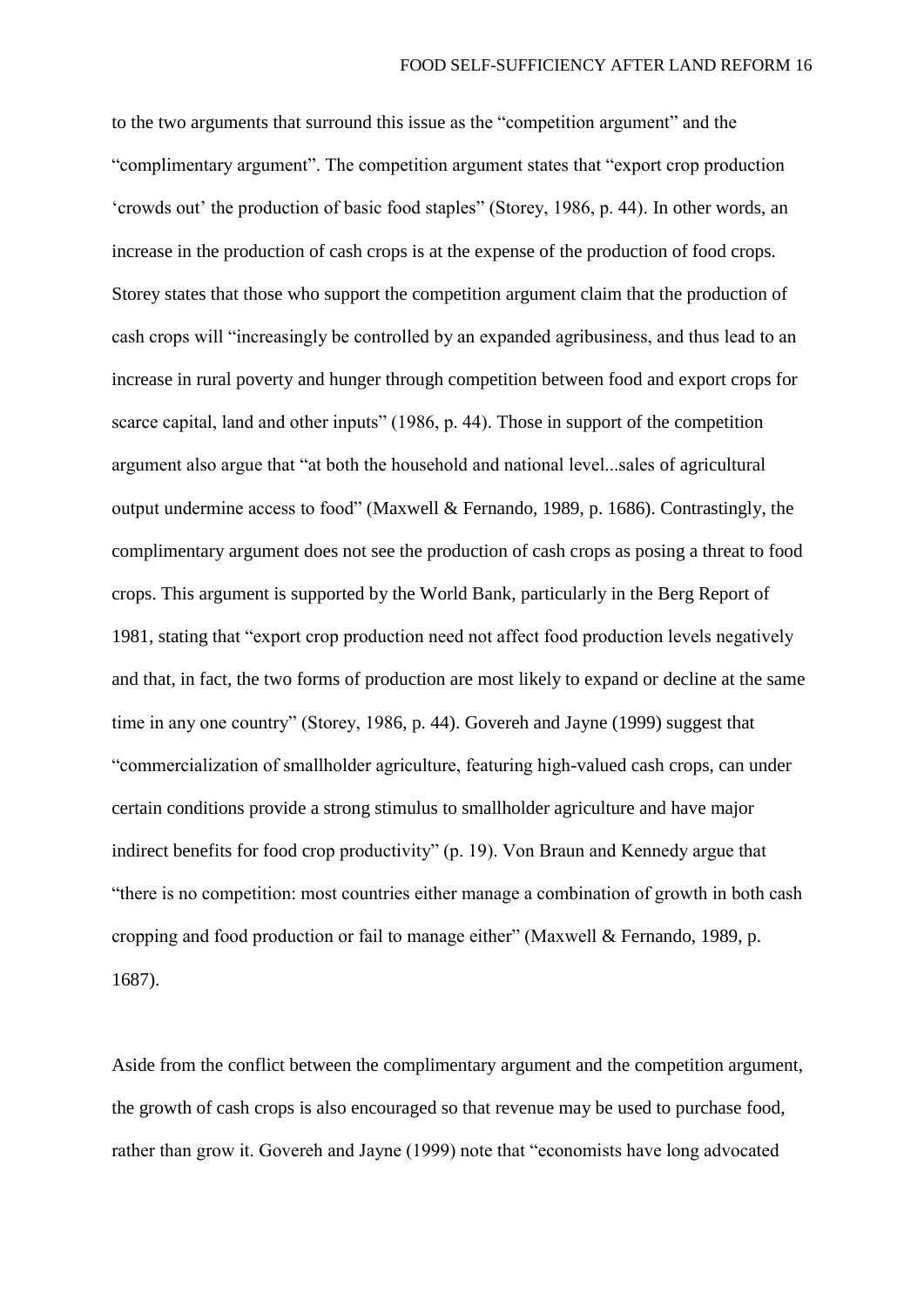to the two arguments that surround this issue as the "competition argument" and the "complimentary argument". The competition argument states that "export crop production 'crowds out' the production of basic food staples" (Storey, 1986, p. 44). In other words, an increase in the production of cash crops is at the expense of the production of food crops. Storey states that those who support the competition argument claim that the production of cash crops will "increasingly be controlled by an expanded agribusiness, and thus lead to an increase in rural poverty and hunger through competition between food and export crops for scarce capital, land and other inputs" (1986, p. 44). Those in support of the competition argument also argue that "at both the household and national level...sales of agricultural output undermine access to food" (Maxwell & Fernando, 1989, p. 1686). Contrastingly, the complimentary argument does not see the production of cash crops as posing a threat to food crops. This argument is supported by the World Bank, particularly in the Berg Report of 1981, stating that "export crop production need not affect food production levels negatively and that, in fact, the two forms of production are most likely to expand or decline at the same time in any one country" (Storey, 1986, p. 44). Govereh and Jayne (1999) suggest that "commercialization of smallholder agriculture, featuring high-valued cash crops, can under certain conditions provide a strong stimulus to smallholder agriculture and have major indirect benefits for food crop productivity" (p. 19). Von Braun and Kennedy argue that "there is no competition: most countries either manage a combination of growth in both cash cropping and food production or fail to manage either" (Maxwell & Fernando, 1989, p. 1687).

Aside from the conflict between the complimentary argument and the competition argument, the growth of cash crops is also encouraged so that revenue may be used to purchase food, rather than grow it. Govereh and Jayne (1999) note that "economists have long advocated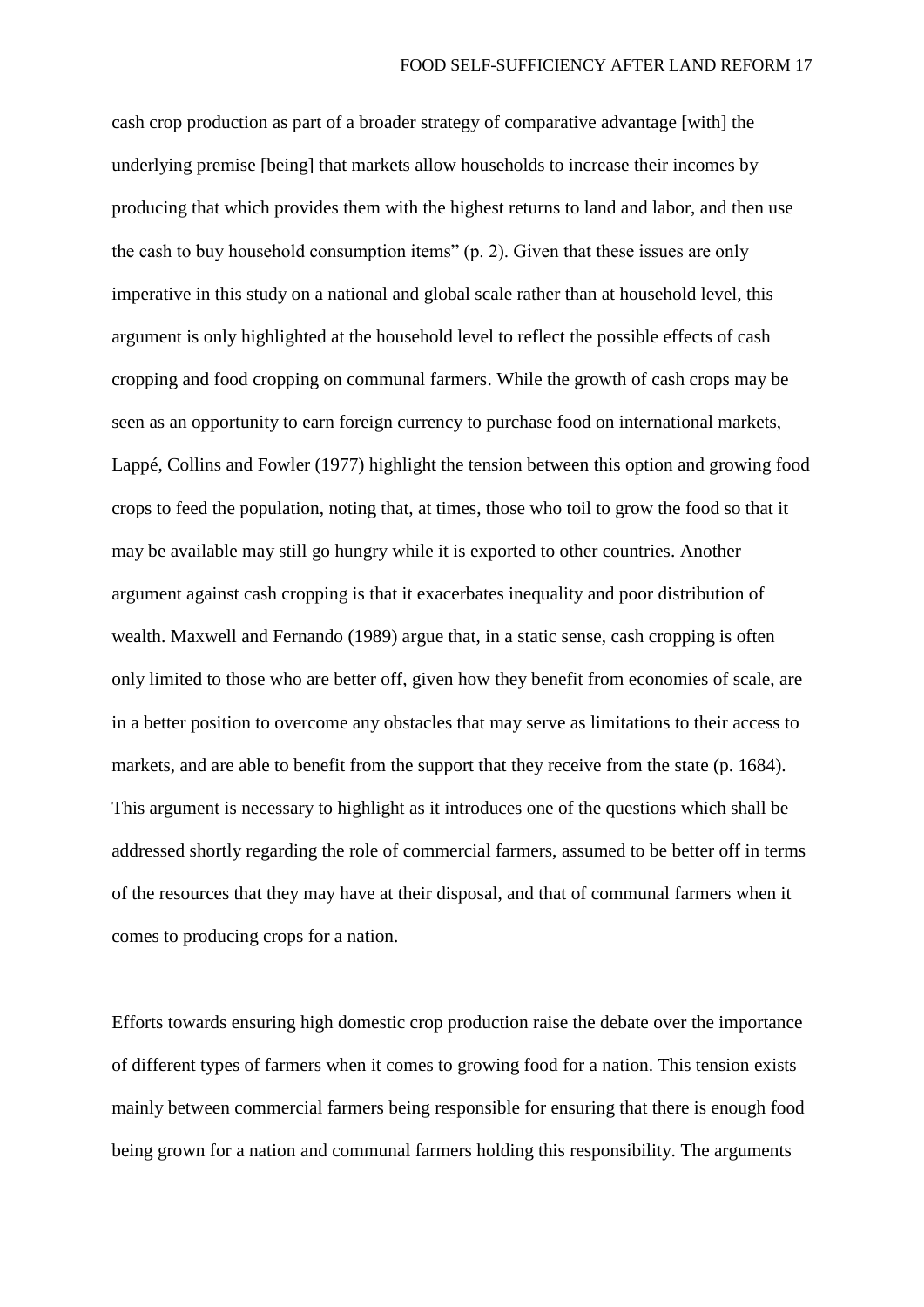cash crop production as part of a broader strategy of comparative advantage [with] the underlying premise [being] that markets allow households to increase their incomes by producing that which provides them with the highest returns to land and labor, and then use the cash to buy household consumption items" (p. 2). Given that these issues are only imperative in this study on a national and global scale rather than at household level, this argument is only highlighted at the household level to reflect the possible effects of cash cropping and food cropping on communal farmers. While the growth of cash crops may be seen as an opportunity to earn foreign currency to purchase food on international markets, Lappé, Collins and Fowler (1977) highlight the tension between this option and growing food crops to feed the population, noting that, at times, those who toil to grow the food so that it may be available may still go hungry while it is exported to other countries. Another argument against cash cropping is that it exacerbates inequality and poor distribution of wealth. Maxwell and Fernando (1989) argue that, in a static sense, cash cropping is often only limited to those who are better off, given how they benefit from economies of scale, are in a better position to overcome any obstacles that may serve as limitations to their access to markets, and are able to benefit from the support that they receive from the state (p. 1684). This argument is necessary to highlight as it introduces one of the questions which shall be addressed shortly regarding the role of commercial farmers, assumed to be better off in terms of the resources that they may have at their disposal, and that of communal farmers when it comes to producing crops for a nation.

Efforts towards ensuring high domestic crop production raise the debate over the importance of different types of farmers when it comes to growing food for a nation. This tension exists mainly between commercial farmers being responsible for ensuring that there is enough food being grown for a nation and communal farmers holding this responsibility. The arguments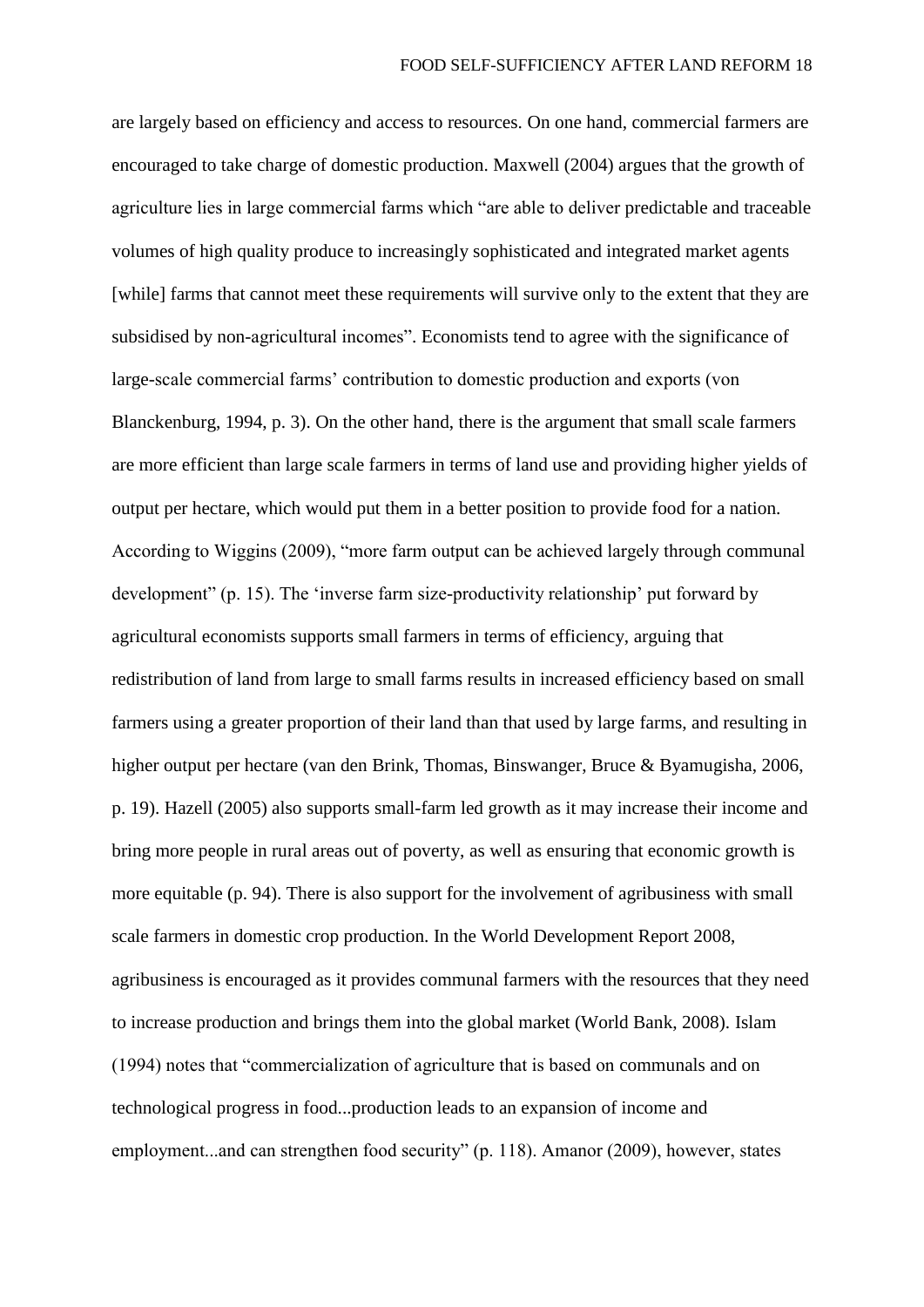are largely based on efficiency and access to resources. On one hand, commercial farmers are encouraged to take charge of domestic production. Maxwell (2004) argues that the growth of agriculture lies in large commercial farms which "are able to deliver predictable and traceable volumes of high quality produce to increasingly sophisticated and integrated market agents [while] farms that cannot meet these requirements will survive only to the extent that they are subsidised by non-agricultural incomes". Economists tend to agree with the significance of large-scale commercial farms' contribution to domestic production and exports (von Blanckenburg, 1994, p. 3). On the other hand, there is the argument that small scale farmers are more efficient than large scale farmers in terms of land use and providing higher yields of output per hectare, which would put them in a better position to provide food for a nation. According to Wiggins (2009), "more farm output can be achieved largely through communal development" (p. 15). The 'inverse farm size-productivity relationship' put forward by agricultural economists supports small farmers in terms of efficiency, arguing that redistribution of land from large to small farms results in increased efficiency based on small farmers using a greater proportion of their land than that used by large farms, and resulting in higher output per hectare (van den Brink, Thomas, Binswanger, Bruce & Byamugisha, 2006, p. 19). Hazell (2005) also supports small-farm led growth as it may increase their income and bring more people in rural areas out of poverty, as well as ensuring that economic growth is more equitable (p. 94). There is also support for the involvement of agribusiness with small scale farmers in domestic crop production. In the World Development Report 2008, agribusiness is encouraged as it provides communal farmers with the resources that they need to increase production and brings them into the global market (World Bank, 2008). Islam (1994) notes that "commercialization of agriculture that is based on communals and on technological progress in food...production leads to an expansion of income and employment...and can strengthen food security" (p. 118). Amanor (2009), however, states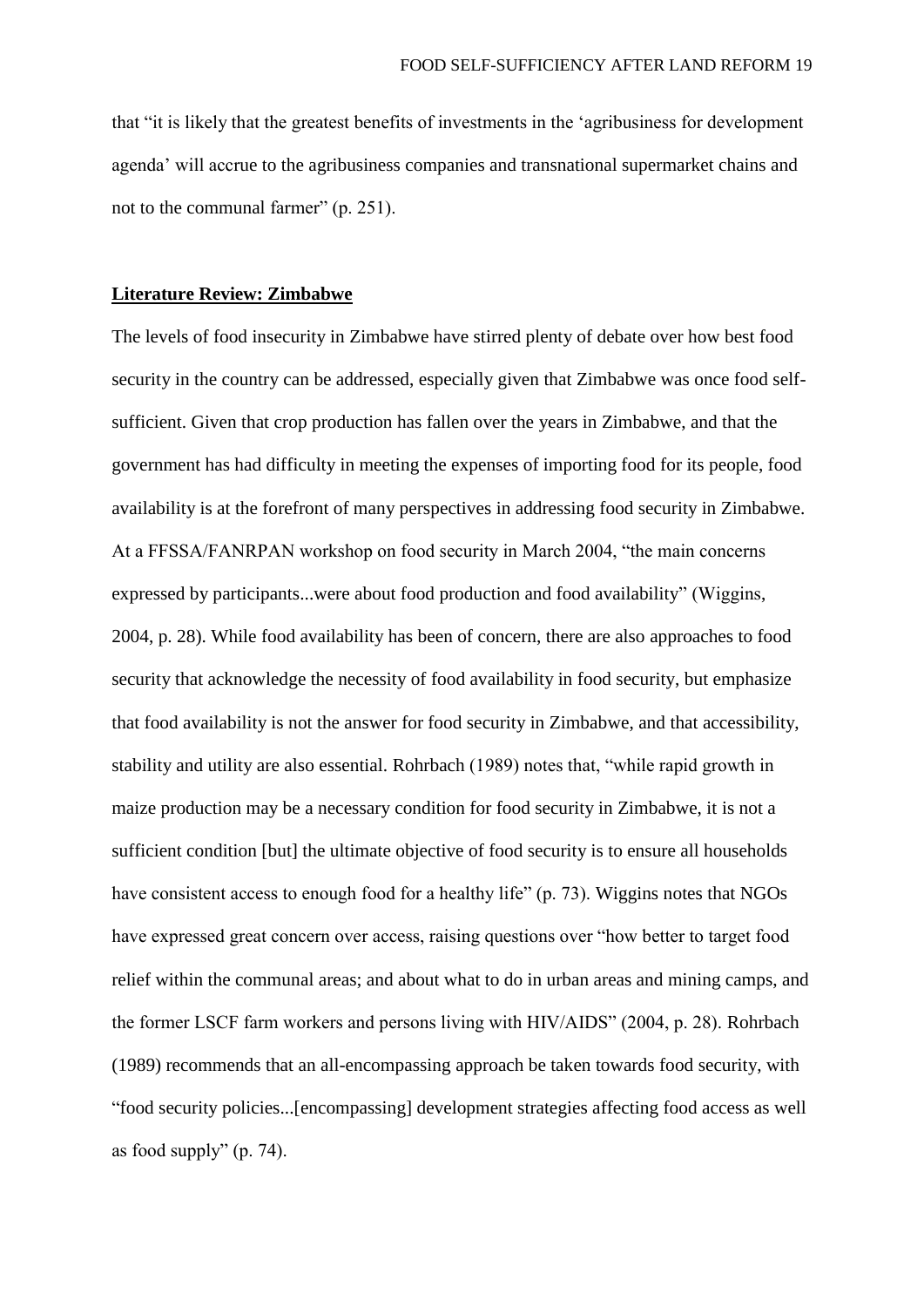that "it is likely that the greatest benefits of investments in the 'agribusiness for development agenda' will accrue to the agribusiness companies and transnational supermarket chains and not to the communal farmer" (p. 251).

## **Literature Review: Zimbabwe**

The levels of food insecurity in Zimbabwe have stirred plenty of debate over how best food security in the country can be addressed, especially given that Zimbabwe was once food selfsufficient. Given that crop production has fallen over the years in Zimbabwe, and that the government has had difficulty in meeting the expenses of importing food for its people, food availability is at the forefront of many perspectives in addressing food security in Zimbabwe. At a FFSSA/FANRPAN workshop on food security in March 2004, "the main concerns expressed by participants...were about food production and food availability" (Wiggins, 2004, p. 28). While food availability has been of concern, there are also approaches to food security that acknowledge the necessity of food availability in food security, but emphasize that food availability is not the answer for food security in Zimbabwe, and that accessibility, stability and utility are also essential. Rohrbach (1989) notes that, "while rapid growth in maize production may be a necessary condition for food security in Zimbabwe, it is not a sufficient condition [but] the ultimate objective of food security is to ensure all households have consistent access to enough food for a healthy life" (p. 73). Wiggins notes that NGOs have expressed great concern over access, raising questions over "how better to target food relief within the communal areas; and about what to do in urban areas and mining camps, and the former LSCF farm workers and persons living with HIV/AIDS" (2004, p. 28). Rohrbach (1989) recommends that an all-encompassing approach be taken towards food security, with "food security policies...[encompassing] development strategies affecting food access as well as food supply" (p. 74).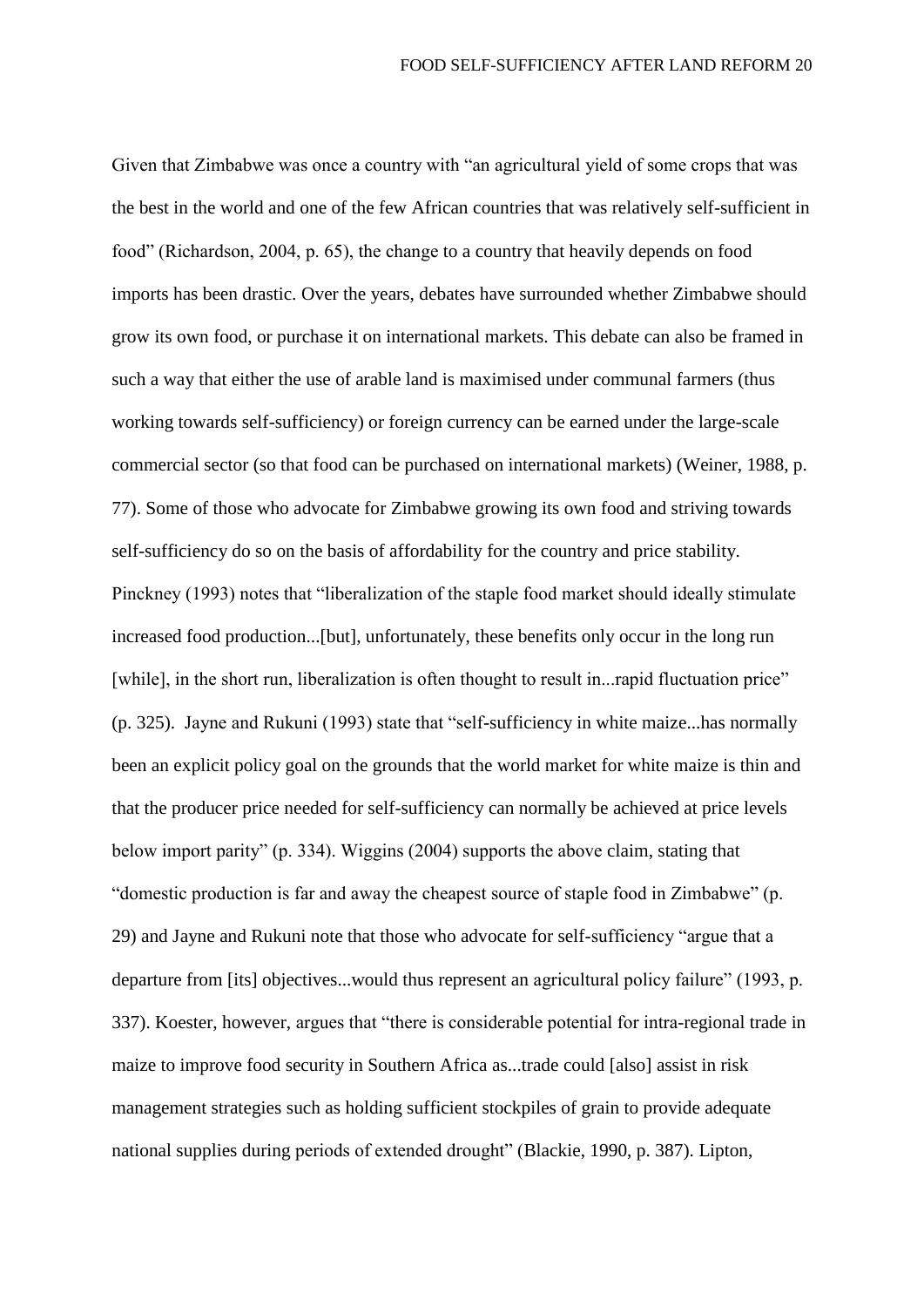Given that Zimbabwe was once a country with "an agricultural yield of some crops that was the best in the world and one of the few African countries that was relatively self-sufficient in food" (Richardson, 2004, p. 65), the change to a country that heavily depends on food imports has been drastic. Over the years, debates have surrounded whether Zimbabwe should grow its own food, or purchase it on international markets. This debate can also be framed in such a way that either the use of arable land is maximised under communal farmers (thus working towards self-sufficiency) or foreign currency can be earned under the large-scale commercial sector (so that food can be purchased on international markets) (Weiner, 1988, p. 77). Some of those who advocate for Zimbabwe growing its own food and striving towards self-sufficiency do so on the basis of affordability for the country and price stability. Pinckney (1993) notes that "liberalization of the staple food market should ideally stimulate increased food production...[but], unfortunately, these benefits only occur in the long run [while], in the short run, liberalization is often thought to result in...rapid fluctuation price" (p. 325). Jayne and Rukuni (1993) state that "self-sufficiency in white maize...has normally been an explicit policy goal on the grounds that the world market for white maize is thin and that the producer price needed for self-sufficiency can normally be achieved at price levels below import parity" (p. 334). Wiggins (2004) supports the above claim, stating that "domestic production is far and away the cheapest source of staple food in Zimbabwe" (p. 29) and Jayne and Rukuni note that those who advocate for self-sufficiency "argue that a departure from [its] objectives...would thus represent an agricultural policy failure" (1993, p. 337). Koester, however, argues that "there is considerable potential for intra-regional trade in maize to improve food security in Southern Africa as...trade could [also] assist in risk management strategies such as holding sufficient stockpiles of grain to provide adequate national supplies during periods of extended drought" (Blackie, 1990, p. 387). Lipton,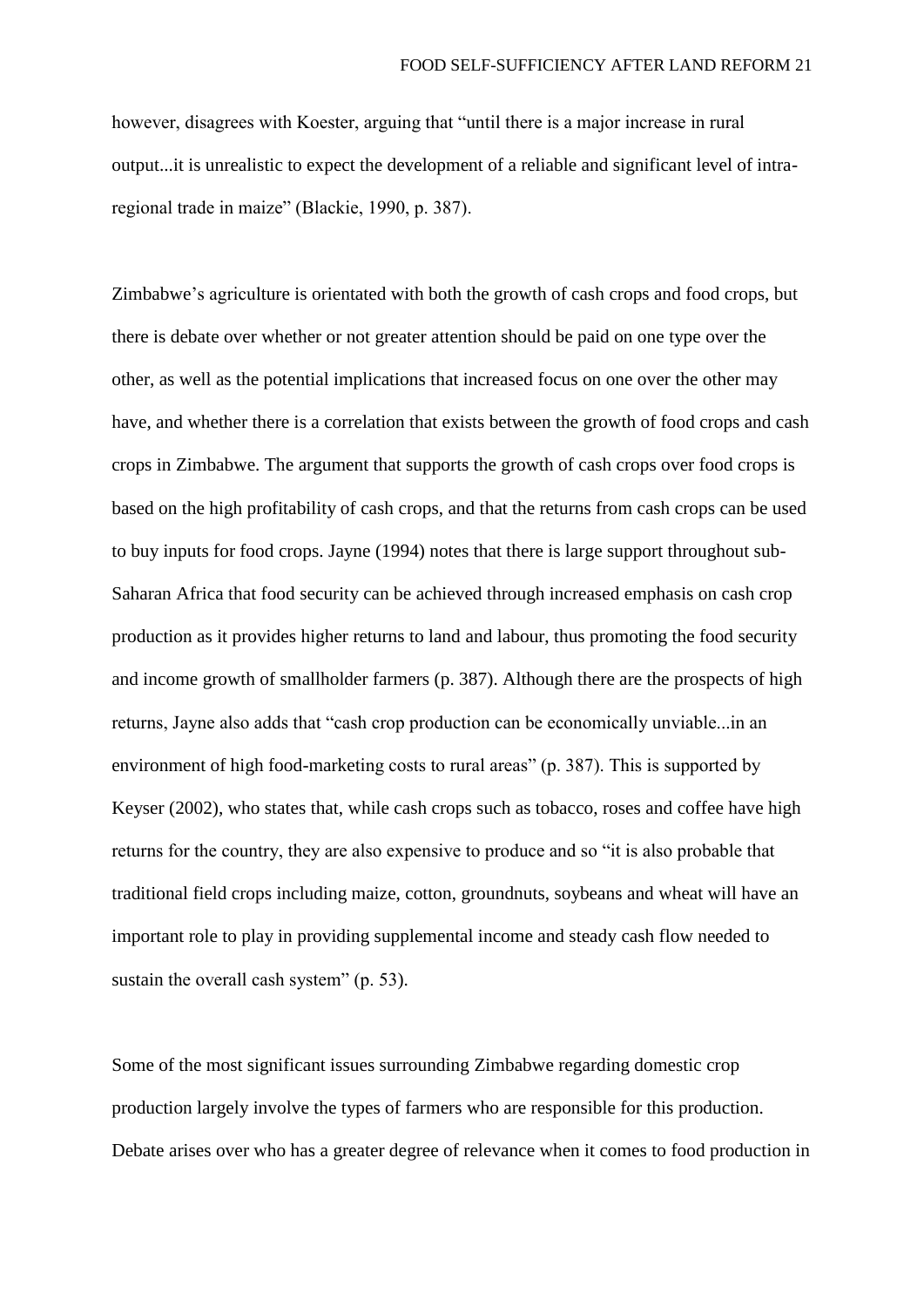however, disagrees with Koester, arguing that "until there is a major increase in rural output...it is unrealistic to expect the development of a reliable and significant level of intraregional trade in maize" (Blackie, 1990, p. 387).

Zimbabwe's agriculture is orientated with both the growth of cash crops and food crops, but there is debate over whether or not greater attention should be paid on one type over the other, as well as the potential implications that increased focus on one over the other may have, and whether there is a correlation that exists between the growth of food crops and cash crops in Zimbabwe. The argument that supports the growth of cash crops over food crops is based on the high profitability of cash crops, and that the returns from cash crops can be used to buy inputs for food crops. Jayne (1994) notes that there is large support throughout sub-Saharan Africa that food security can be achieved through increased emphasis on cash crop production as it provides higher returns to land and labour, thus promoting the food security and income growth of smallholder farmers (p. 387). Although there are the prospects of high returns, Jayne also adds that "cash crop production can be economically unviable...in an environment of high food-marketing costs to rural areas" (p. 387). This is supported by Keyser (2002), who states that, while cash crops such as tobacco, roses and coffee have high returns for the country, they are also expensive to produce and so "it is also probable that traditional field crops including maize, cotton, groundnuts, soybeans and wheat will have an important role to play in providing supplemental income and steady cash flow needed to sustain the overall cash system" (p. 53).

Some of the most significant issues surrounding Zimbabwe regarding domestic crop production largely involve the types of farmers who are responsible for this production. Debate arises over who has a greater degree of relevance when it comes to food production in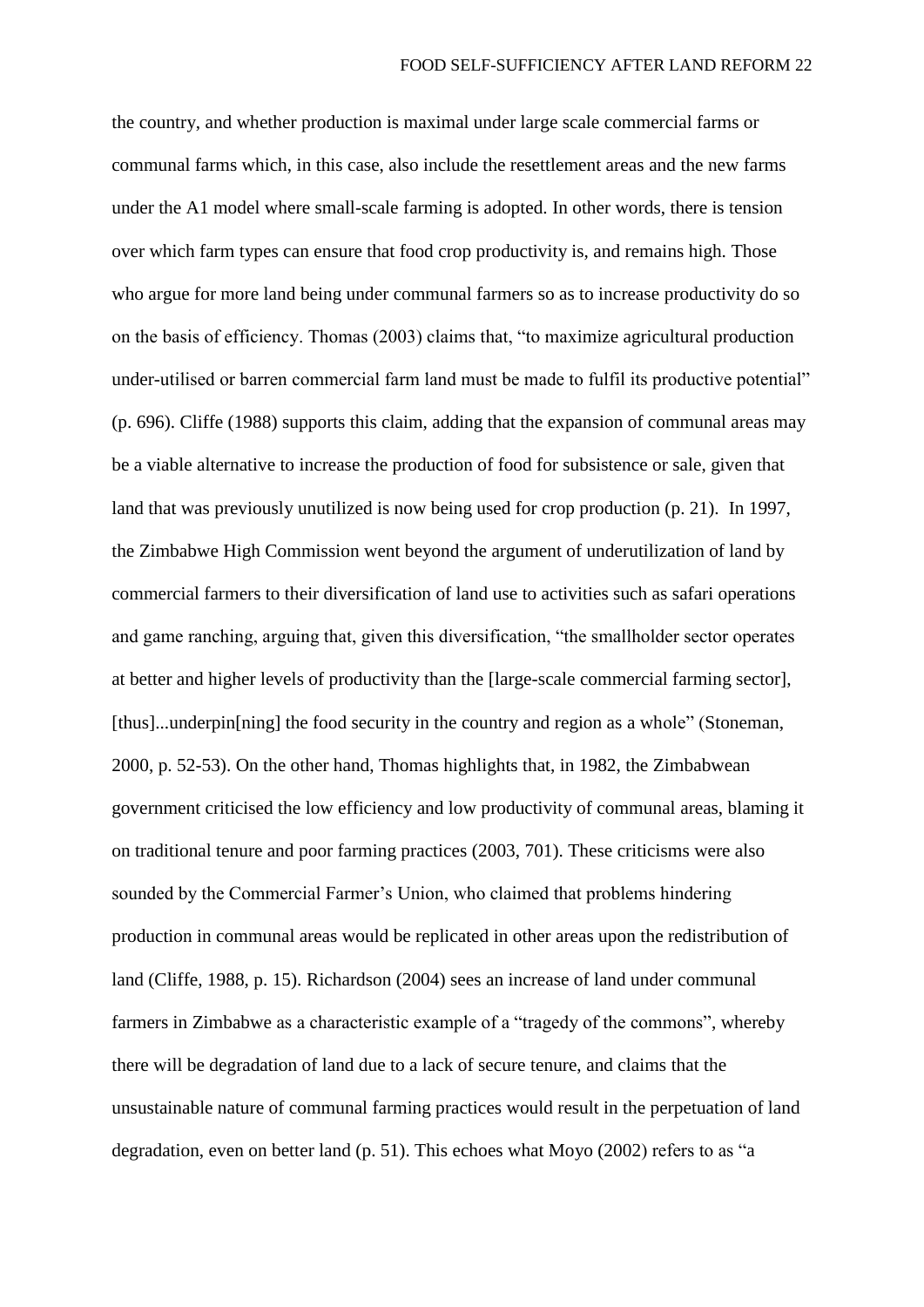the country, and whether production is maximal under large scale commercial farms or communal farms which, in this case, also include the resettlement areas and the new farms under the A1 model where small-scale farming is adopted. In other words, there is tension over which farm types can ensure that food crop productivity is, and remains high. Those who argue for more land being under communal farmers so as to increase productivity do so on the basis of efficiency. Thomas (2003) claims that, "to maximize agricultural production under-utilised or barren commercial farm land must be made to fulfil its productive potential" (p. 696). Cliffe (1988) supports this claim, adding that the expansion of communal areas may be a viable alternative to increase the production of food for subsistence or sale, given that land that was previously unutilized is now being used for crop production (p. 21). In 1997, the Zimbabwe High Commission went beyond the argument of underutilization of land by commercial farmers to their diversification of land use to activities such as safari operations and game ranching, arguing that, given this diversification, "the smallholder sector operates at better and higher levels of productivity than the [large-scale commercial farming sector], [thus]...underpin[ning] the food security in the country and region as a whole" (Stoneman, 2000, p. 52-53). On the other hand, Thomas highlights that, in 1982, the Zimbabwean government criticised the low efficiency and low productivity of communal areas, blaming it on traditional tenure and poor farming practices (2003, 701). These criticisms were also sounded by the Commercial Farmer's Union, who claimed that problems hindering production in communal areas would be replicated in other areas upon the redistribution of land (Cliffe, 1988, p. 15). Richardson (2004) sees an increase of land under communal farmers in Zimbabwe as a characteristic example of a "tragedy of the commons", whereby there will be degradation of land due to a lack of secure tenure, and claims that the unsustainable nature of communal farming practices would result in the perpetuation of land degradation, even on better land (p. 51). This echoes what Moyo (2002) refers to as "a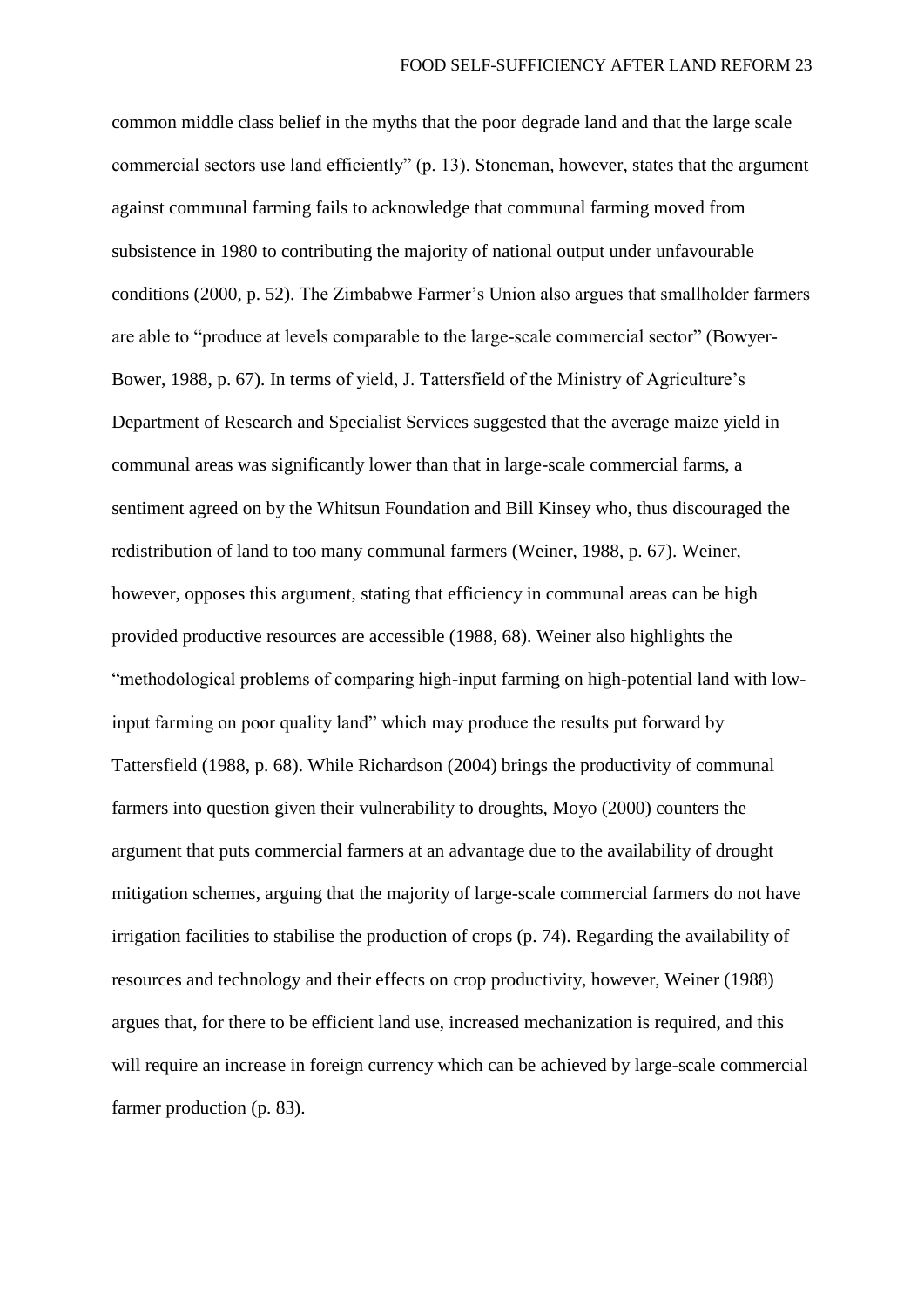common middle class belief in the myths that the poor degrade land and that the large scale commercial sectors use land efficiently" (p. 13). Stoneman, however, states that the argument against communal farming fails to acknowledge that communal farming moved from subsistence in 1980 to contributing the majority of national output under unfavourable conditions (2000, p. 52). The Zimbabwe Farmer's Union also argues that smallholder farmers are able to "produce at levels comparable to the large-scale commercial sector" (Bowyer-Bower, 1988, p. 67). In terms of yield, J. Tattersfield of the Ministry of Agriculture's Department of Research and Specialist Services suggested that the average maize yield in communal areas was significantly lower than that in large-scale commercial farms, a sentiment agreed on by the Whitsun Foundation and Bill Kinsey who, thus discouraged the redistribution of land to too many communal farmers (Weiner, 1988, p. 67). Weiner, however, opposes this argument, stating that efficiency in communal areas can be high provided productive resources are accessible (1988, 68). Weiner also highlights the "methodological problems of comparing high-input farming on high-potential land with lowinput farming on poor quality land" which may produce the results put forward by Tattersfield (1988, p. 68). While Richardson (2004) brings the productivity of communal farmers into question given their vulnerability to droughts, Moyo (2000) counters the argument that puts commercial farmers at an advantage due to the availability of drought mitigation schemes, arguing that the majority of large-scale commercial farmers do not have irrigation facilities to stabilise the production of crops (p. 74). Regarding the availability of resources and technology and their effects on crop productivity, however, Weiner (1988) argues that, for there to be efficient land use, increased mechanization is required, and this will require an increase in foreign currency which can be achieved by large-scale commercial farmer production (p. 83).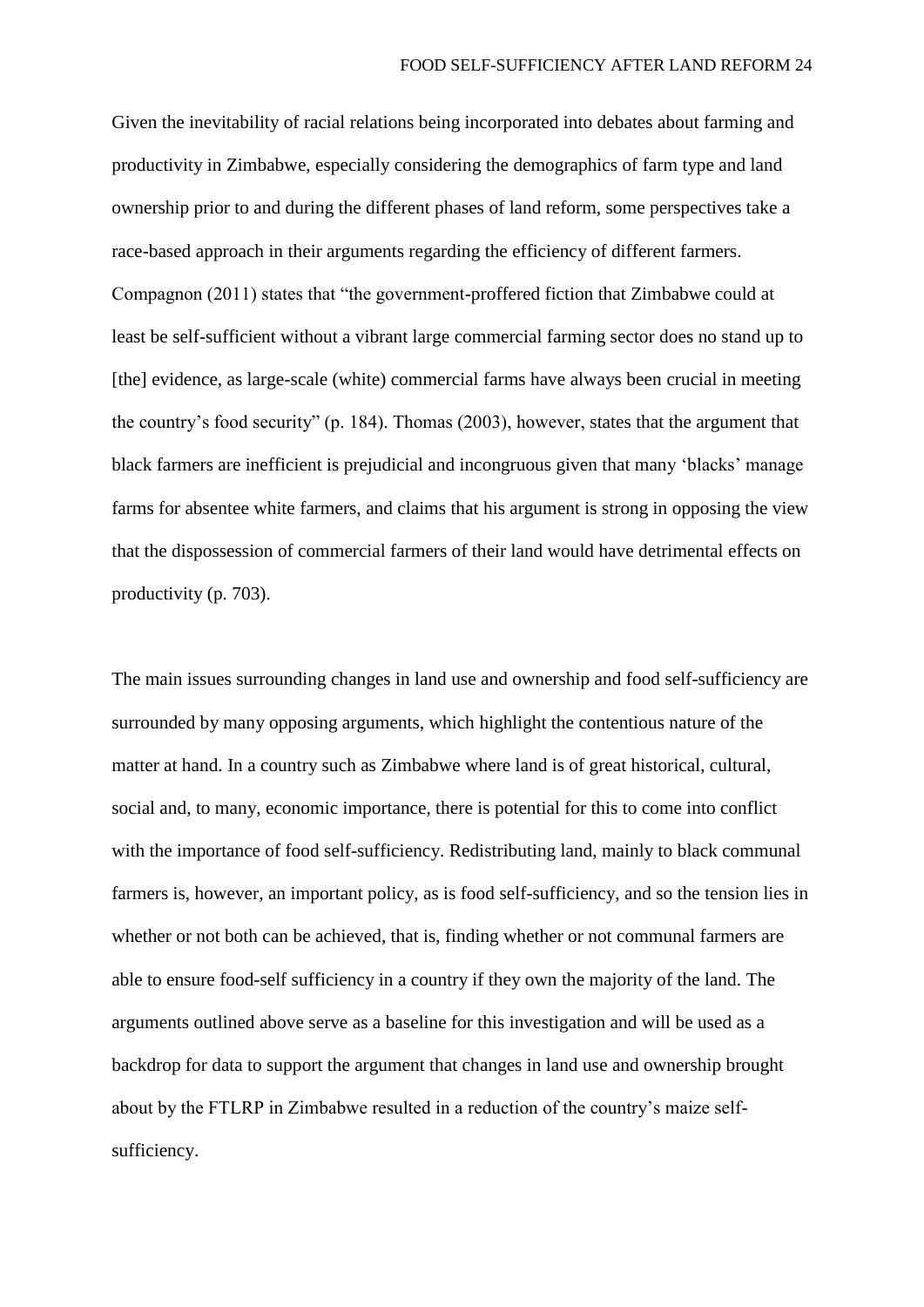Given the inevitability of racial relations being incorporated into debates about farming and productivity in Zimbabwe, especially considering the demographics of farm type and land ownership prior to and during the different phases of land reform, some perspectives take a race-based approach in their arguments regarding the efficiency of different farmers. Compagnon (2011) states that "the government-proffered fiction that Zimbabwe could at least be self-sufficient without a vibrant large commercial farming sector does no stand up to [the] evidence, as large-scale (white) commercial farms have always been crucial in meeting the country's food security" (p. 184). Thomas (2003), however, states that the argument that black farmers are inefficient is prejudicial and incongruous given that many 'blacks' manage farms for absentee white farmers, and claims that his argument is strong in opposing the view that the dispossession of commercial farmers of their land would have detrimental effects on productivity (p. 703).

The main issues surrounding changes in land use and ownership and food self-sufficiency are surrounded by many opposing arguments, which highlight the contentious nature of the matter at hand. In a country such as Zimbabwe where land is of great historical, cultural, social and, to many, economic importance, there is potential for this to come into conflict with the importance of food self-sufficiency. Redistributing land, mainly to black communal farmers is, however, an important policy, as is food self-sufficiency, and so the tension lies in whether or not both can be achieved, that is, finding whether or not communal farmers are able to ensure food-self sufficiency in a country if they own the majority of the land. The arguments outlined above serve as a baseline for this investigation and will be used as a backdrop for data to support the argument that changes in land use and ownership brought about by the FTLRP in Zimbabwe resulted in a reduction of the country's maize selfsufficiency.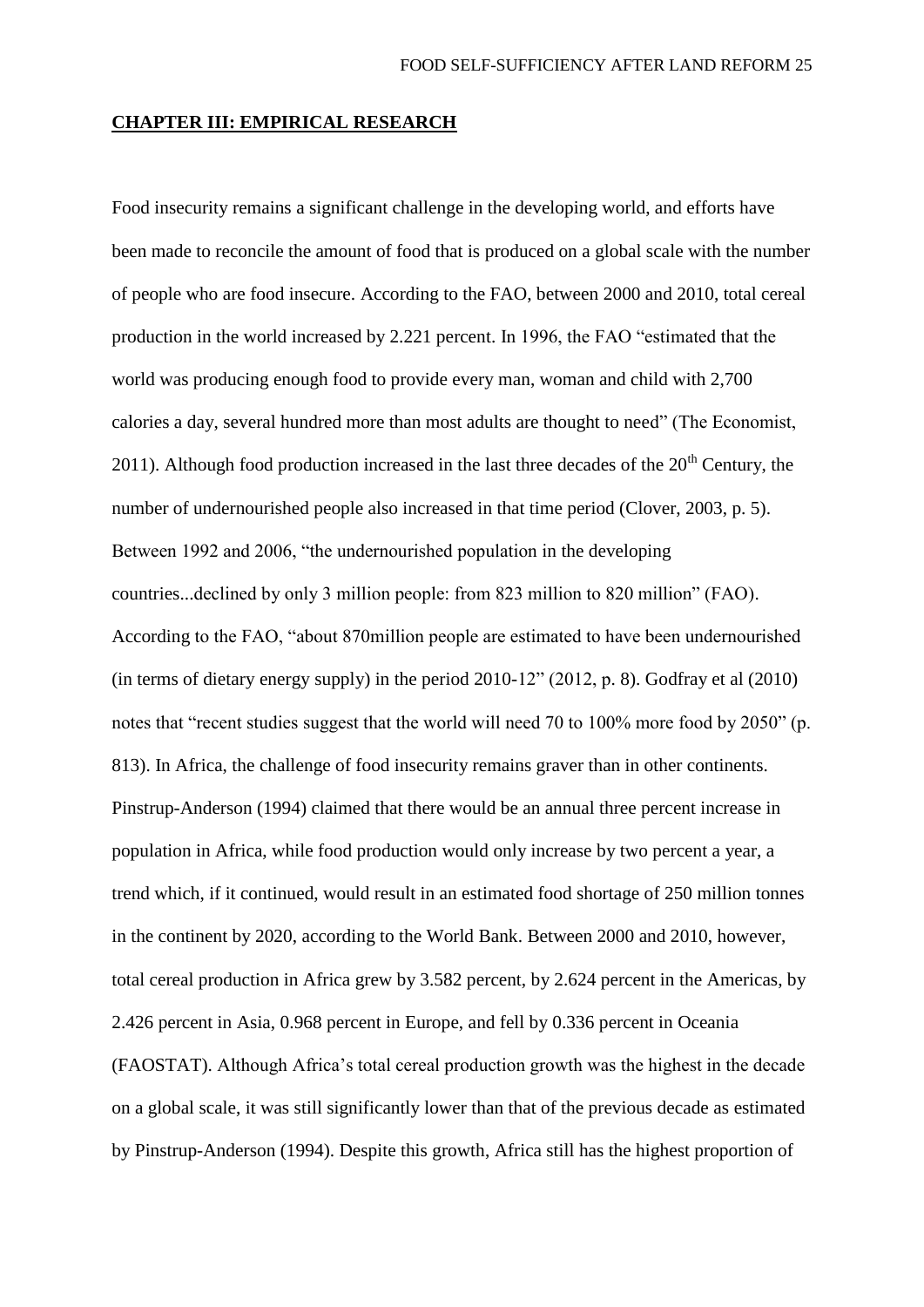### **CHAPTER III: EMPIRICAL RESEARCH**

Food insecurity remains a significant challenge in the developing world, and efforts have been made to reconcile the amount of food that is produced on a global scale with the number of people who are food insecure. According to the FAO, between 2000 and 2010, total cereal production in the world increased by 2.221 percent. In 1996, the FAO "estimated that the world was producing enough food to provide every man, woman and child with 2,700 calories a day, several hundred more than most adults are thought to need" (The Economist, 2011). Although food production increased in the last three decades of the  $20<sup>th</sup>$  Century, the number of undernourished people also increased in that time period (Clover, 2003, p. 5). Between 1992 and 2006, "the undernourished population in the developing countries...declined by only 3 million people: from 823 million to 820 million" (FAO). According to the FAO, "about 870million people are estimated to have been undernourished (in terms of dietary energy supply) in the period 2010-12" (2012, p. 8). Godfray et al (2010) notes that "recent studies suggest that the world will need 70 to 100% more food by 2050" (p. 813). In Africa, the challenge of food insecurity remains graver than in other continents. Pinstrup-Anderson (1994) claimed that there would be an annual three percent increase in population in Africa, while food production would only increase by two percent a year, a trend which, if it continued, would result in an estimated food shortage of 250 million tonnes in the continent by 2020, according to the World Bank. Between 2000 and 2010, however, total cereal production in Africa grew by 3.582 percent, by 2.624 percent in the Americas, by 2.426 percent in Asia, 0.968 percent in Europe, and fell by 0.336 percent in Oceania (FAOSTAT). Although Africa's total cereal production growth was the highest in the decade on a global scale, it was still significantly lower than that of the previous decade as estimated by Pinstrup-Anderson (1994). Despite this growth, Africa still has the highest proportion of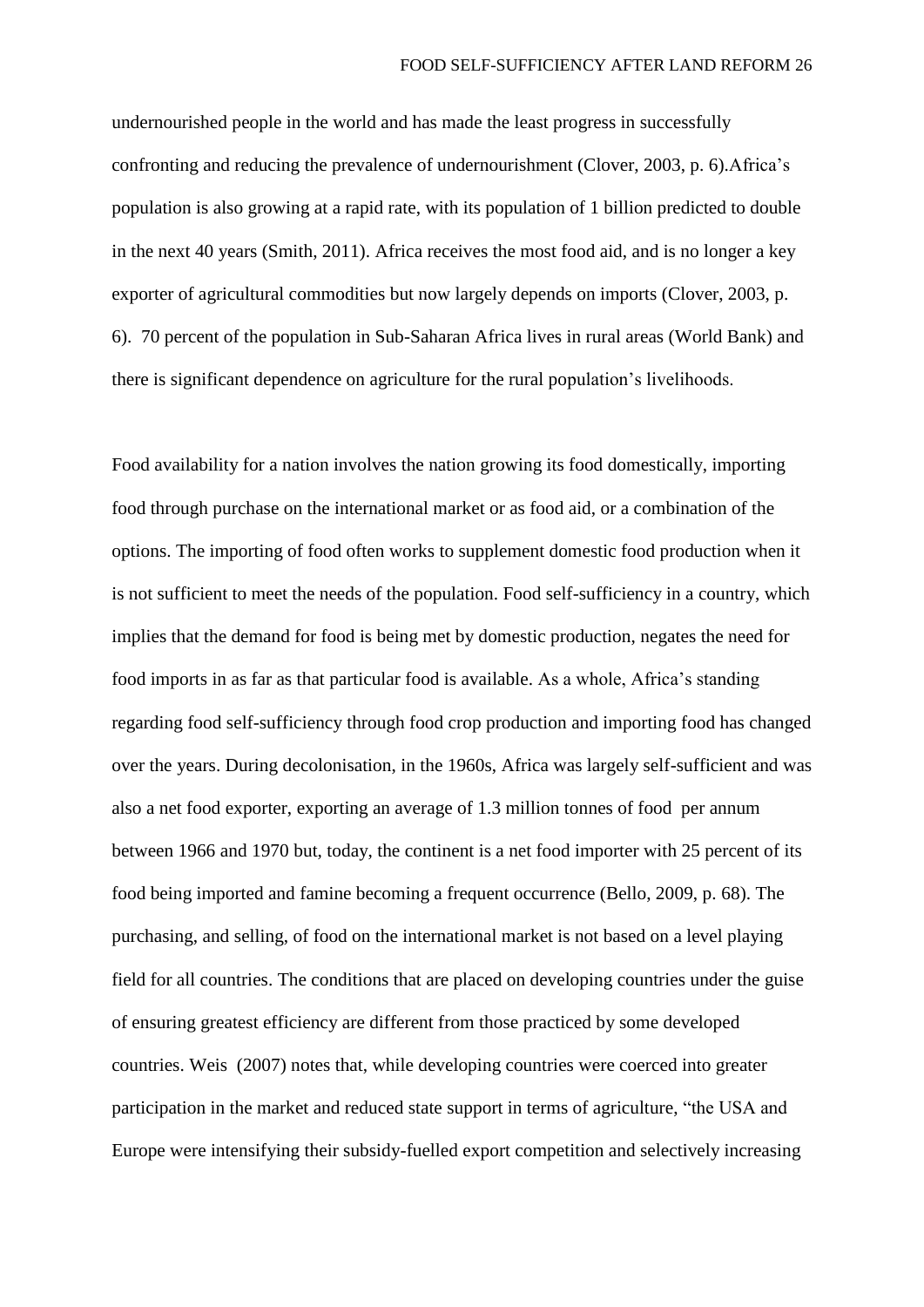undernourished people in the world and has made the least progress in successfully confronting and reducing the prevalence of undernourishment (Clover, 2003, p. 6).Africa's population is also growing at a rapid rate, with its population of 1 billion predicted to double in the next 40 years (Smith, 2011). Africa receives the most food aid, and is no longer a key exporter of agricultural commodities but now largely depends on imports (Clover, 2003, p. 6). 70 percent of the population in Sub-Saharan Africa lives in rural areas (World Bank) and there is significant dependence on agriculture for the rural population's livelihoods.

Food availability for a nation involves the nation growing its food domestically, importing food through purchase on the international market or as food aid, or a combination of the options. The importing of food often works to supplement domestic food production when it is not sufficient to meet the needs of the population. Food self-sufficiency in a country, which implies that the demand for food is being met by domestic production, negates the need for food imports in as far as that particular food is available. As a whole, Africa's standing regarding food self-sufficiency through food crop production and importing food has changed over the years. During decolonisation, in the 1960s, Africa was largely self-sufficient and was also a net food exporter, exporting an average of 1.3 million tonnes of food per annum between 1966 and 1970 but, today, the continent is a net food importer with 25 percent of its food being imported and famine becoming a frequent occurrence (Bello, 2009, p. 68). The purchasing, and selling, of food on the international market is not based on a level playing field for all countries. The conditions that are placed on developing countries under the guise of ensuring greatest efficiency are different from those practiced by some developed countries. Weis (2007) notes that, while developing countries were coerced into greater participation in the market and reduced state support in terms of agriculture, "the USA and Europe were intensifying their subsidy-fuelled export competition and selectively increasing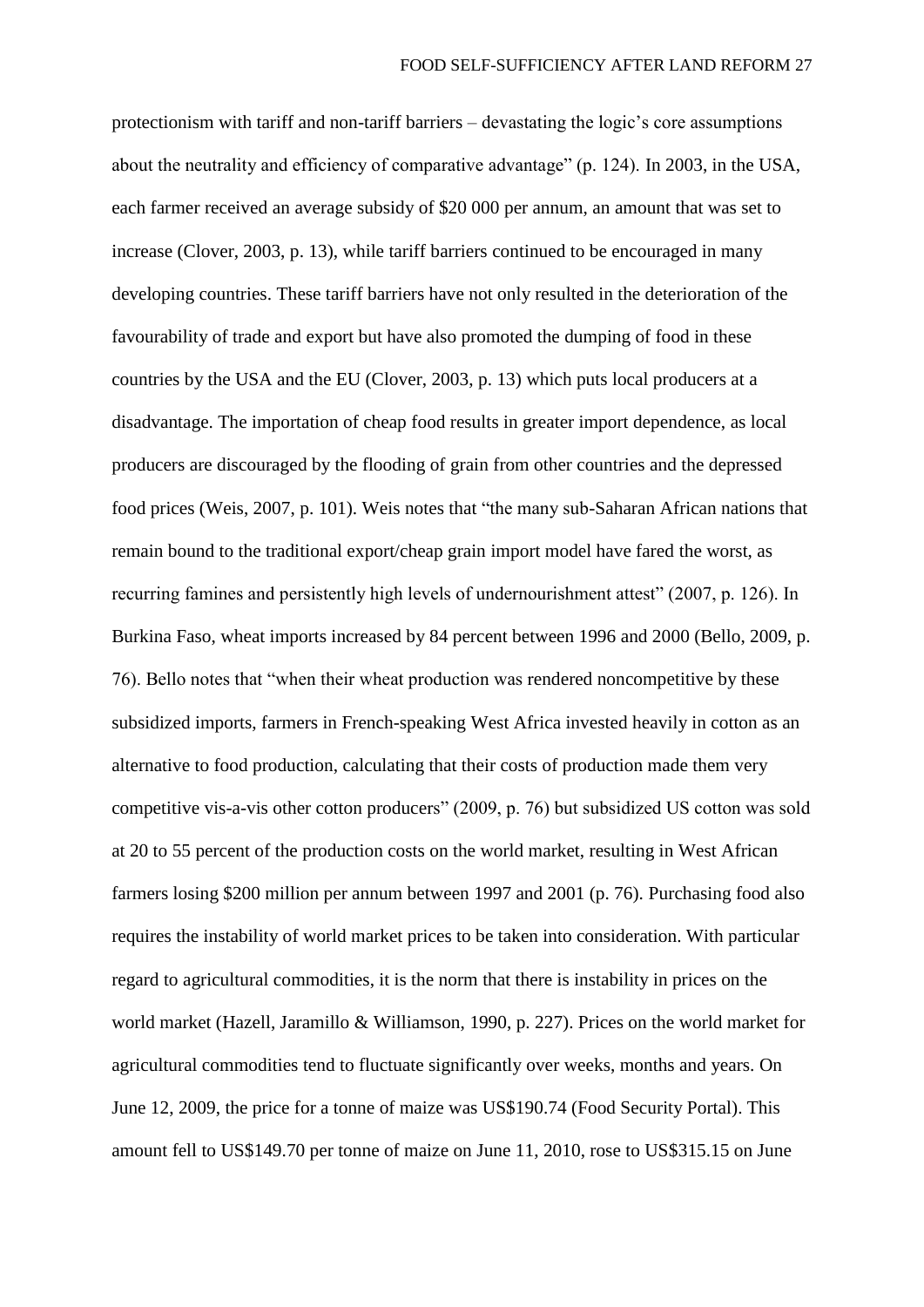protectionism with tariff and non-tariff barriers – devastating the logic's core assumptions about the neutrality and efficiency of comparative advantage" (p. 124). In 2003, in the USA, each farmer received an average subsidy of \$20 000 per annum, an amount that was set to increase (Clover, 2003, p. 13), while tariff barriers continued to be encouraged in many developing countries. These tariff barriers have not only resulted in the deterioration of the favourability of trade and export but have also promoted the dumping of food in these countries by the USA and the EU (Clover, 2003, p. 13) which puts local producers at a disadvantage. The importation of cheap food results in greater import dependence, as local producers are discouraged by the flooding of grain from other countries and the depressed food prices (Weis, 2007, p. 101). Weis notes that "the many sub-Saharan African nations that remain bound to the traditional export/cheap grain import model have fared the worst, as recurring famines and persistently high levels of undernourishment attest" (2007, p. 126). In Burkina Faso, wheat imports increased by 84 percent between 1996 and 2000 (Bello, 2009, p. 76). Bello notes that "when their wheat production was rendered noncompetitive by these subsidized imports, farmers in French-speaking West Africa invested heavily in cotton as an alternative to food production, calculating that their costs of production made them very competitive vis-a-vis other cotton producers" (2009, p. 76) but subsidized US cotton was sold at 20 to 55 percent of the production costs on the world market, resulting in West African farmers losing \$200 million per annum between 1997 and 2001 (p. 76). Purchasing food also requires the instability of world market prices to be taken into consideration. With particular regard to agricultural commodities, it is the norm that there is instability in prices on the world market (Hazell, Jaramillo & Williamson, 1990, p. 227). Prices on the world market for agricultural commodities tend to fluctuate significantly over weeks, months and years. On June 12, 2009, the price for a tonne of maize was US\$190.74 (Food Security Portal). This amount fell to US\$149.70 per tonne of maize on June 11, 2010, rose to US\$315.15 on June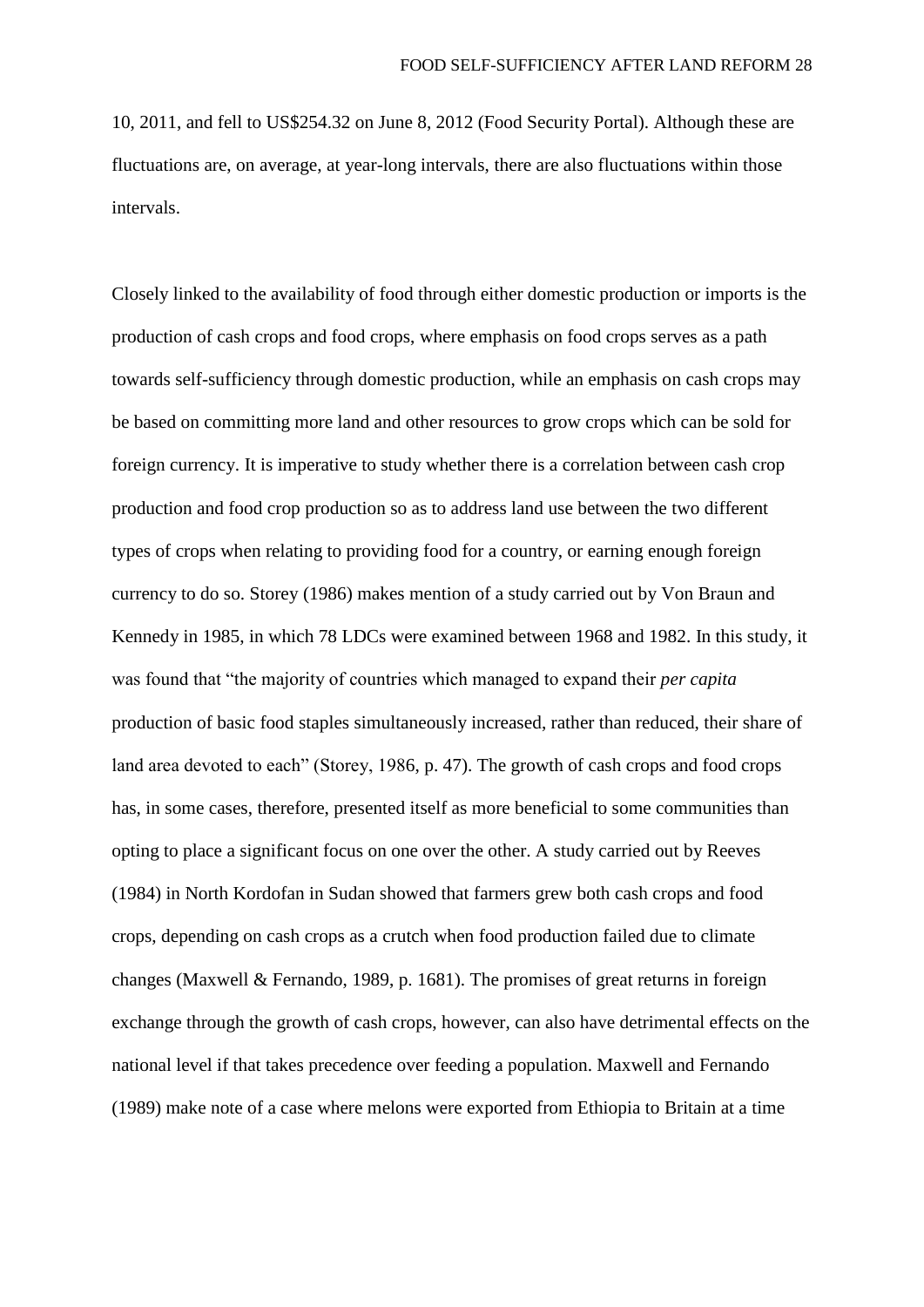10, 2011, and fell to US\$254.32 on June 8, 2012 (Food Security Portal). Although these are fluctuations are, on average, at year-long intervals, there are also fluctuations within those intervals.

Closely linked to the availability of food through either domestic production or imports is the production of cash crops and food crops, where emphasis on food crops serves as a path towards self-sufficiency through domestic production, while an emphasis on cash crops may be based on committing more land and other resources to grow crops which can be sold for foreign currency. It is imperative to study whether there is a correlation between cash crop production and food crop production so as to address land use between the two different types of crops when relating to providing food for a country, or earning enough foreign currency to do so. Storey (1986) makes mention of a study carried out by Von Braun and Kennedy in 1985, in which 78 LDCs were examined between 1968 and 1982. In this study, it was found that "the majority of countries which managed to expand their *per capita*  production of basic food staples simultaneously increased, rather than reduced, their share of land area devoted to each" (Storey, 1986, p. 47). The growth of cash crops and food crops has, in some cases, therefore, presented itself as more beneficial to some communities than opting to place a significant focus on one over the other. A study carried out by Reeves (1984) in North Kordofan in Sudan showed that farmers grew both cash crops and food crops, depending on cash crops as a crutch when food production failed due to climate changes (Maxwell & Fernando, 1989, p. 1681). The promises of great returns in foreign exchange through the growth of cash crops, however, can also have detrimental effects on the national level if that takes precedence over feeding a population. Maxwell and Fernando (1989) make note of a case where melons were exported from Ethiopia to Britain at a time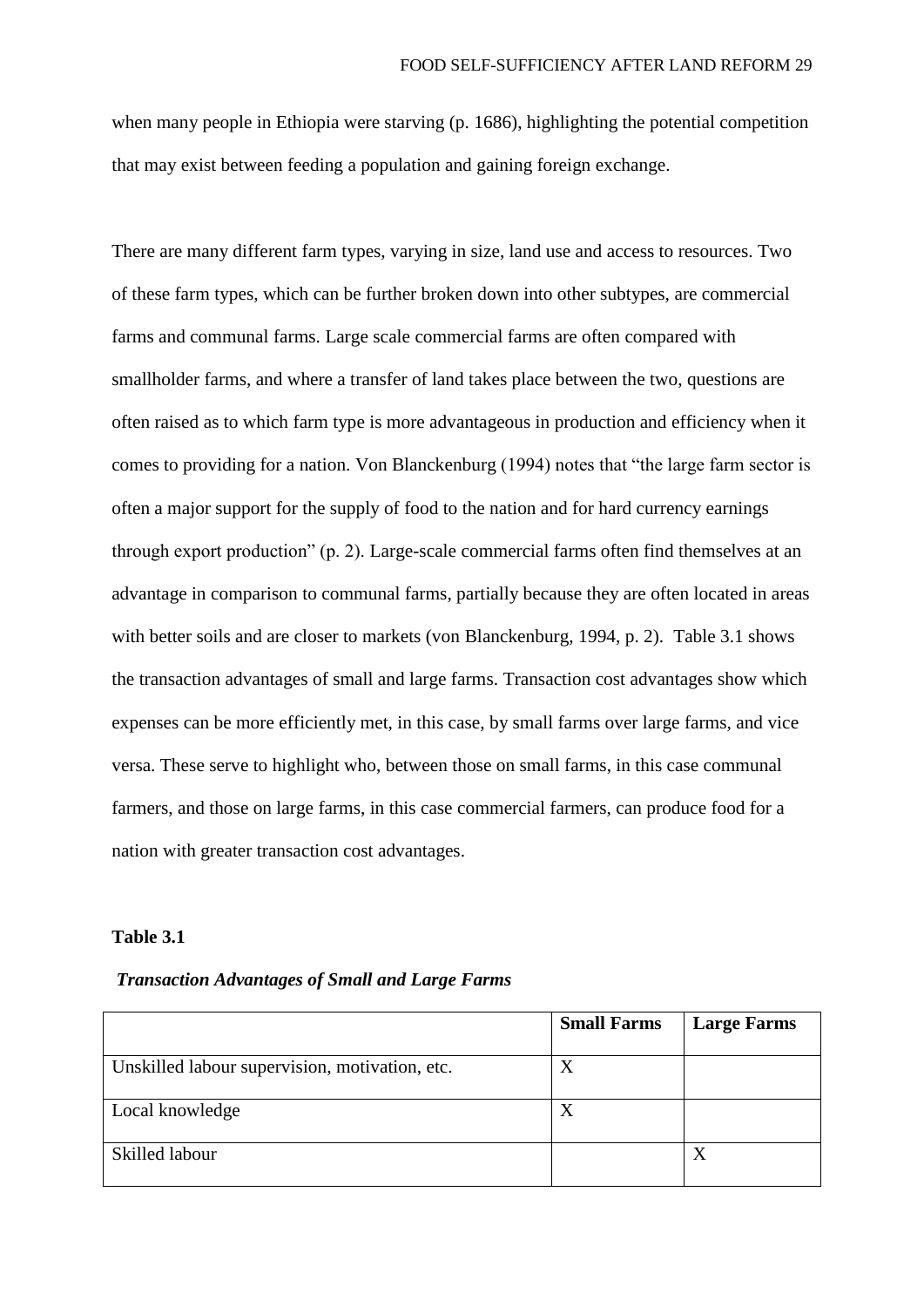when many people in Ethiopia were starving (p. 1686), highlighting the potential competition that may exist between feeding a population and gaining foreign exchange.

There are many different farm types, varying in size, land use and access to resources. Two of these farm types, which can be further broken down into other subtypes, are commercial farms and communal farms. Large scale commercial farms are often compared with smallholder farms, and where a transfer of land takes place between the two, questions are often raised as to which farm type is more advantageous in production and efficiency when it comes to providing for a nation. Von Blanckenburg (1994) notes that "the large farm sector is often a major support for the supply of food to the nation and for hard currency earnings through export production" (p. 2). Large-scale commercial farms often find themselves at an advantage in comparison to communal farms, partially because they are often located in areas with better soils and are closer to markets (von Blanckenburg, 1994, p. 2). Table 3.1 shows the transaction advantages of small and large farms. Transaction cost advantages show which expenses can be more efficiently met, in this case, by small farms over large farms, and vice versa. These serve to highlight who, between those on small farms, in this case communal farmers, and those on large farms, in this case commercial farmers, can produce food for a nation with greater transaction cost advantages.

#### **Table 3.1**

*Transaction Advantages of Small and Large Farms*

|                                                | <b>Small Farms</b> | <b>Large Farms</b> |
|------------------------------------------------|--------------------|--------------------|
| Unskilled labour supervision, motivation, etc. | X                  |                    |
| Local knowledge                                | X                  |                    |
| Skilled labour                                 |                    |                    |
|                                                |                    |                    |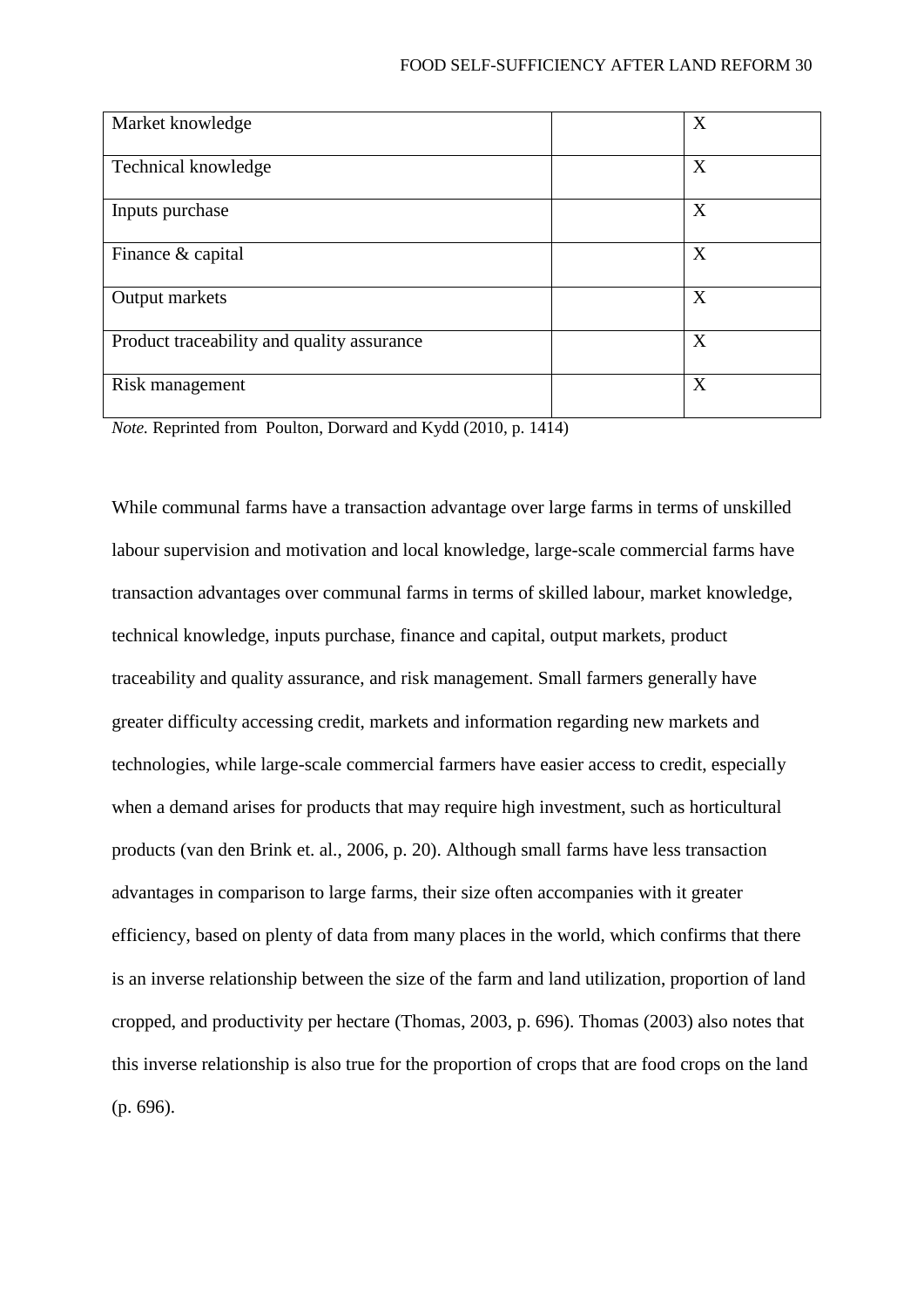## FOOD SELF-SUFFICIENCY AFTER LAND REFORM 30

| Market knowledge                           | X |
|--------------------------------------------|---|
| Technical knowledge                        | X |
| Inputs purchase                            | X |
| Finance & capital                          | X |
| Output markets                             | X |
| Product traceability and quality assurance | X |
| Risk management                            | X |

*Note.* Reprinted from Poulton, Dorward and Kydd (2010, p. 1414)

While communal farms have a transaction advantage over large farms in terms of unskilled labour supervision and motivation and local knowledge, large-scale commercial farms have transaction advantages over communal farms in terms of skilled labour, market knowledge, technical knowledge, inputs purchase, finance and capital, output markets, product traceability and quality assurance, and risk management. Small farmers generally have greater difficulty accessing credit, markets and information regarding new markets and technologies, while large-scale commercial farmers have easier access to credit, especially when a demand arises for products that may require high investment, such as horticultural products (van den Brink et. al., 2006, p. 20). Although small farms have less transaction advantages in comparison to large farms, their size often accompanies with it greater efficiency, based on plenty of data from many places in the world, which confirms that there is an inverse relationship between the size of the farm and land utilization, proportion of land cropped, and productivity per hectare (Thomas, 2003, p. 696). Thomas (2003) also notes that this inverse relationship is also true for the proportion of crops that are food crops on the land (p. 696).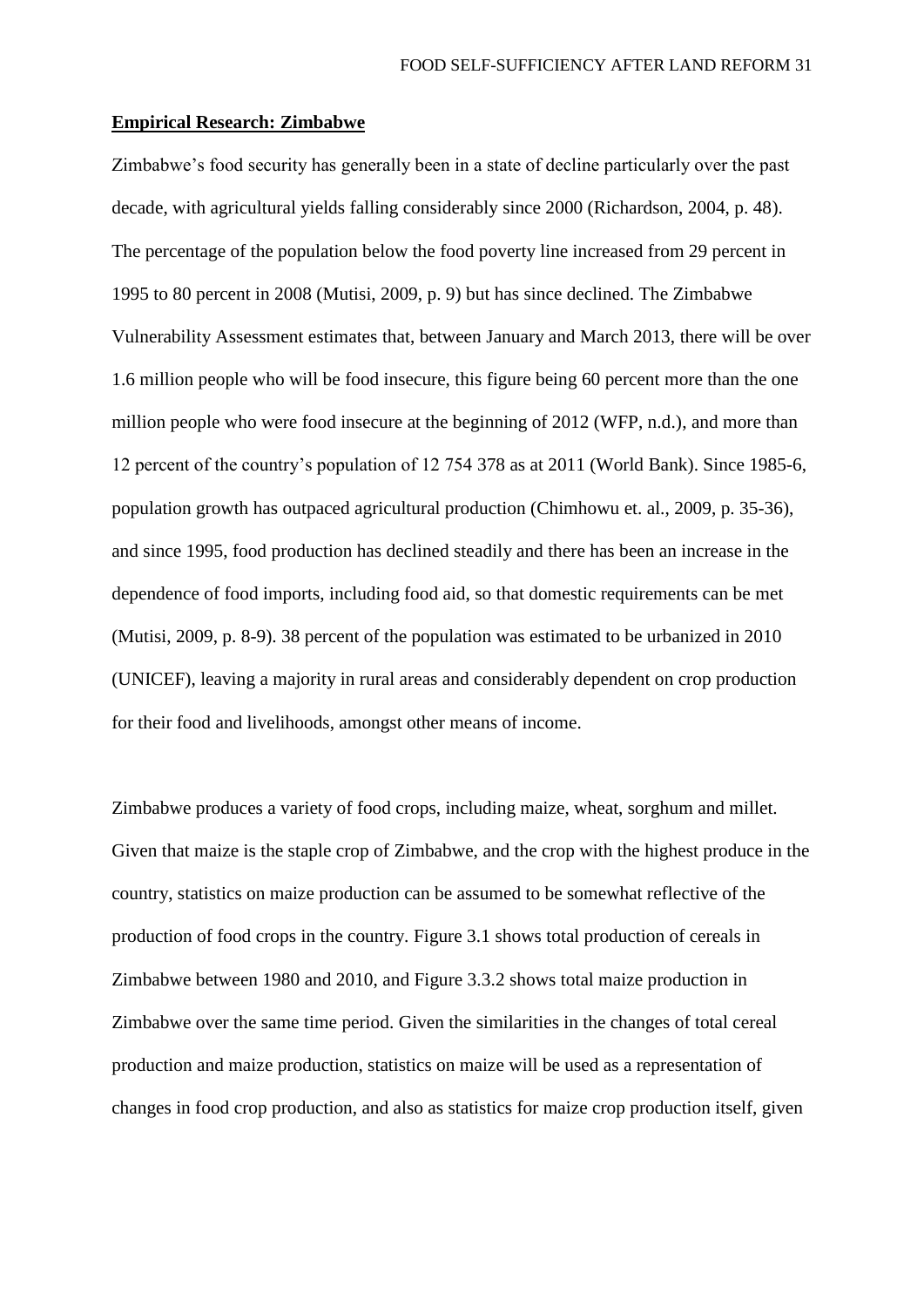### **Empirical Research: Zimbabwe**

Zimbabwe's food security has generally been in a state of decline particularly over the past decade, with agricultural yields falling considerably since 2000 (Richardson, 2004, p. 48). The percentage of the population below the food poverty line increased from 29 percent in 1995 to 80 percent in 2008 (Mutisi, 2009, p. 9) but has since declined. The Zimbabwe Vulnerability Assessment estimates that, between January and March 2013, there will be over 1.6 million people who will be food insecure, this figure being 60 percent more than the one million people who were food insecure at the beginning of 2012 (WFP, n.d.), and more than 12 percent of the country's population of 12 754 378 as at 2011 (World Bank). Since 1985-6, population growth has outpaced agricultural production (Chimhowu et. al., 2009, p. 35-36), and since 1995, food production has declined steadily and there has been an increase in the dependence of food imports, including food aid, so that domestic requirements can be met (Mutisi, 2009, p. 8-9). 38 percent of the population was estimated to be urbanized in 2010 (UNICEF), leaving a majority in rural areas and considerably dependent on crop production for their food and livelihoods, amongst other means of income.

Zimbabwe produces a variety of food crops, including maize, wheat, sorghum and millet. Given that maize is the staple crop of Zimbabwe, and the crop with the highest produce in the country, statistics on maize production can be assumed to be somewhat reflective of the production of food crops in the country. Figure 3.1 shows total production of cereals in Zimbabwe between 1980 and 2010, and Figure 3.3.2 shows total maize production in Zimbabwe over the same time period. Given the similarities in the changes of total cereal production and maize production, statistics on maize will be used as a representation of changes in food crop production, and also as statistics for maize crop production itself, given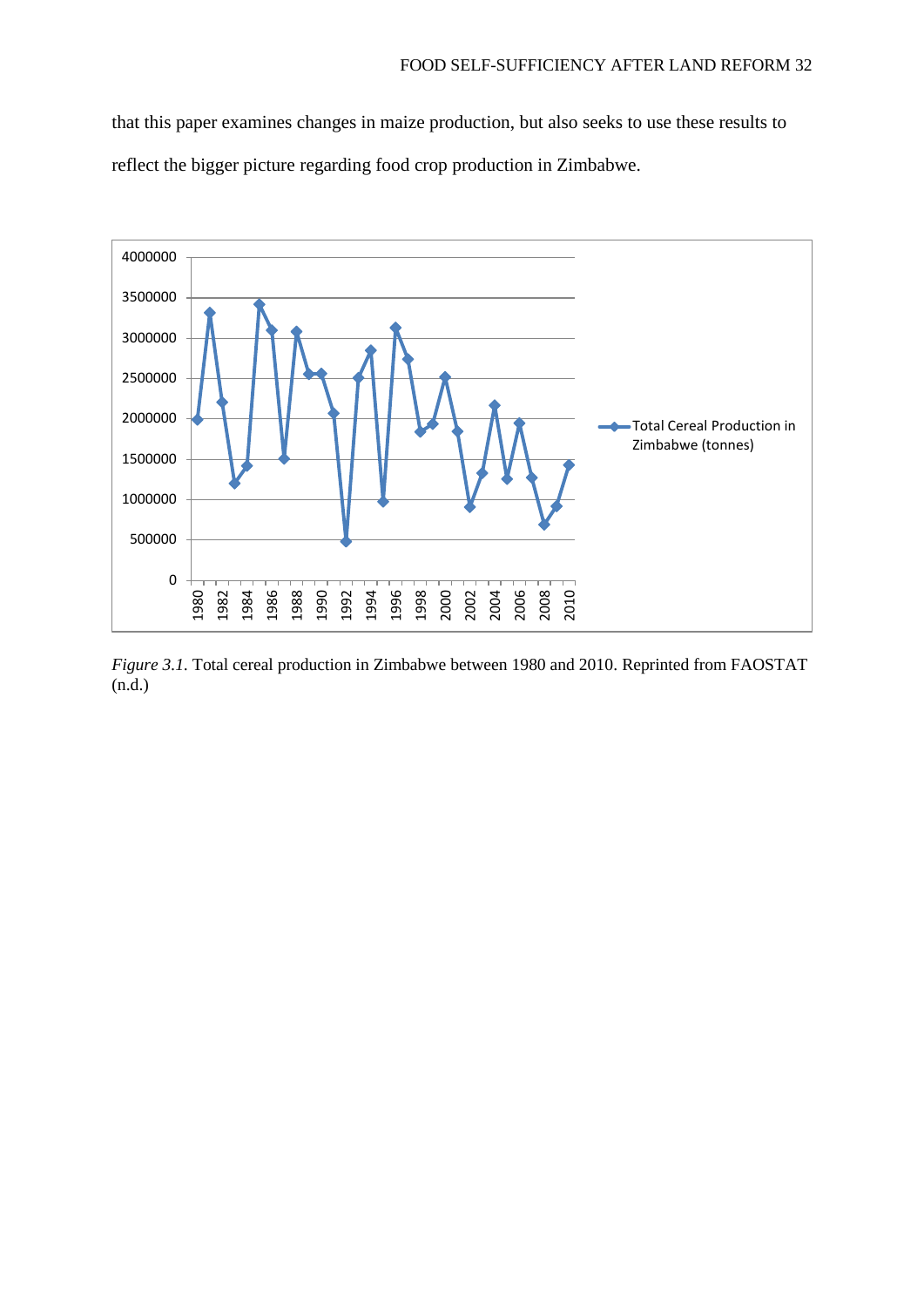that this paper examines changes in maize production, but also seeks to use these results to reflect the bigger picture regarding food crop production in Zimbabwe.



*Figure 3.1.* Total cereal production in Zimbabwe between 1980 and 2010. Reprinted from FAOSTAT (n.d.)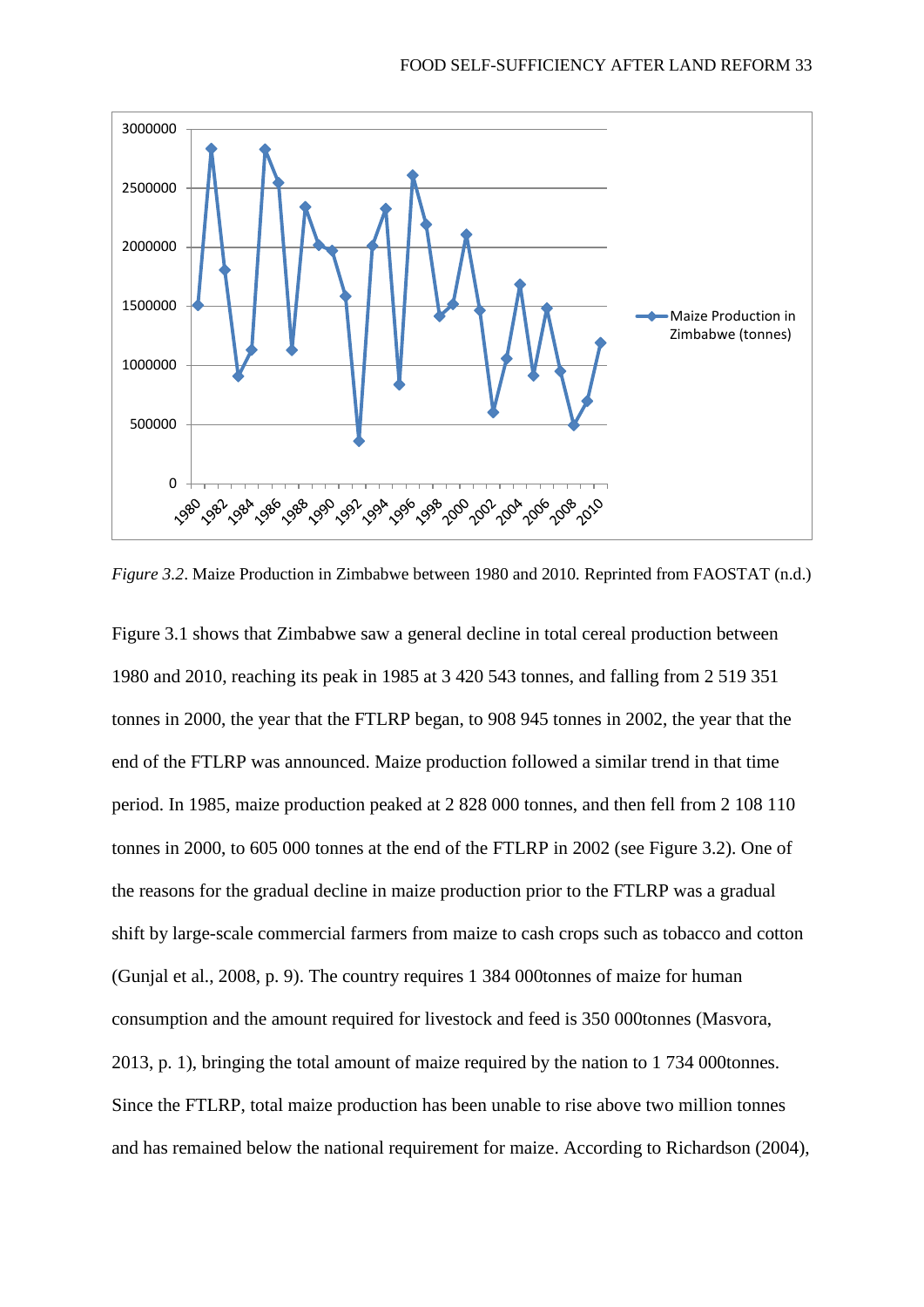

*Figure 3.2*. Maize Production in Zimbabwe between 1980 and 2010*.* Reprinted from FAOSTAT (n.d.)

Figure 3.1 shows that Zimbabwe saw a general decline in total cereal production between 1980 and 2010, reaching its peak in 1985 at 3 420 543 tonnes, and falling from 2 519 351 tonnes in 2000, the year that the FTLRP began, to 908 945 tonnes in 2002, the year that the end of the FTLRP was announced. Maize production followed a similar trend in that time period. In 1985, maize production peaked at 2 828 000 tonnes, and then fell from 2 108 110 tonnes in 2000, to 605 000 tonnes at the end of the FTLRP in 2002 (see Figure 3.2). One of the reasons for the gradual decline in maize production prior to the FTLRP was a gradual shift by large-scale commercial farmers from maize to cash crops such as tobacco and cotton (Gunjal et al., 2008, p. 9). The country requires 1 384 000tonnes of maize for human consumption and the amount required for livestock and feed is 350 000tonnes (Masvora, 2013, p. 1), bringing the total amount of maize required by the nation to 1 734 000tonnes. Since the FTLRP, total maize production has been unable to rise above two million tonnes and has remained below the national requirement for maize. According to Richardson (2004),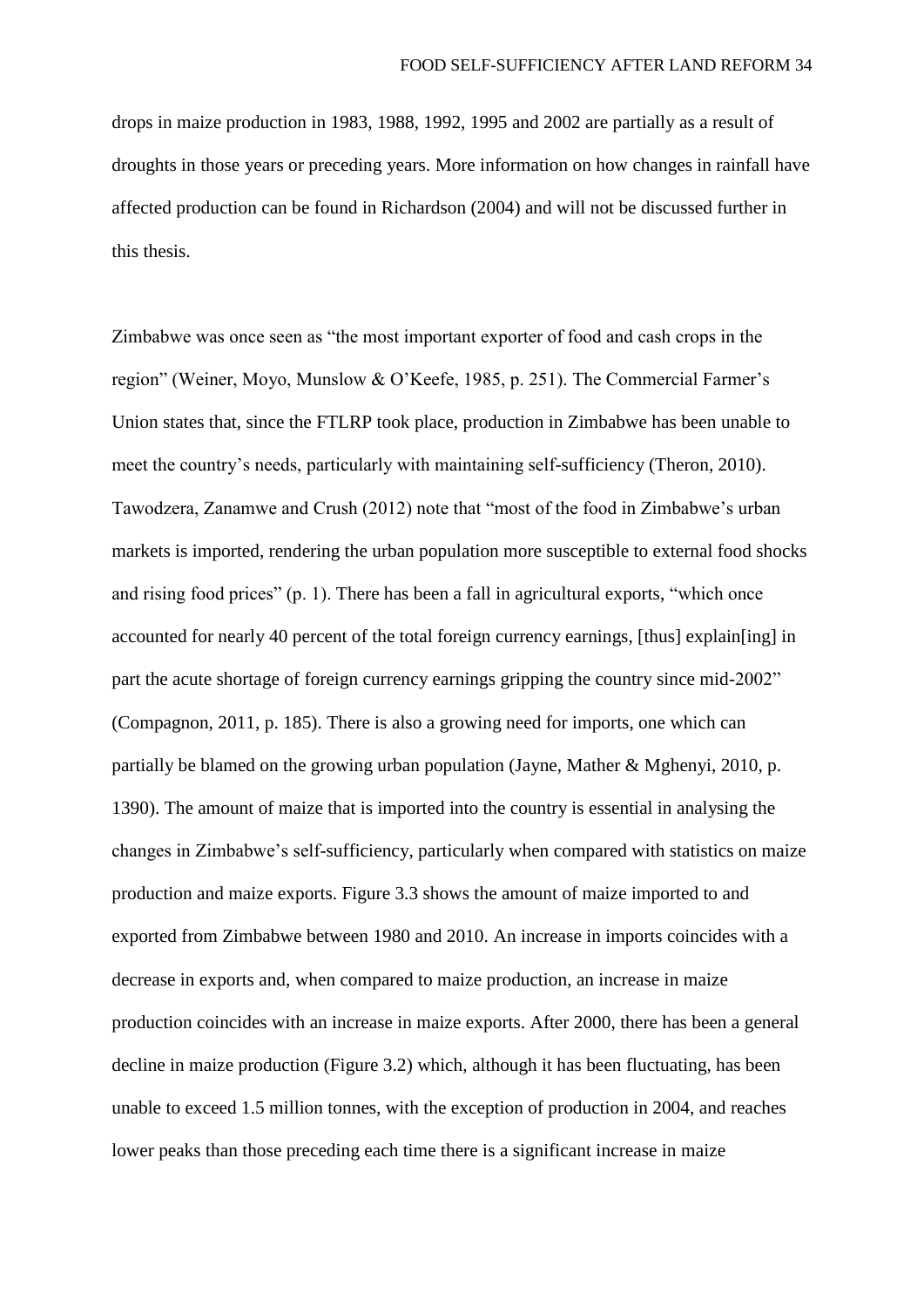drops in maize production in 1983, 1988, 1992, 1995 and 2002 are partially as a result of droughts in those years or preceding years. More information on how changes in rainfall have affected production can be found in Richardson (2004) and will not be discussed further in this thesis.

Zimbabwe was once seen as "the most important exporter of food and cash crops in the region" (Weiner, Moyo, Munslow & O'Keefe, 1985, p. 251). The Commercial Farmer's Union states that, since the FTLRP took place, production in Zimbabwe has been unable to meet the country's needs, particularly with maintaining self-sufficiency (Theron, 2010). Tawodzera, Zanamwe and Crush (2012) note that "most of the food in Zimbabwe's urban markets is imported, rendering the urban population more susceptible to external food shocks and rising food prices" (p. 1). There has been a fall in agricultural exports, "which once accounted for nearly 40 percent of the total foreign currency earnings, [thus] explain[ing] in part the acute shortage of foreign currency earnings gripping the country since mid-2002" (Compagnon, 2011, p. 185). There is also a growing need for imports, one which can partially be blamed on the growing urban population (Jayne, Mather & Mghenyi, 2010, p. 1390). The amount of maize that is imported into the country is essential in analysing the changes in Zimbabwe's self-sufficiency, particularly when compared with statistics on maize production and maize exports. Figure 3.3 shows the amount of maize imported to and exported from Zimbabwe between 1980 and 2010. An increase in imports coincides with a decrease in exports and, when compared to maize production, an increase in maize production coincides with an increase in maize exports. After 2000, there has been a general decline in maize production (Figure 3.2) which, although it has been fluctuating, has been unable to exceed 1.5 million tonnes, with the exception of production in 2004, and reaches lower peaks than those preceding each time there is a significant increase in maize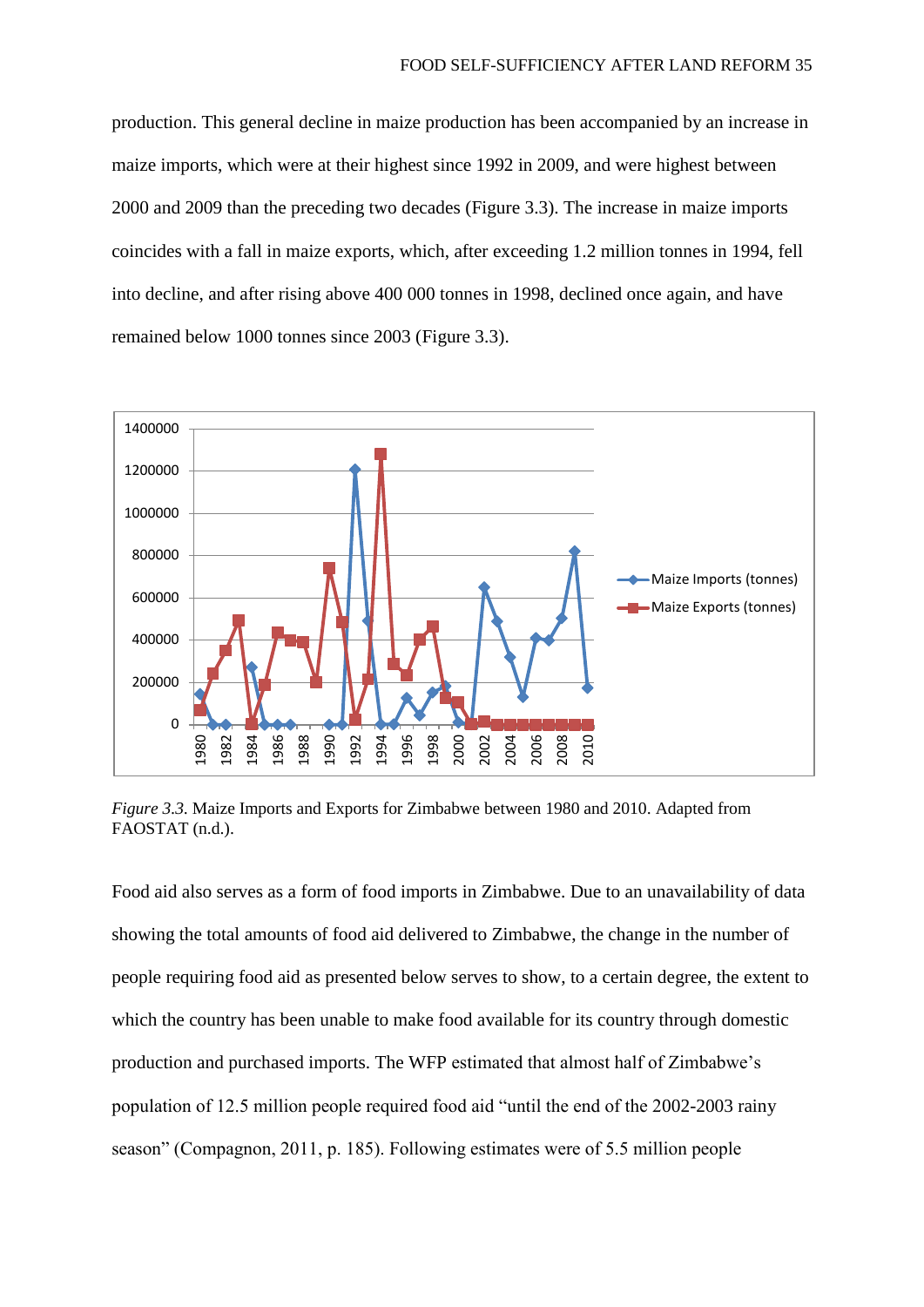production. This general decline in maize production has been accompanied by an increase in maize imports, which were at their highest since 1992 in 2009, and were highest between 2000 and 2009 than the preceding two decades (Figure 3.3). The increase in maize imports coincides with a fall in maize exports, which, after exceeding 1.2 million tonnes in 1994, fell into decline, and after rising above 400 000 tonnes in 1998, declined once again, and have remained below 1000 tonnes since 2003 (Figure 3.3).



*Figure 3.3.* Maize Imports and Exports for Zimbabwe between 1980 and 2010. Adapted from FAOSTAT (n.d.).

Food aid also serves as a form of food imports in Zimbabwe. Due to an unavailability of data showing the total amounts of food aid delivered to Zimbabwe, the change in the number of people requiring food aid as presented below serves to show, to a certain degree, the extent to which the country has been unable to make food available for its country through domestic production and purchased imports. The WFP estimated that almost half of Zimbabwe's population of 12.5 million people required food aid "until the end of the 2002-2003 rainy season" (Compagnon, 2011, p. 185). Following estimates were of 5.5 million people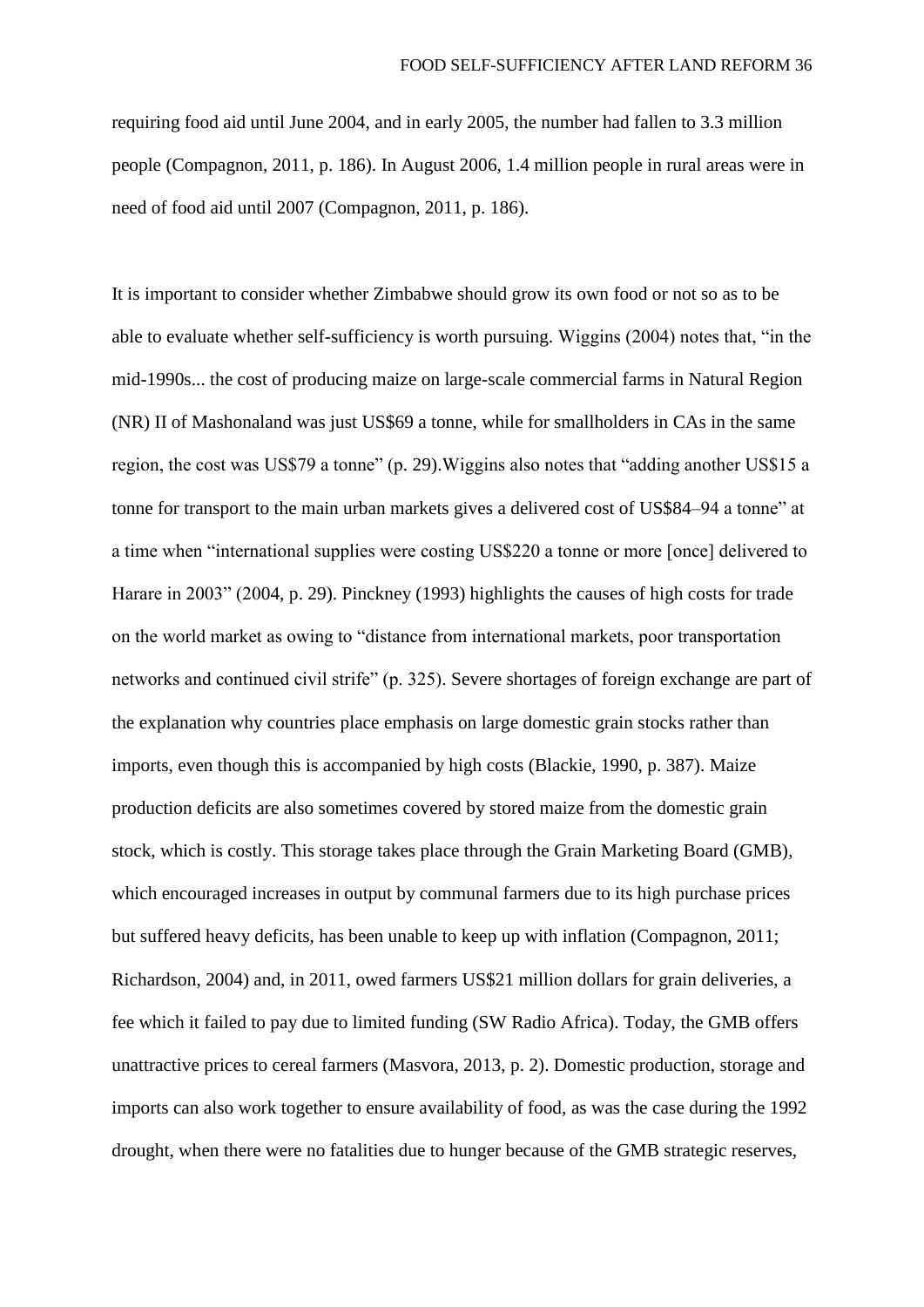requiring food aid until June 2004, and in early 2005, the number had fallen to 3.3 million people (Compagnon, 2011, p. 186). In August 2006, 1.4 million people in rural areas were in need of food aid until 2007 (Compagnon, 2011, p. 186).

It is important to consider whether Zimbabwe should grow its own food or not so as to be able to evaluate whether self-sufficiency is worth pursuing. Wiggins (2004) notes that, "in the mid-1990s... the cost of producing maize on large-scale commercial farms in Natural Region (NR) II of Mashonaland was just US\$69 a tonne, while for smallholders in CAs in the same region, the cost was US\$79 a tonne" (p. 29).Wiggins also notes that "adding another US\$15 a tonne for transport to the main urban markets gives a delivered cost of US\$84–94 a tonne" at a time when "international supplies were costing US\$220 a tonne or more [once] delivered to Harare in 2003" (2004, p. 29). Pinckney (1993) highlights the causes of high costs for trade on the world market as owing to "distance from international markets, poor transportation networks and continued civil strife" (p. 325). Severe shortages of foreign exchange are part of the explanation why countries place emphasis on large domestic grain stocks rather than imports, even though this is accompanied by high costs (Blackie, 1990, p. 387). Maize production deficits are also sometimes covered by stored maize from the domestic grain stock, which is costly. This storage takes place through the Grain Marketing Board (GMB), which encouraged increases in output by communal farmers due to its high purchase prices but suffered heavy deficits, has been unable to keep up with inflation (Compagnon, 2011; Richardson, 2004) and, in 2011, owed farmers US\$21 million dollars for grain deliveries, a fee which it failed to pay due to limited funding (SW Radio Africa). Today, the GMB offers unattractive prices to cereal farmers (Masvora, 2013, p. 2). Domestic production, storage and imports can also work together to ensure availability of food, as was the case during the 1992 drought, when there were no fatalities due to hunger because of the GMB strategic reserves,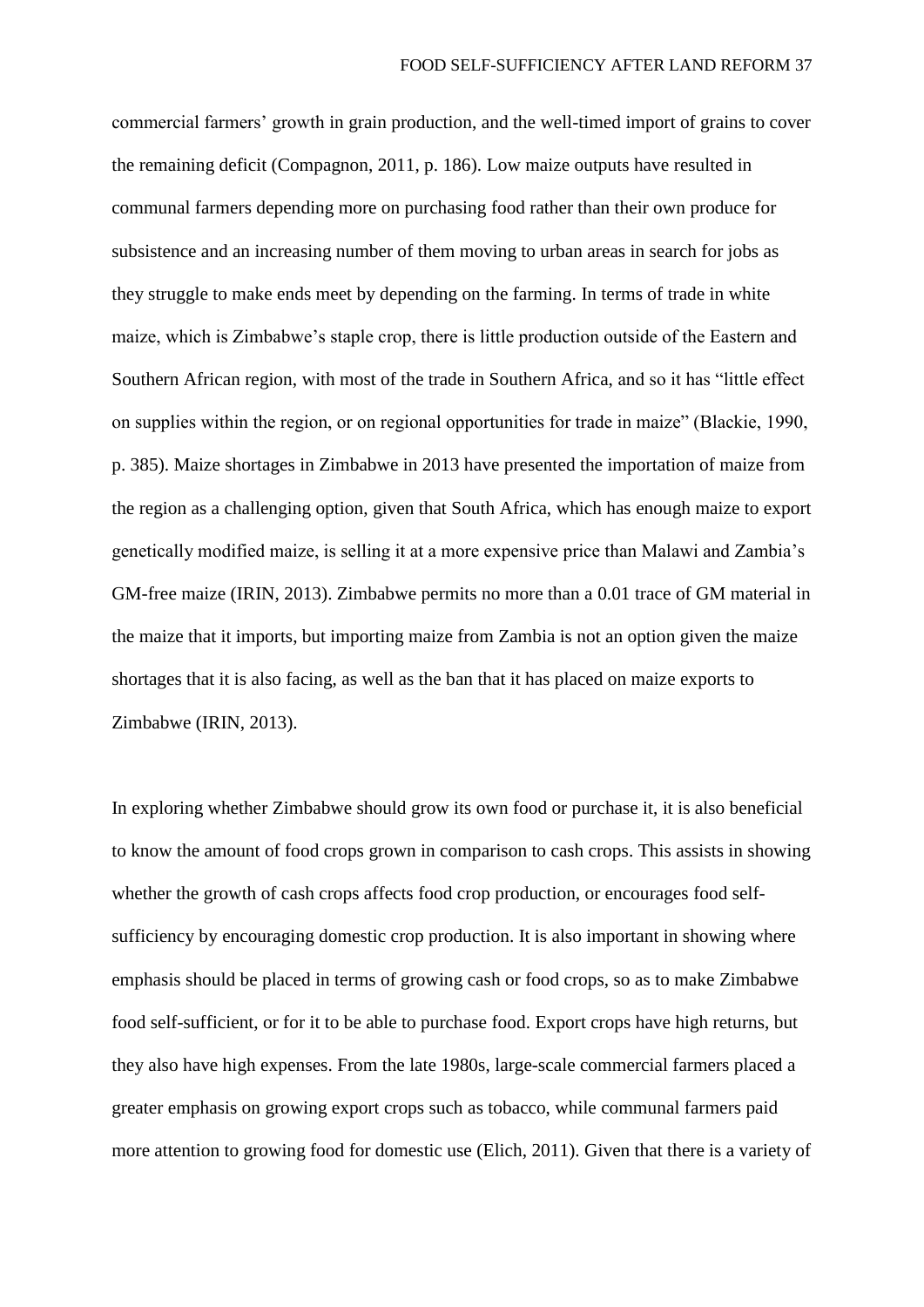commercial farmers' growth in grain production, and the well-timed import of grains to cover the remaining deficit (Compagnon, 2011, p. 186). Low maize outputs have resulted in communal farmers depending more on purchasing food rather than their own produce for subsistence and an increasing number of them moving to urban areas in search for jobs as they struggle to make ends meet by depending on the farming. In terms of trade in white maize, which is Zimbabwe's staple crop, there is little production outside of the Eastern and Southern African region, with most of the trade in Southern Africa, and so it has "little effect on supplies within the region, or on regional opportunities for trade in maize" (Blackie, 1990, p. 385). Maize shortages in Zimbabwe in 2013 have presented the importation of maize from the region as a challenging option, given that South Africa, which has enough maize to export genetically modified maize, is selling it at a more expensive price than Malawi and Zambia's GM-free maize (IRIN, 2013). Zimbabwe permits no more than a 0.01 trace of GM material in the maize that it imports, but importing maize from Zambia is not an option given the maize shortages that it is also facing, as well as the ban that it has placed on maize exports to Zimbabwe (IRIN, 2013).

In exploring whether Zimbabwe should grow its own food or purchase it, it is also beneficial to know the amount of food crops grown in comparison to cash crops. This assists in showing whether the growth of cash crops affects food crop production, or encourages food selfsufficiency by encouraging domestic crop production. It is also important in showing where emphasis should be placed in terms of growing cash or food crops, so as to make Zimbabwe food self-sufficient, or for it to be able to purchase food. Export crops have high returns, but they also have high expenses. From the late 1980s, large-scale commercial farmers placed a greater emphasis on growing export crops such as tobacco, while communal farmers paid more attention to growing food for domestic use (Elich, 2011). Given that there is a variety of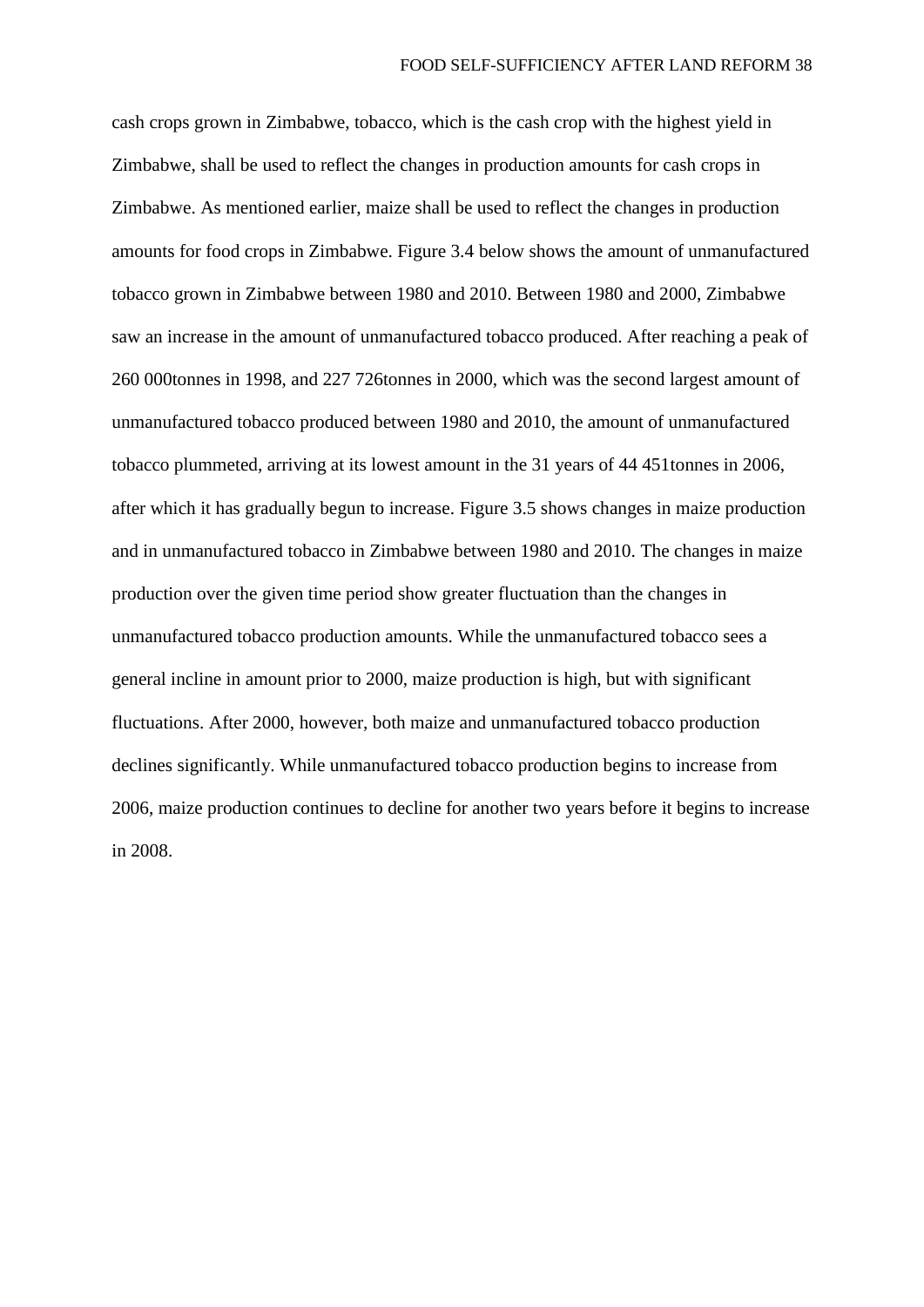cash crops grown in Zimbabwe, tobacco, which is the cash crop with the highest yield in Zimbabwe, shall be used to reflect the changes in production amounts for cash crops in Zimbabwe. As mentioned earlier, maize shall be used to reflect the changes in production amounts for food crops in Zimbabwe. Figure 3.4 below shows the amount of unmanufactured tobacco grown in Zimbabwe between 1980 and 2010. Between 1980 and 2000, Zimbabwe saw an increase in the amount of unmanufactured tobacco produced. After reaching a peak of 260 000tonnes in 1998, and 227 726tonnes in 2000, which was the second largest amount of unmanufactured tobacco produced between 1980 and 2010, the amount of unmanufactured tobacco plummeted, arriving at its lowest amount in the 31 years of 44 451tonnes in 2006, after which it has gradually begun to increase. Figure 3.5 shows changes in maize production and in unmanufactured tobacco in Zimbabwe between 1980 and 2010. The changes in maize production over the given time period show greater fluctuation than the changes in unmanufactured tobacco production amounts. While the unmanufactured tobacco sees a general incline in amount prior to 2000, maize production is high, but with significant fluctuations. After 2000, however, both maize and unmanufactured tobacco production declines significantly. While unmanufactured tobacco production begins to increase from 2006, maize production continues to decline for another two years before it begins to increase in 2008.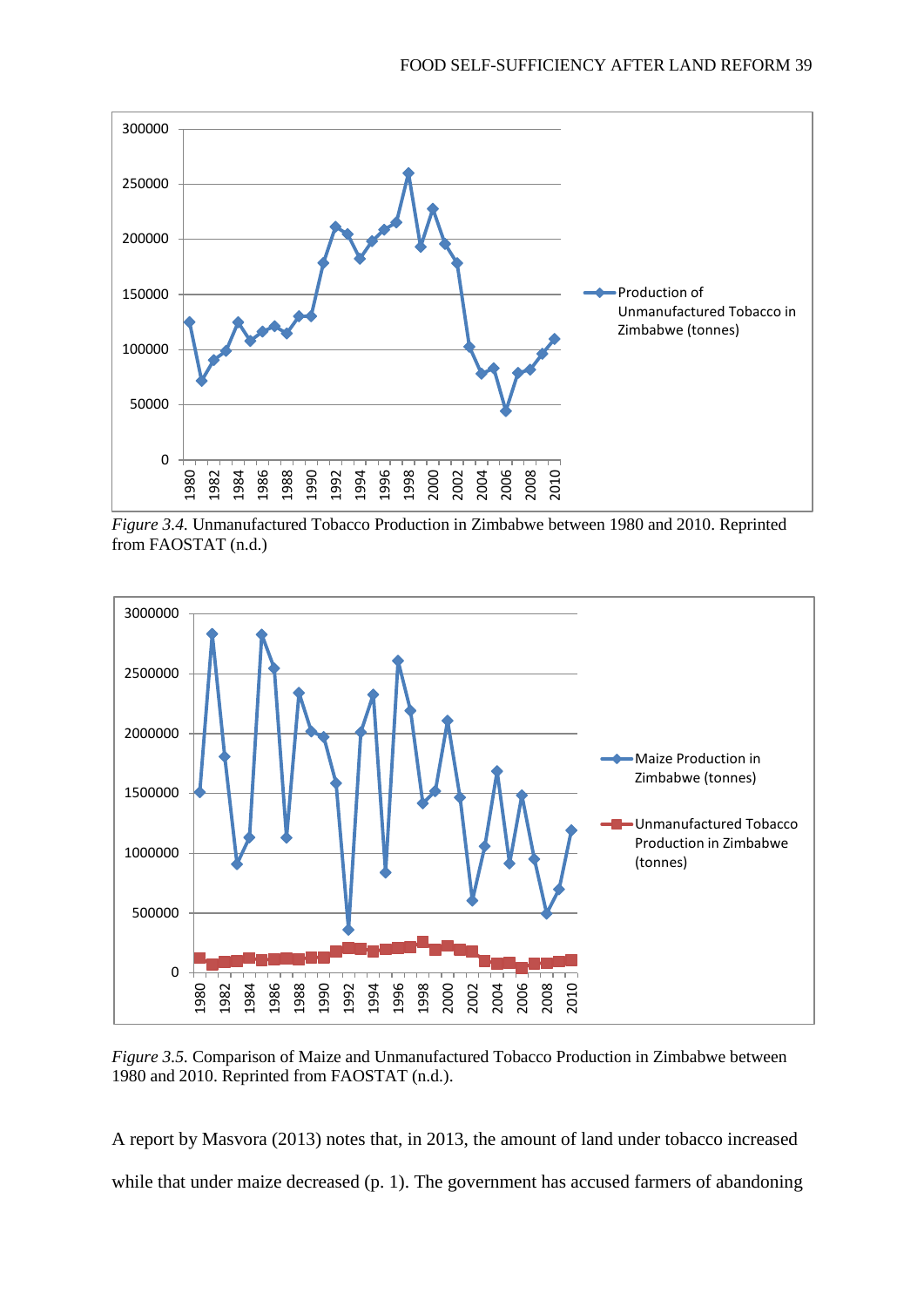

*Figure 3.4.* Unmanufactured Tobacco Production in Zimbabwe between 1980 and 2010. Reprinted from FAOSTAT (n.d.)



*Figure 3.5.* Comparison of Maize and Unmanufactured Tobacco Production in Zimbabwe between 1980 and 2010. Reprinted from FAOSTAT (n.d.).

A report by Masvora (2013) notes that, in 2013, the amount of land under tobacco increased while that under maize decreased (p. 1). The government has accused farmers of abandoning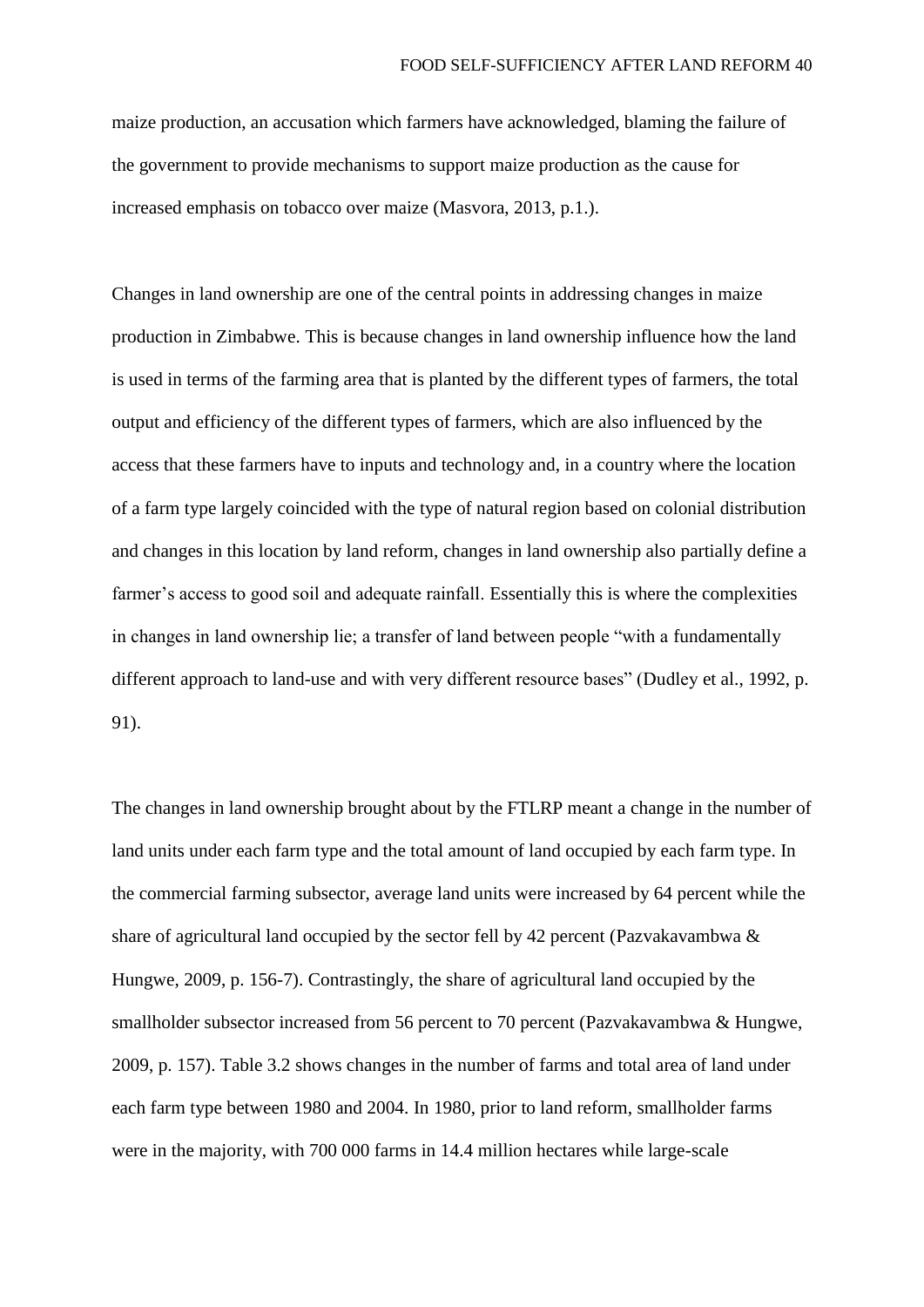maize production, an accusation which farmers have acknowledged, blaming the failure of the government to provide mechanisms to support maize production as the cause for increased emphasis on tobacco over maize (Masvora, 2013, p.1.).

Changes in land ownership are one of the central points in addressing changes in maize production in Zimbabwe. This is because changes in land ownership influence how the land is used in terms of the farming area that is planted by the different types of farmers, the total output and efficiency of the different types of farmers, which are also influenced by the access that these farmers have to inputs and technology and, in a country where the location of a farm type largely coincided with the type of natural region based on colonial distribution and changes in this location by land reform, changes in land ownership also partially define a farmer's access to good soil and adequate rainfall. Essentially this is where the complexities in changes in land ownership lie; a transfer of land between people "with a fundamentally different approach to land-use and with very different resource bases" (Dudley et al., 1992, p. 91).

The changes in land ownership brought about by the FTLRP meant a change in the number of land units under each farm type and the total amount of land occupied by each farm type. In the commercial farming subsector, average land units were increased by 64 percent while the share of agricultural land occupied by the sector fell by 42 percent (Pazvakavambwa & Hungwe, 2009, p. 156-7). Contrastingly, the share of agricultural land occupied by the smallholder subsector increased from 56 percent to 70 percent (Pazvakavambwa & Hungwe, 2009, p. 157). Table 3.2 shows changes in the number of farms and total area of land under each farm type between 1980 and 2004. In 1980, prior to land reform, smallholder farms were in the majority, with 700 000 farms in 14.4 million hectares while large-scale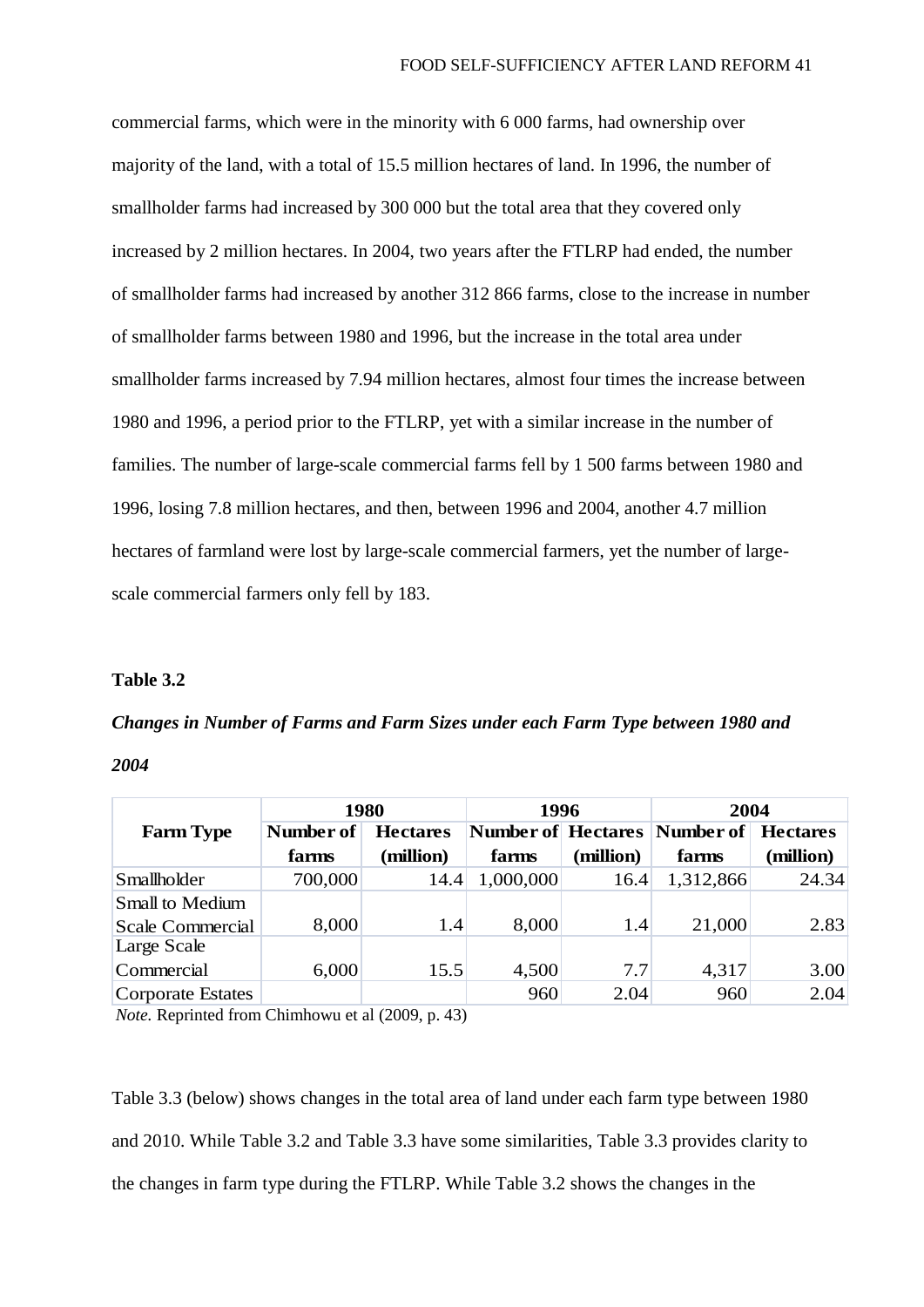commercial farms, which were in the minority with 6 000 farms, had ownership over majority of the land, with a total of 15.5 million hectares of land. In 1996, the number of smallholder farms had increased by 300 000 but the total area that they covered only increased by 2 million hectares. In 2004, two years after the FTLRP had ended, the number of smallholder farms had increased by another 312 866 farms, close to the increase in number of smallholder farms between 1980 and 1996, but the increase in the total area under smallholder farms increased by 7.94 million hectares, almost four times the increase between 1980 and 1996, a period prior to the FTLRP, yet with a similar increase in the number of families. The number of large-scale commercial farms fell by 1 500 farms between 1980 and 1996, losing 7.8 million hectares, and then, between 1996 and 2004, another 4.7 million hectares of farmland were lost by large-scale commercial farmers, yet the number of largescale commercial farmers only fell by 183.

#### **Table 3.2**

# *Changes in Number of Farms and Farm Sizes under each Farm Type between 1980 and*

*2004*

|                         | 1980      |                 | 1996      |           | 2004                         |                 |
|-------------------------|-----------|-----------------|-----------|-----------|------------------------------|-----------------|
| <b>Farm Type</b>        | Number of | <b>Hectares</b> |           |           | Number of Hectares Number of | <b>Hectares</b> |
|                         | farms     | (million)       | farms     | (million) | farms                        | (million)       |
| Smallholder             | 700,000   | 14.4            | 1,000,000 | 16.4      | 1,312,866                    | 24.34           |
| Small to Medium         |           |                 |           |           |                              |                 |
| <b>Scale Commercial</b> | 8,000     | 1.4             | 8,000     | 1.4       | 21,000                       | 2.83            |
| Large Scale             |           |                 |           |           |                              |                 |
| Commercial              | 6,000     | 15.5            | 4,500     | 7.7       | 4,317                        | 3.00            |
| Corporate Estates       |           |                 | 960       | 2.04      | 960                          | 2.04            |

*Note.* Reprinted from Chimhowu et al (2009, p. 43)

Table 3.3 (below) shows changes in the total area of land under each farm type between 1980 and 2010. While Table 3.2 and Table 3.3 have some similarities, Table 3.3 provides clarity to the changes in farm type during the FTLRP. While Table 3.2 shows the changes in the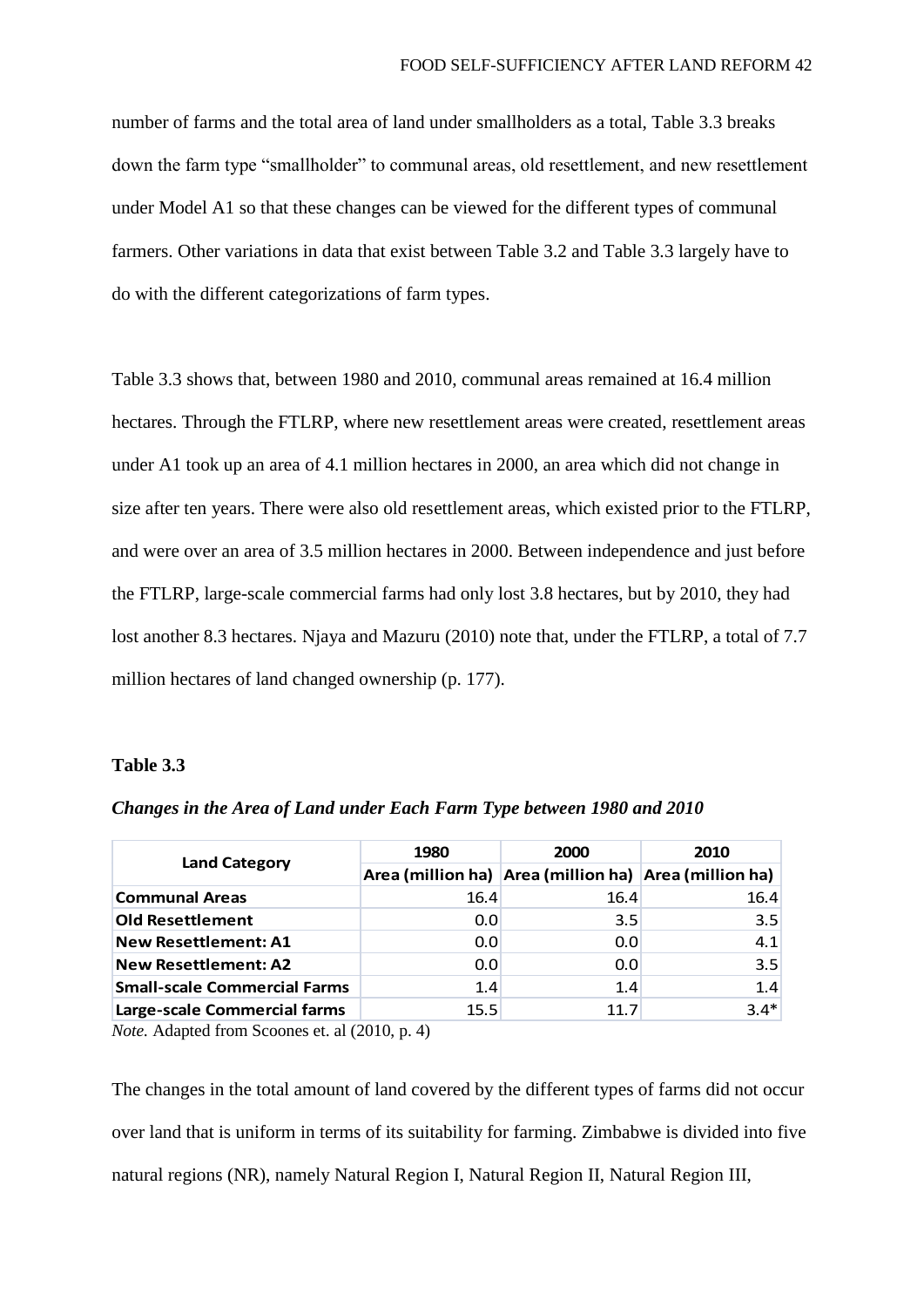number of farms and the total area of land under smallholders as a total, Table 3.3 breaks down the farm type "smallholder" to communal areas, old resettlement, and new resettlement under Model A1 so that these changes can be viewed for the different types of communal farmers. Other variations in data that exist between Table 3.2 and Table 3.3 largely have to do with the different categorizations of farm types.

Table 3.3 shows that, between 1980 and 2010, communal areas remained at 16.4 million hectares. Through the FTLRP, where new resettlement areas were created, resettlement areas under A1 took up an area of 4.1 million hectares in 2000, an area which did not change in size after ten years. There were also old resettlement areas, which existed prior to the FTLRP, and were over an area of 3.5 million hectares in 2000. Between independence and just before the FTLRP, large-scale commercial farms had only lost 3.8 hectares, but by 2010, they had lost another 8.3 hectares. Njaya and Mazuru (2010) note that, under the FTLRP, a total of 7.7 million hectares of land changed ownership (p. 177).

### **Table 3.3**

|                                     | 1980 | 2000                                                  | 2010   |  |
|-------------------------------------|------|-------------------------------------------------------|--------|--|
| <b>Land Category</b>                |      | Area (million ha) Area (million ha) Area (million ha) |        |  |
| <b>Communal Areas</b>               | 16.4 | 16.4                                                  | 16.4   |  |
| <b>Old Resettlement</b>             | 0.0  | 3.5                                                   | 3.5    |  |
| <b>New Resettlement: A1</b>         | 0.0  | 0.0                                                   | 4.1    |  |
| <b>New Resettlement: A2</b>         | 0.0  | 0.0                                                   | 3.5    |  |
| <b>Small-scale Commercial Farms</b> | 1.4  | 1.4                                                   | 1.4    |  |
| Large-scale Commercial farms        | 15.5 | 11.7                                                  | $3.4*$ |  |

*Changes in the Area of Land under Each Farm Type between 1980 and 2010*

*Note.* Adapted from Scoones et. al (2010, p. 4)

The changes in the total amount of land covered by the different types of farms did not occur over land that is uniform in terms of its suitability for farming. Zimbabwe is divided into five natural regions (NR), namely Natural Region I, Natural Region II, Natural Region III,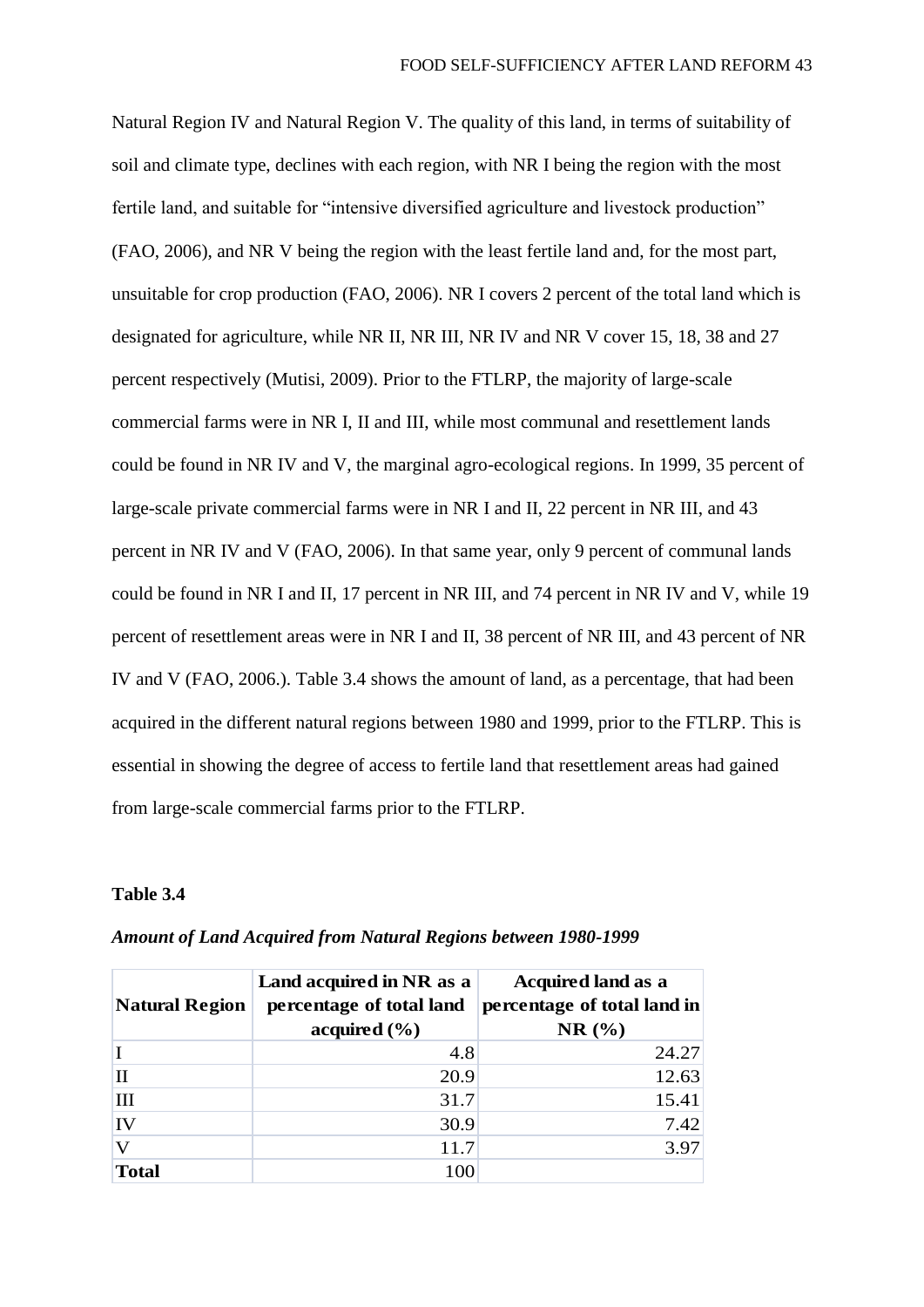Natural Region IV and Natural Region V. The quality of this land, in terms of suitability of soil and climate type, declines with each region, with NR I being the region with the most fertile land, and suitable for "intensive diversified agriculture and livestock production" (FAO, 2006), and NR V being the region with the least fertile land and, for the most part, unsuitable for crop production (FAO, 2006). NR I covers 2 percent of the total land which is designated for agriculture, while NR II, NR III, NR IV and NR V cover 15, 18, 38 and 27 percent respectively (Mutisi, 2009). Prior to the FTLRP, the majority of large-scale commercial farms were in NR I, II and III, while most communal and resettlement lands could be found in NR IV and V, the marginal agro-ecological regions. In 1999, 35 percent of large-scale private commercial farms were in NR I and II, 22 percent in NR III, and 43 percent in NR IV and V (FAO, 2006). In that same year, only 9 percent of communal lands could be found in NR I and II, 17 percent in NR III, and 74 percent in NR IV and V, while 19 percent of resettlement areas were in NR I and II, 38 percent of NR III, and 43 percent of NR IV and V (FAO, 2006.). Table 3.4 shows the amount of land, as a percentage, that had been acquired in the different natural regions between 1980 and 1999, prior to the FTLRP. This is essential in showing the degree of access to fertile land that resettlement areas had gained from large-scale commercial farms prior to the FTLRP.

### **Table 3.4**

| <b>Natural Region</b> | Land acquired in NR as a<br>percentage of total land<br>acquired $(\% )$ | <b>Acquired land as a</b><br>percentage of total land in<br>NR(% |
|-----------------------|--------------------------------------------------------------------------|------------------------------------------------------------------|
|                       | 4.8                                                                      | 24.27                                                            |
| П                     | 20.9                                                                     | 12.63                                                            |
| $\mathbf{H}$          | 31.7                                                                     | 15.41                                                            |
| IV                    | 30.9                                                                     | 7.42                                                             |
| V                     | 11.7                                                                     | 3.97                                                             |
| <b>Total</b>          | 100                                                                      |                                                                  |

*Amount of Land Acquired from Natural Regions between 1980-1999*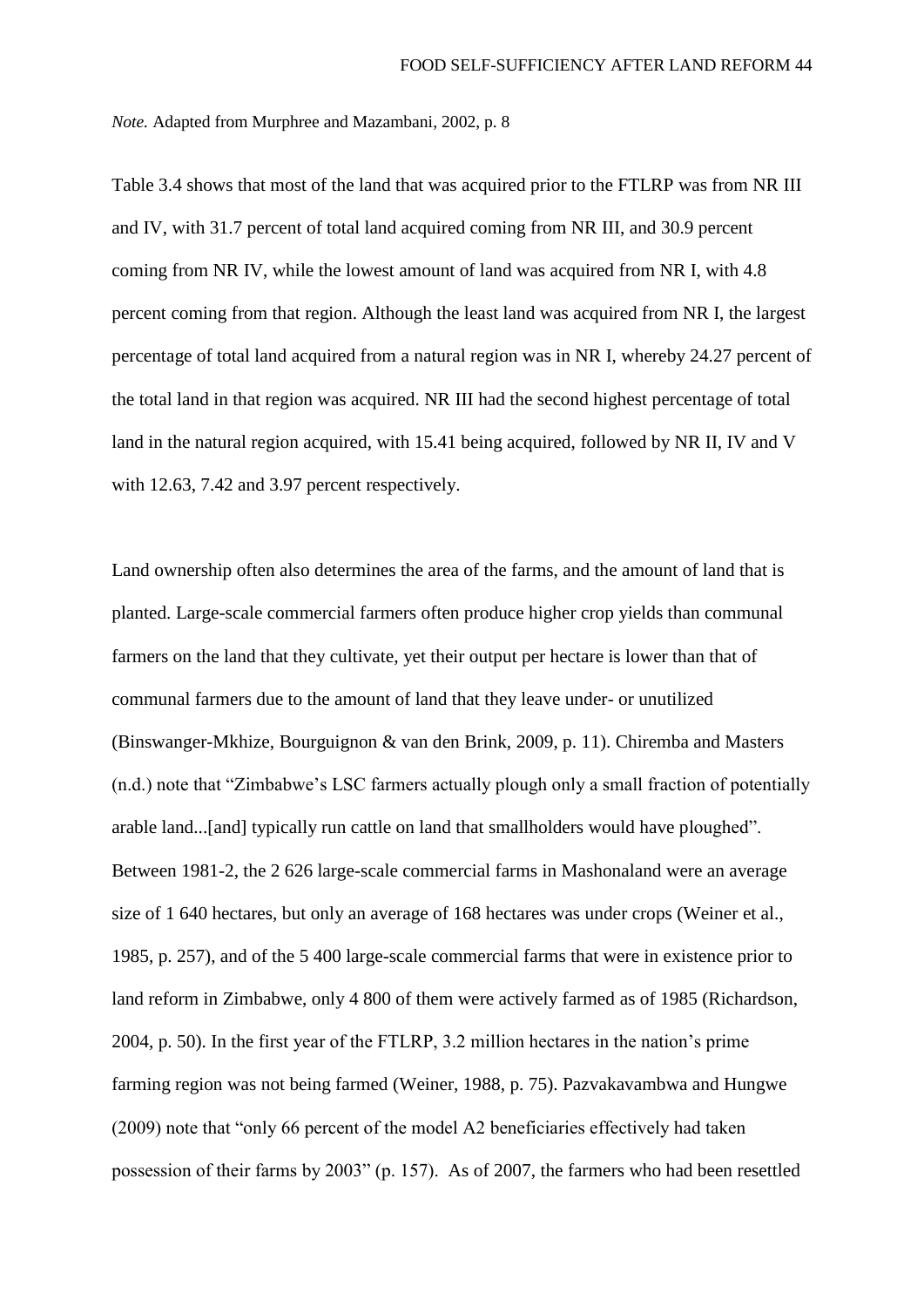*Note.* Adapted from Murphree and Mazambani, 2002, p. 8

Table 3.4 shows that most of the land that was acquired prior to the FTLRP was from NR III and IV, with 31.7 percent of total land acquired coming from NR III, and 30.9 percent coming from NR IV, while the lowest amount of land was acquired from NR I, with 4.8 percent coming from that region. Although the least land was acquired from NR I, the largest percentage of total land acquired from a natural region was in NR I, whereby 24.27 percent of the total land in that region was acquired. NR III had the second highest percentage of total land in the natural region acquired, with 15.41 being acquired, followed by NR II, IV and V with 12.63, 7.42 and 3.97 percent respectively.

Land ownership often also determines the area of the farms, and the amount of land that is planted. Large-scale commercial farmers often produce higher crop yields than communal farmers on the land that they cultivate, yet their output per hectare is lower than that of communal farmers due to the amount of land that they leave under- or unutilized (Binswanger-Mkhize, Bourguignon & van den Brink, 2009, p. 11). Chiremba and Masters (n.d.) note that "Zimbabwe's LSC farmers actually plough only a small fraction of potentially arable land...[and] typically run cattle on land that smallholders would have ploughed". Between 1981-2, the 2 626 large-scale commercial farms in Mashonaland were an average size of 1 640 hectares, but only an average of 168 hectares was under crops (Weiner et al., 1985, p. 257), and of the 5 400 large-scale commercial farms that were in existence prior to land reform in Zimbabwe, only 4 800 of them were actively farmed as of 1985 (Richardson, 2004, p. 50). In the first year of the FTLRP, 3.2 million hectares in the nation's prime farming region was not being farmed (Weiner, 1988, p. 75). Pazvakavambwa and Hungwe (2009) note that "only 66 percent of the model A2 beneficiaries effectively had taken possession of their farms by 2003" (p. 157). As of 2007, the farmers who had been resettled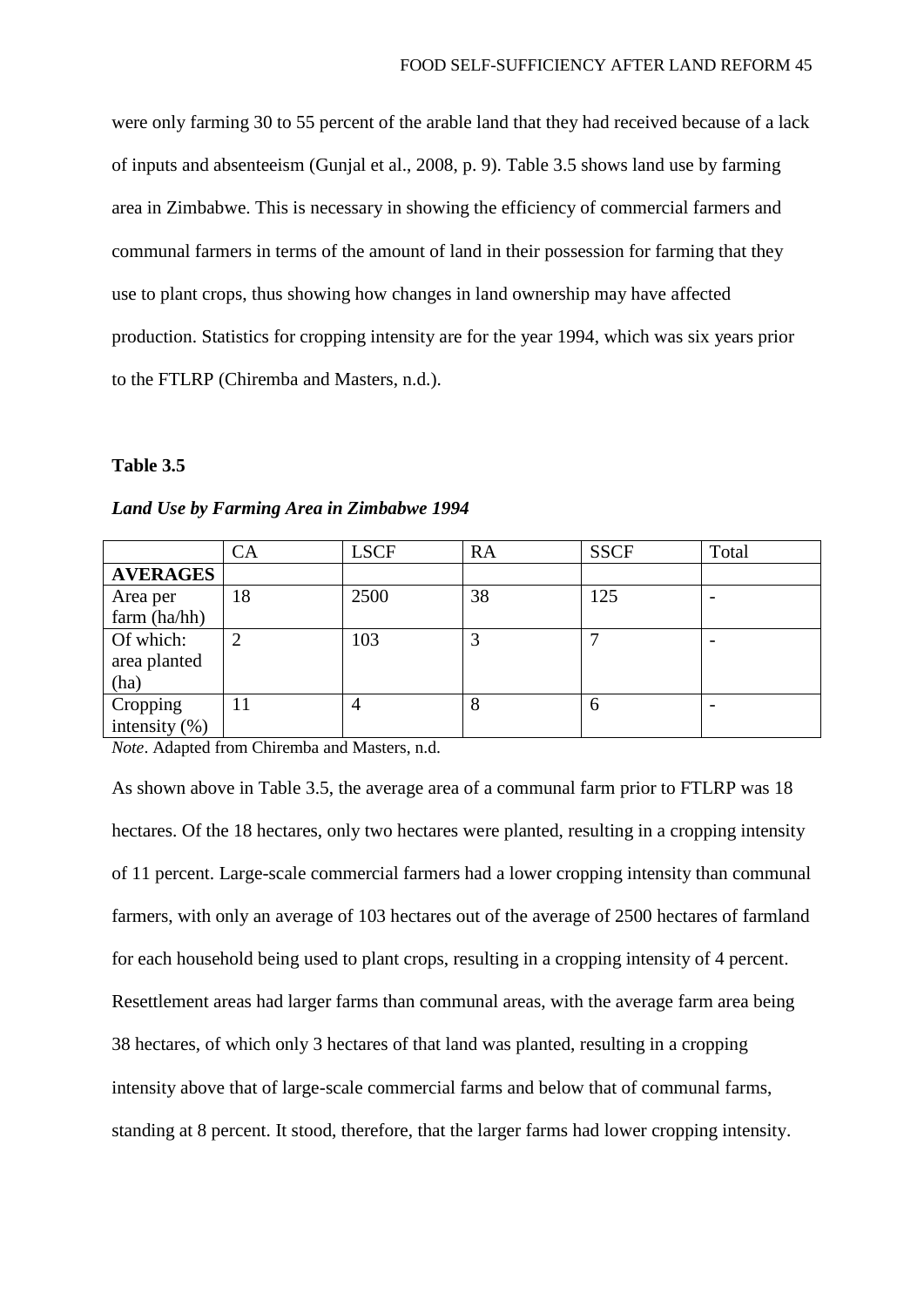were only farming 30 to 55 percent of the arable land that they had received because of a lack of inputs and absenteeism (Gunjal et al., 2008, p. 9). Table 3.5 shows land use by farming area in Zimbabwe. This is necessary in showing the efficiency of commercial farmers and communal farmers in terms of the amount of land in their possession for farming that they use to plant crops, thus showing how changes in land ownership may have affected production. Statistics for cropping intensity are for the year 1994, which was six years prior to the FTLRP (Chiremba and Masters, n.d.).

#### **Table 3.5**

|                  | СA | <b>LSCF</b> | <b>RA</b> | <b>SSCF</b> | Total |
|------------------|----|-------------|-----------|-------------|-------|
| <b>AVERAGES</b>  |    |             |           |             |       |
| Area per         | 18 | 2500        | 38        | 125         |       |
| farm (ha/hh)     |    |             |           |             |       |
| Of which:        |    | 103         | 3         |             |       |
| area planted     |    |             |           |             |       |
| (ha)             |    |             |           |             |       |
| Cropping         | 11 |             | 8         | n           |       |
| intensity $(\%)$ |    |             |           |             |       |

## *Land Use by Farming Area in Zimbabwe 1994*

*Note*. Adapted from Chiremba and Masters, n.d.

As shown above in Table 3.5, the average area of a communal farm prior to FTLRP was 18 hectares. Of the 18 hectares, only two hectares were planted, resulting in a cropping intensity of 11 percent. Large-scale commercial farmers had a lower cropping intensity than communal farmers, with only an average of 103 hectares out of the average of 2500 hectares of farmland for each household being used to plant crops, resulting in a cropping intensity of 4 percent. Resettlement areas had larger farms than communal areas, with the average farm area being 38 hectares, of which only 3 hectares of that land was planted, resulting in a cropping intensity above that of large-scale commercial farms and below that of communal farms, standing at 8 percent. It stood, therefore, that the larger farms had lower cropping intensity.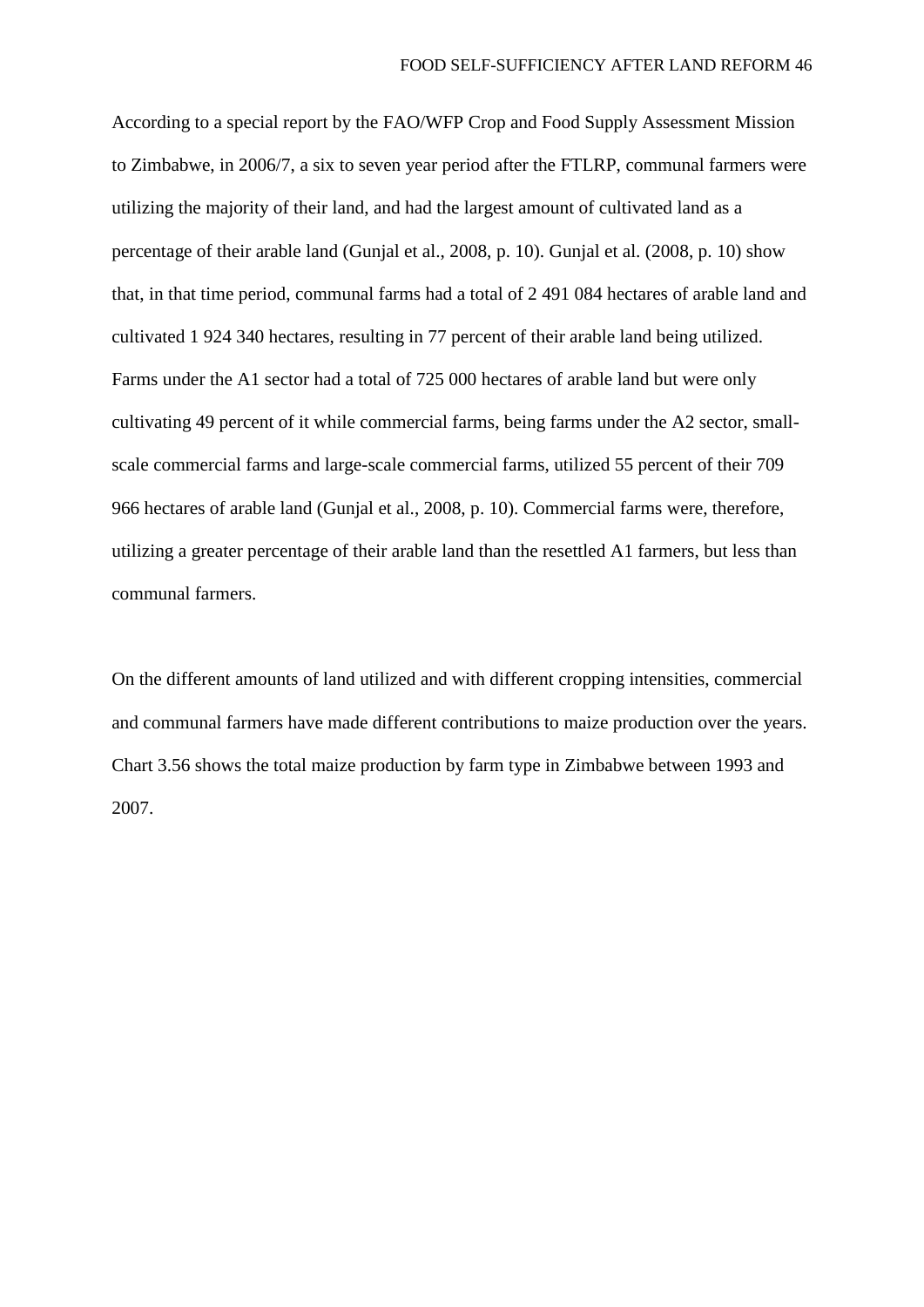According to a special report by the FAO/WFP Crop and Food Supply Assessment Mission to Zimbabwe, in 2006/7, a six to seven year period after the FTLRP, communal farmers were utilizing the majority of their land, and had the largest amount of cultivated land as a percentage of their arable land (Gunjal et al., 2008, p. 10). Gunjal et al. (2008, p. 10) show that, in that time period, communal farms had a total of 2 491 084 hectares of arable land and cultivated 1 924 340 hectares, resulting in 77 percent of their arable land being utilized. Farms under the A1 sector had a total of 725 000 hectares of arable land but were only cultivating 49 percent of it while commercial farms, being farms under the A2 sector, smallscale commercial farms and large-scale commercial farms, utilized 55 percent of their 709 966 hectares of arable land (Gunjal et al., 2008, p. 10). Commercial farms were, therefore, utilizing a greater percentage of their arable land than the resettled A1 farmers, but less than communal farmers.

On the different amounts of land utilized and with different cropping intensities, commercial and communal farmers have made different contributions to maize production over the years. Chart 3.56 shows the total maize production by farm type in Zimbabwe between 1993 and 2007.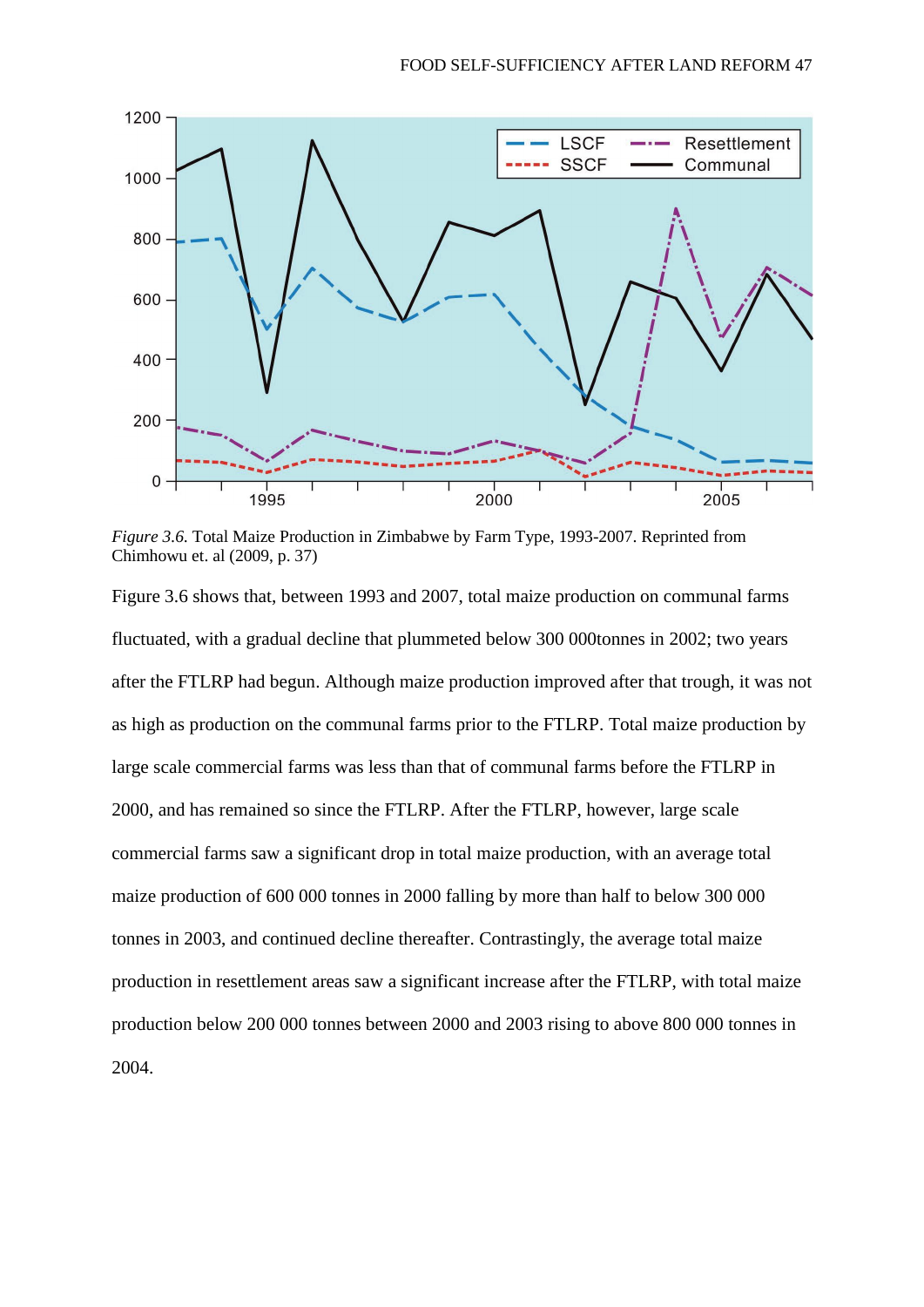

*Figure 3.6.* Total Maize Production in Zimbabwe by Farm Type, 1993-2007. Reprinted from Chimhowu et. al (2009, p. 37)

Figure 3.6 shows that, between 1993 and 2007, total maize production on communal farms fluctuated, with a gradual decline that plummeted below 300 000tonnes in 2002; two years after the FTLRP had begun. Although maize production improved after that trough, it was not as high as production on the communal farms prior to the FTLRP. Total maize production by large scale commercial farms was less than that of communal farms before the FTLRP in 2000, and has remained so since the FTLRP. After the FTLRP, however, large scale commercial farms saw a significant drop in total maize production, with an average total maize production of 600 000 tonnes in 2000 falling by more than half to below 300 000 tonnes in 2003, and continued decline thereafter. Contrastingly, the average total maize production in resettlement areas saw a significant increase after the FTLRP, with total maize production below 200 000 tonnes between 2000 and 2003 rising to above 800 000 tonnes in 2004.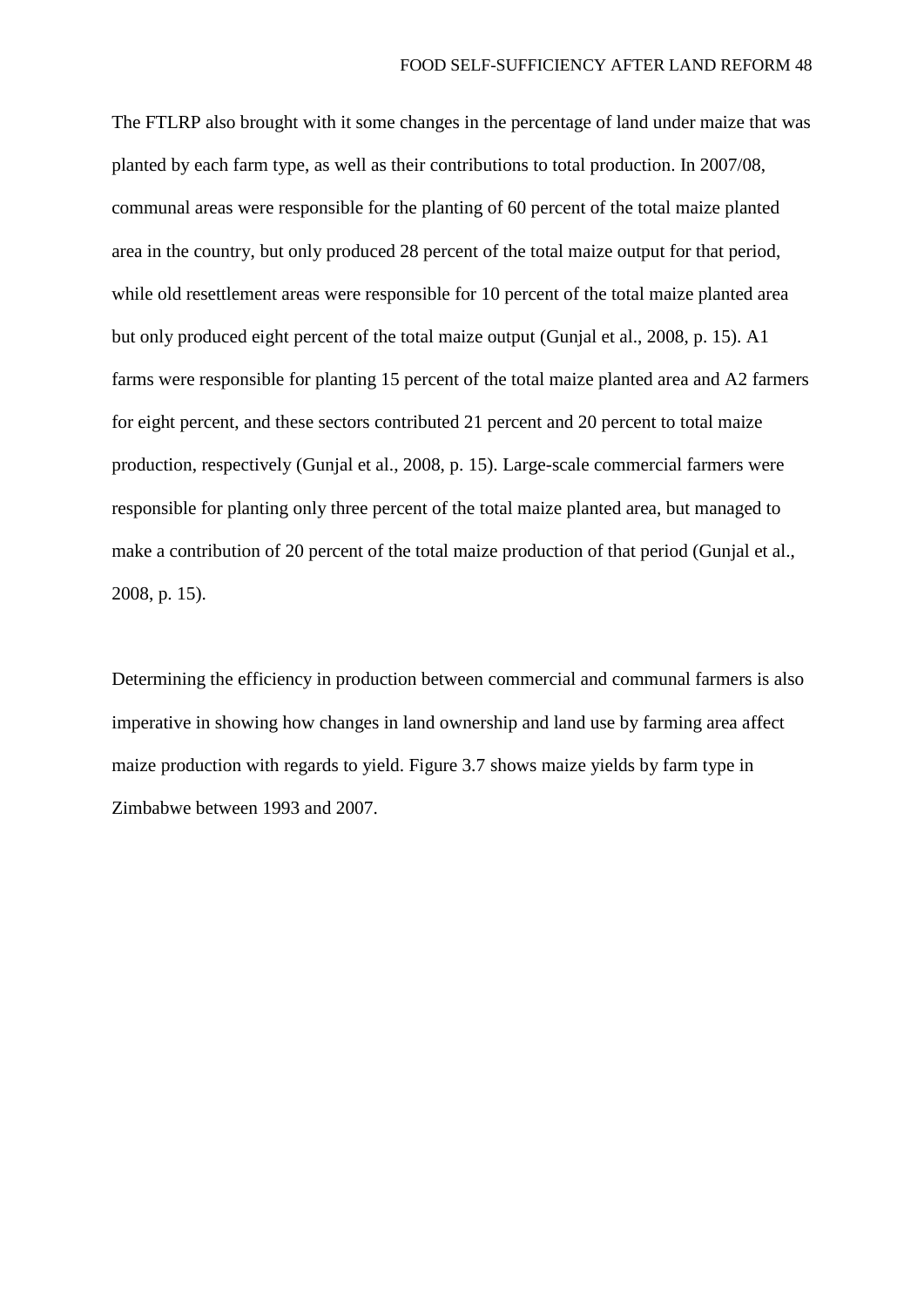The FTLRP also brought with it some changes in the percentage of land under maize that was planted by each farm type, as well as their contributions to total production. In 2007/08, communal areas were responsible for the planting of 60 percent of the total maize planted area in the country, but only produced 28 percent of the total maize output for that period, while old resettlement areas were responsible for 10 percent of the total maize planted area but only produced eight percent of the total maize output (Gunjal et al., 2008, p. 15). A1 farms were responsible for planting 15 percent of the total maize planted area and A2 farmers for eight percent, and these sectors contributed 21 percent and 20 percent to total maize production, respectively (Gunjal et al., 2008, p. 15). Large-scale commercial farmers were responsible for planting only three percent of the total maize planted area, but managed to make a contribution of 20 percent of the total maize production of that period (Gunjal et al., 2008, p. 15).

Determining the efficiency in production between commercial and communal farmers is also imperative in showing how changes in land ownership and land use by farming area affect maize production with regards to yield. Figure 3.7 shows maize yields by farm type in Zimbabwe between 1993 and 2007.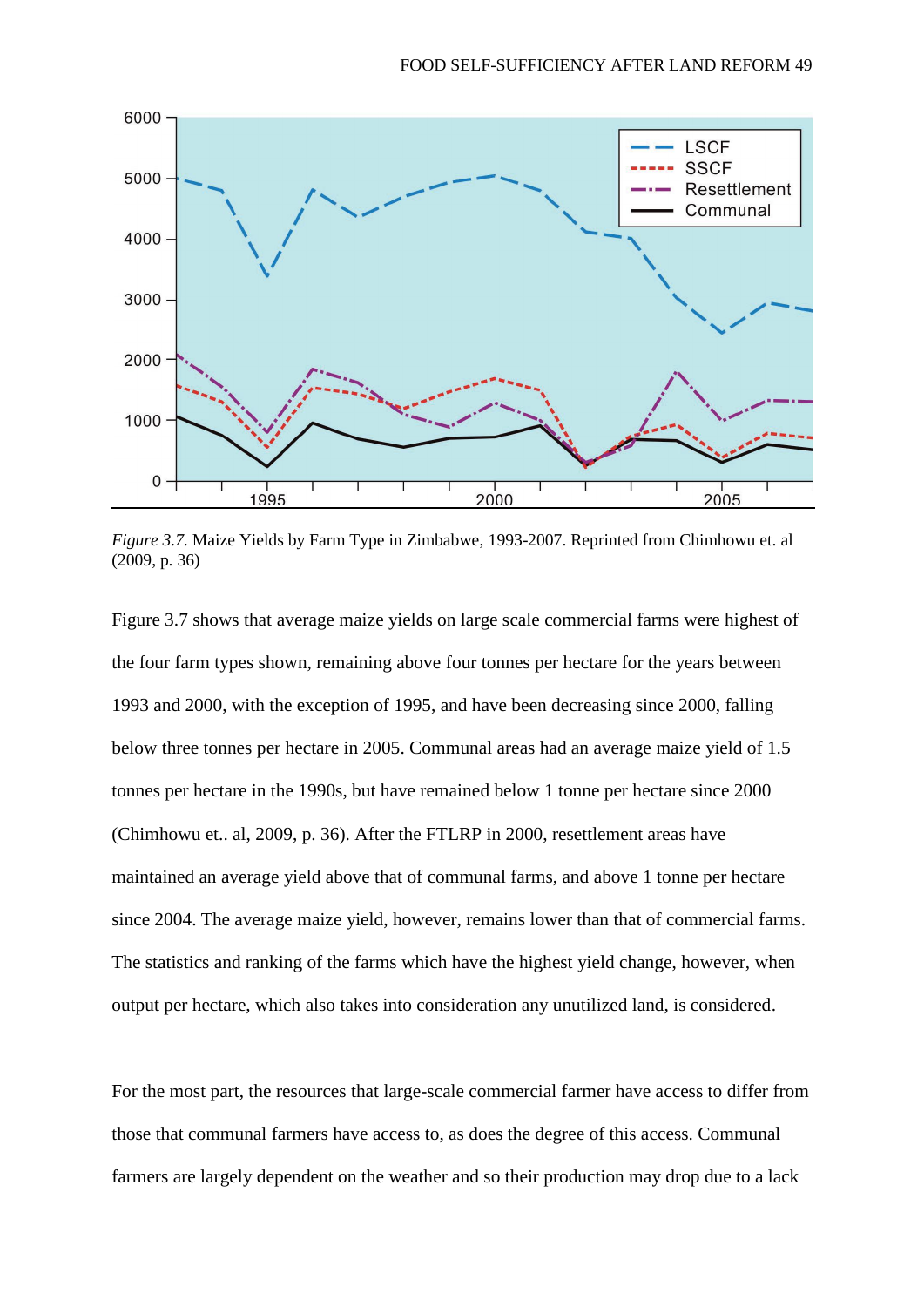

*Figure 3.7.* Maize Yields by Farm Type in Zimbabwe, 1993-2007. Reprinted from Chimhowu et. al (2009, p. 36)

Figure 3.7 shows that average maize yields on large scale commercial farms were highest of the four farm types shown, remaining above four tonnes per hectare for the years between 1993 and 2000, with the exception of 1995, and have been decreasing since 2000, falling below three tonnes per hectare in 2005. Communal areas had an average maize yield of 1.5 tonnes per hectare in the 1990s, but have remained below 1 tonne per hectare since 2000 (Chimhowu et.. al, 2009, p. 36). After the FTLRP in 2000, resettlement areas have maintained an average yield above that of communal farms, and above 1 tonne per hectare since 2004. The average maize yield, however, remains lower than that of commercial farms. The statistics and ranking of the farms which have the highest yield change, however, when output per hectare, which also takes into consideration any unutilized land, is considered.

For the most part, the resources that large-scale commercial farmer have access to differ from those that communal farmers have access to, as does the degree of this access. Communal farmers are largely dependent on the weather and so their production may drop due to a lack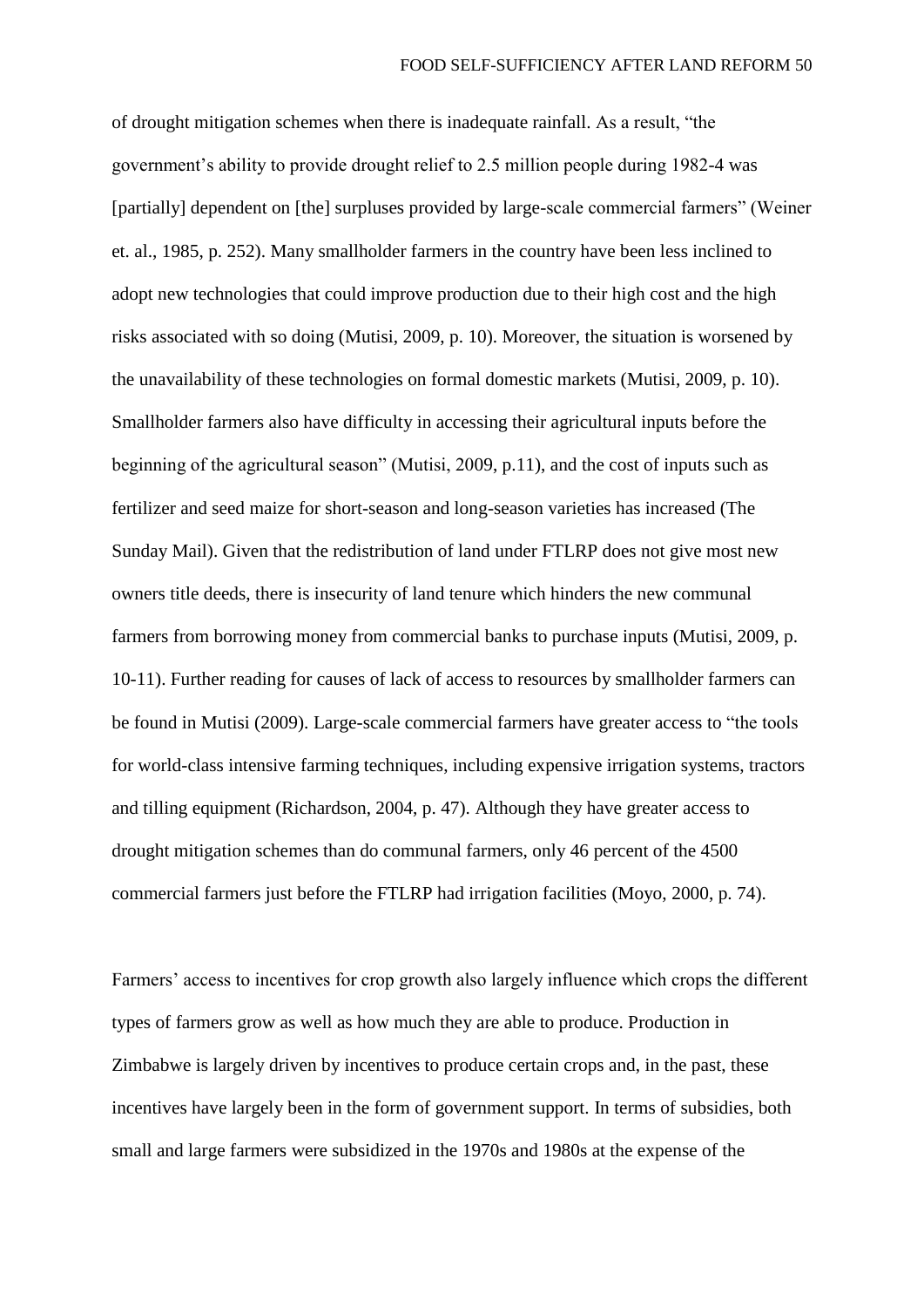of drought mitigation schemes when there is inadequate rainfall. As a result, "the government's ability to provide drought relief to 2.5 million people during 1982-4 was [partially] dependent on [the] surpluses provided by large-scale commercial farmers" (Weiner et. al., 1985, p. 252). Many smallholder farmers in the country have been less inclined to adopt new technologies that could improve production due to their high cost and the high risks associated with so doing (Mutisi, 2009, p. 10). Moreover, the situation is worsened by the unavailability of these technologies on formal domestic markets (Mutisi, 2009, p. 10). Smallholder farmers also have difficulty in accessing their agricultural inputs before the beginning of the agricultural season" (Mutisi, 2009, p.11), and the cost of inputs such as fertilizer and seed maize for short-season and long-season varieties has increased (The Sunday Mail). Given that the redistribution of land under FTLRP does not give most new owners title deeds, there is insecurity of land tenure which hinders the new communal farmers from borrowing money from commercial banks to purchase inputs (Mutisi, 2009, p. 10-11). Further reading for causes of lack of access to resources by smallholder farmers can be found in Mutisi (2009). Large-scale commercial farmers have greater access to "the tools for world-class intensive farming techniques, including expensive irrigation systems, tractors and tilling equipment (Richardson, 2004, p. 47). Although they have greater access to drought mitigation schemes than do communal farmers, only 46 percent of the 4500 commercial farmers just before the FTLRP had irrigation facilities (Moyo, 2000, p. 74).

Farmers' access to incentives for crop growth also largely influence which crops the different types of farmers grow as well as how much they are able to produce. Production in Zimbabwe is largely driven by incentives to produce certain crops and, in the past, these incentives have largely been in the form of government support. In terms of subsidies, both small and large farmers were subsidized in the 1970s and 1980s at the expense of the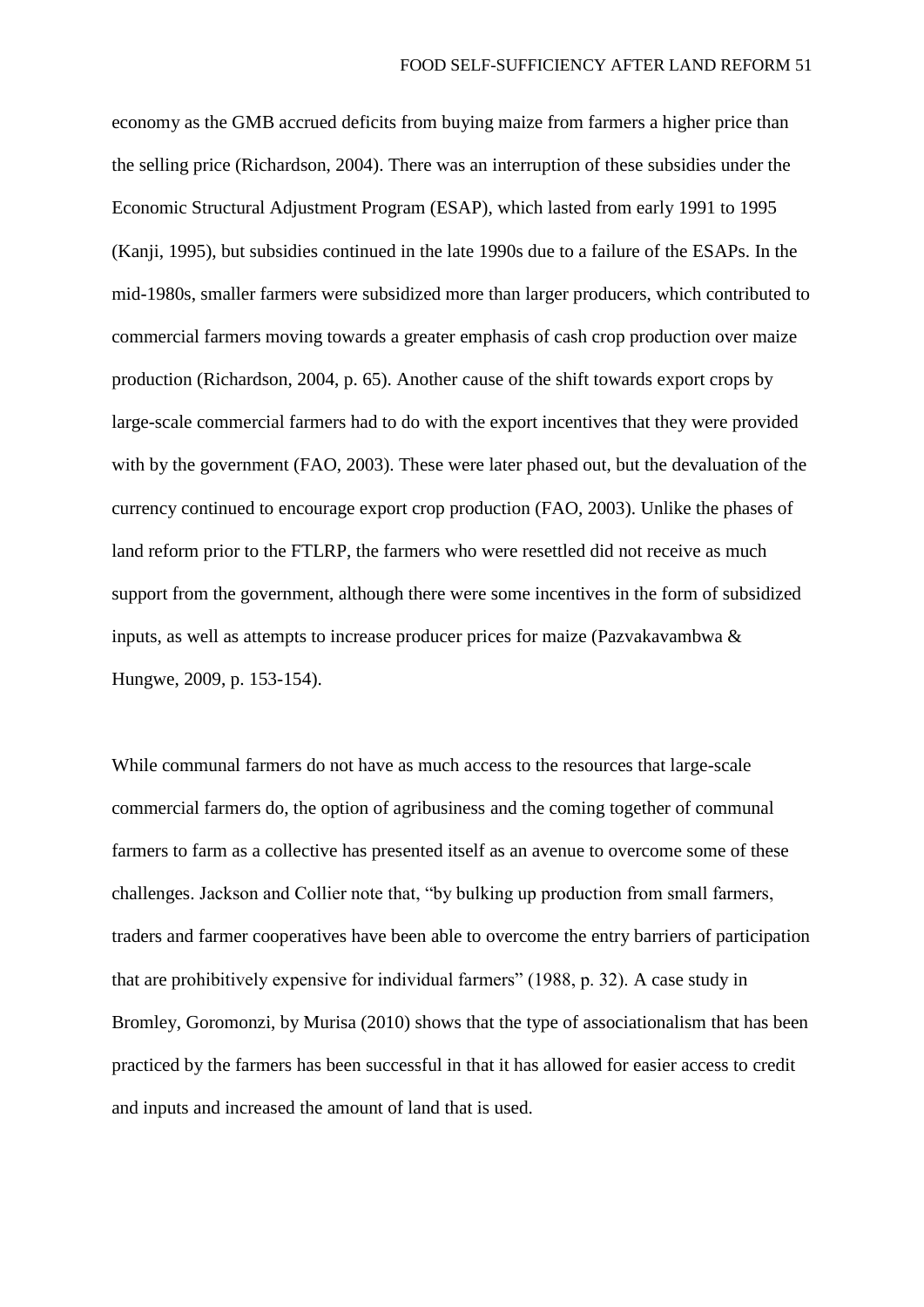economy as the GMB accrued deficits from buying maize from farmers a higher price than the selling price (Richardson, 2004). There was an interruption of these subsidies under the Economic Structural Adjustment Program (ESAP), which lasted from early 1991 to 1995 (Kanji, 1995), but subsidies continued in the late 1990s due to a failure of the ESAPs. In the mid-1980s, smaller farmers were subsidized more than larger producers, which contributed to commercial farmers moving towards a greater emphasis of cash crop production over maize production (Richardson, 2004, p. 65). Another cause of the shift towards export crops by large-scale commercial farmers had to do with the export incentives that they were provided with by the government (FAO, 2003). These were later phased out, but the devaluation of the currency continued to encourage export crop production (FAO, 2003). Unlike the phases of land reform prior to the FTLRP, the farmers who were resettled did not receive as much support from the government, although there were some incentives in the form of subsidized inputs, as well as attempts to increase producer prices for maize (Pazvakavambwa & Hungwe, 2009, p. 153-154).

While communal farmers do not have as much access to the resources that large-scale commercial farmers do, the option of agribusiness and the coming together of communal farmers to farm as a collective has presented itself as an avenue to overcome some of these challenges. Jackson and Collier note that, "by bulking up production from small farmers, traders and farmer cooperatives have been able to overcome the entry barriers of participation that are prohibitively expensive for individual farmers" (1988, p. 32). A case study in Bromley, Goromonzi, by Murisa (2010) shows that the type of associationalism that has been practiced by the farmers has been successful in that it has allowed for easier access to credit and inputs and increased the amount of land that is used.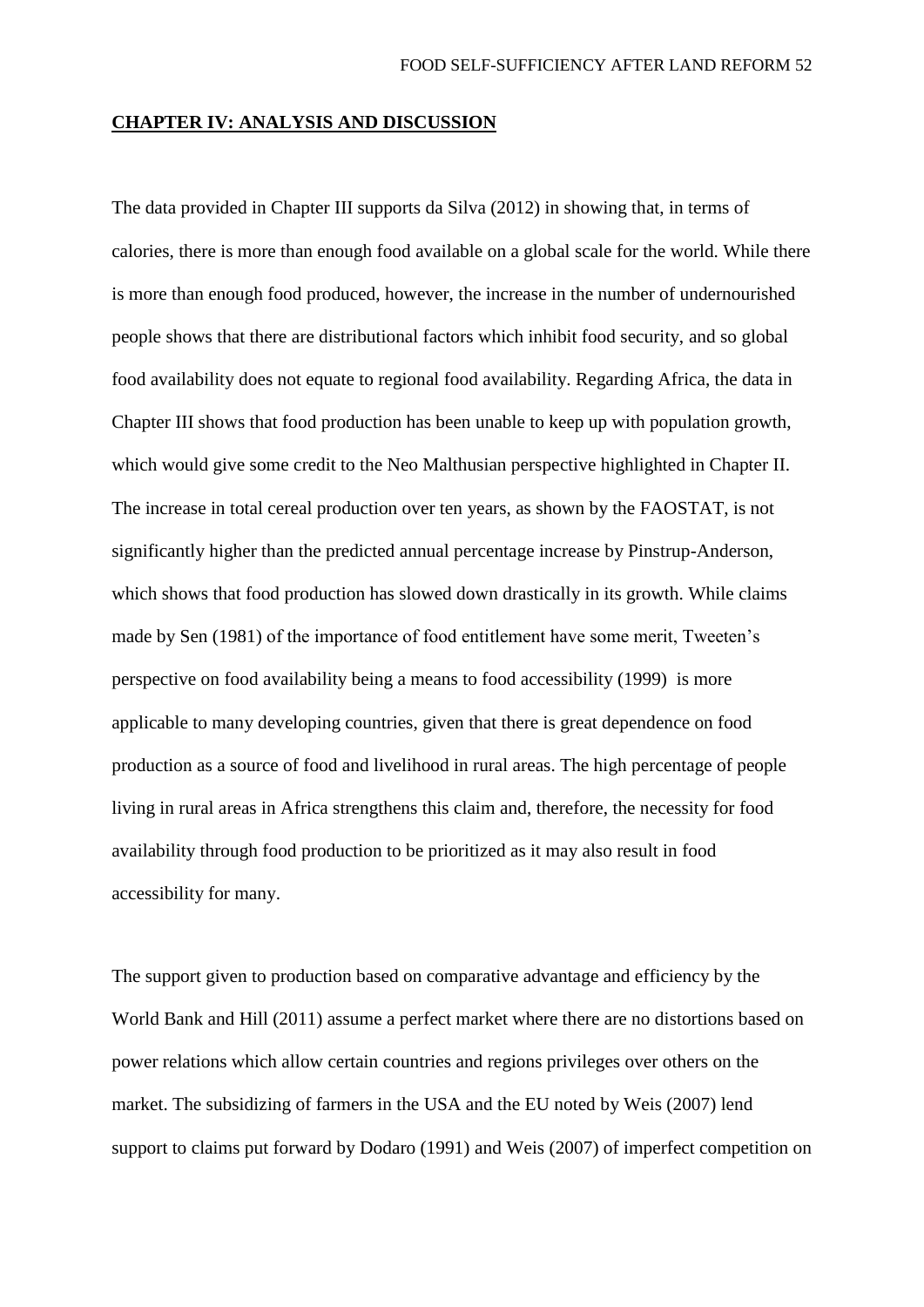#### **CHAPTER IV: ANALYSIS AND DISCUSSION**

The data provided in Chapter III supports da Silva (2012) in showing that, in terms of calories, there is more than enough food available on a global scale for the world. While there is more than enough food produced, however, the increase in the number of undernourished people shows that there are distributional factors which inhibit food security, and so global food availability does not equate to regional food availability. Regarding Africa, the data in Chapter III shows that food production has been unable to keep up with population growth, which would give some credit to the Neo Malthusian perspective highlighted in Chapter II. The increase in total cereal production over ten years, as shown by the FAOSTAT, is not significantly higher than the predicted annual percentage increase by Pinstrup-Anderson, which shows that food production has slowed down drastically in its growth. While claims made by Sen (1981) of the importance of food entitlement have some merit, Tweeten's perspective on food availability being a means to food accessibility (1999) is more applicable to many developing countries, given that there is great dependence on food production as a source of food and livelihood in rural areas. The high percentage of people living in rural areas in Africa strengthens this claim and, therefore, the necessity for food availability through food production to be prioritized as it may also result in food accessibility for many.

The support given to production based on comparative advantage and efficiency by the World Bank and Hill (2011) assume a perfect market where there are no distortions based on power relations which allow certain countries and regions privileges over others on the market. The subsidizing of farmers in the USA and the EU noted by Weis (2007) lend support to claims put forward by Dodaro (1991) and Weis (2007) of imperfect competition on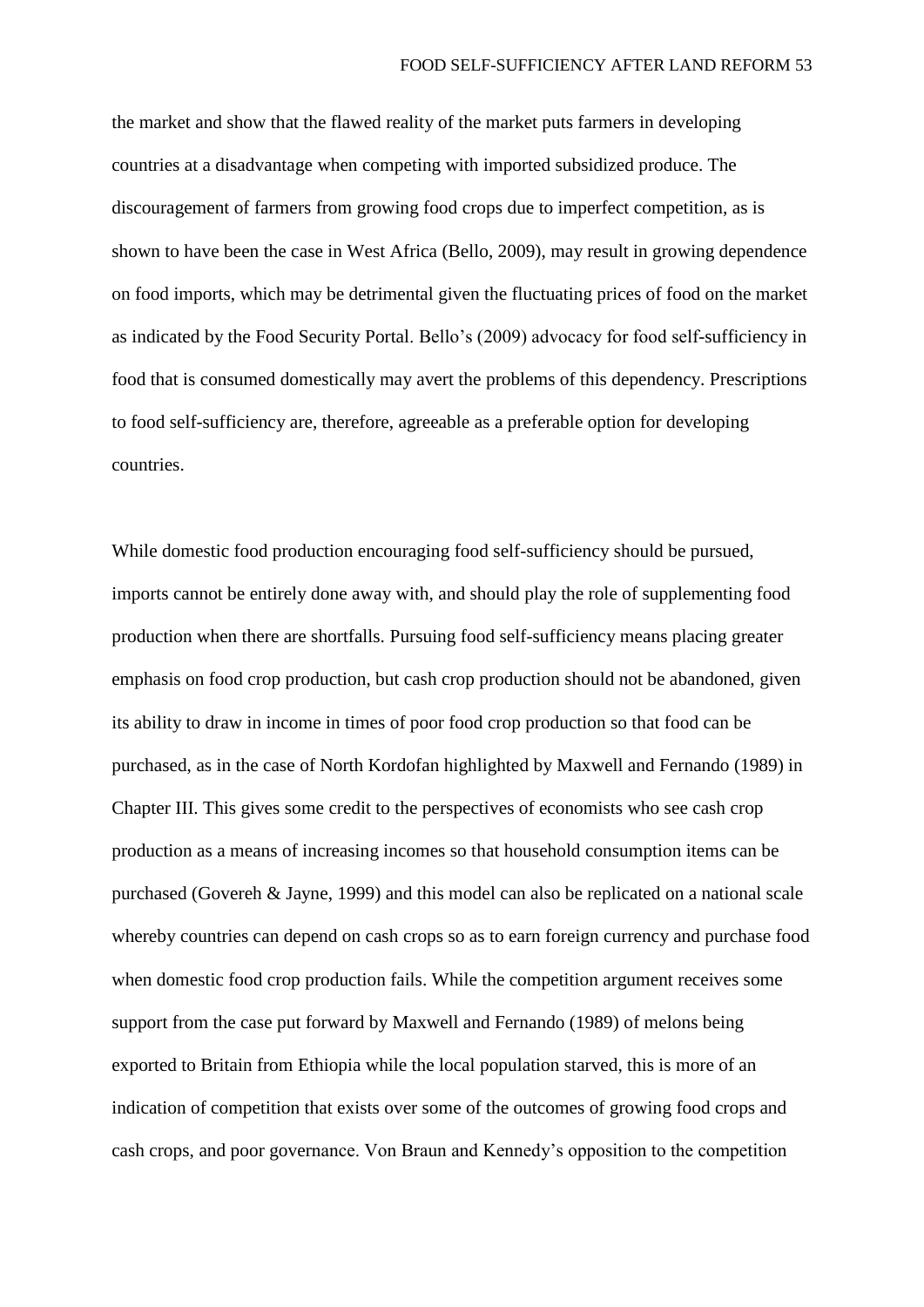the market and show that the flawed reality of the market puts farmers in developing countries at a disadvantage when competing with imported subsidized produce. The discouragement of farmers from growing food crops due to imperfect competition, as is shown to have been the case in West Africa (Bello, 2009), may result in growing dependence on food imports, which may be detrimental given the fluctuating prices of food on the market as indicated by the Food Security Portal. Bello's (2009) advocacy for food self-sufficiency in food that is consumed domestically may avert the problems of this dependency. Prescriptions to food self-sufficiency are, therefore, agreeable as a preferable option for developing countries.

While domestic food production encouraging food self-sufficiency should be pursued, imports cannot be entirely done away with, and should play the role of supplementing food production when there are shortfalls. Pursuing food self-sufficiency means placing greater emphasis on food crop production, but cash crop production should not be abandoned, given its ability to draw in income in times of poor food crop production so that food can be purchased, as in the case of North Kordofan highlighted by Maxwell and Fernando (1989) in Chapter III. This gives some credit to the perspectives of economists who see cash crop production as a means of increasing incomes so that household consumption items can be purchased (Govereh & Jayne, 1999) and this model can also be replicated on a national scale whereby countries can depend on cash crops so as to earn foreign currency and purchase food when domestic food crop production fails. While the competition argument receives some support from the case put forward by Maxwell and Fernando (1989) of melons being exported to Britain from Ethiopia while the local population starved, this is more of an indication of competition that exists over some of the outcomes of growing food crops and cash crops, and poor governance. Von Braun and Kennedy's opposition to the competition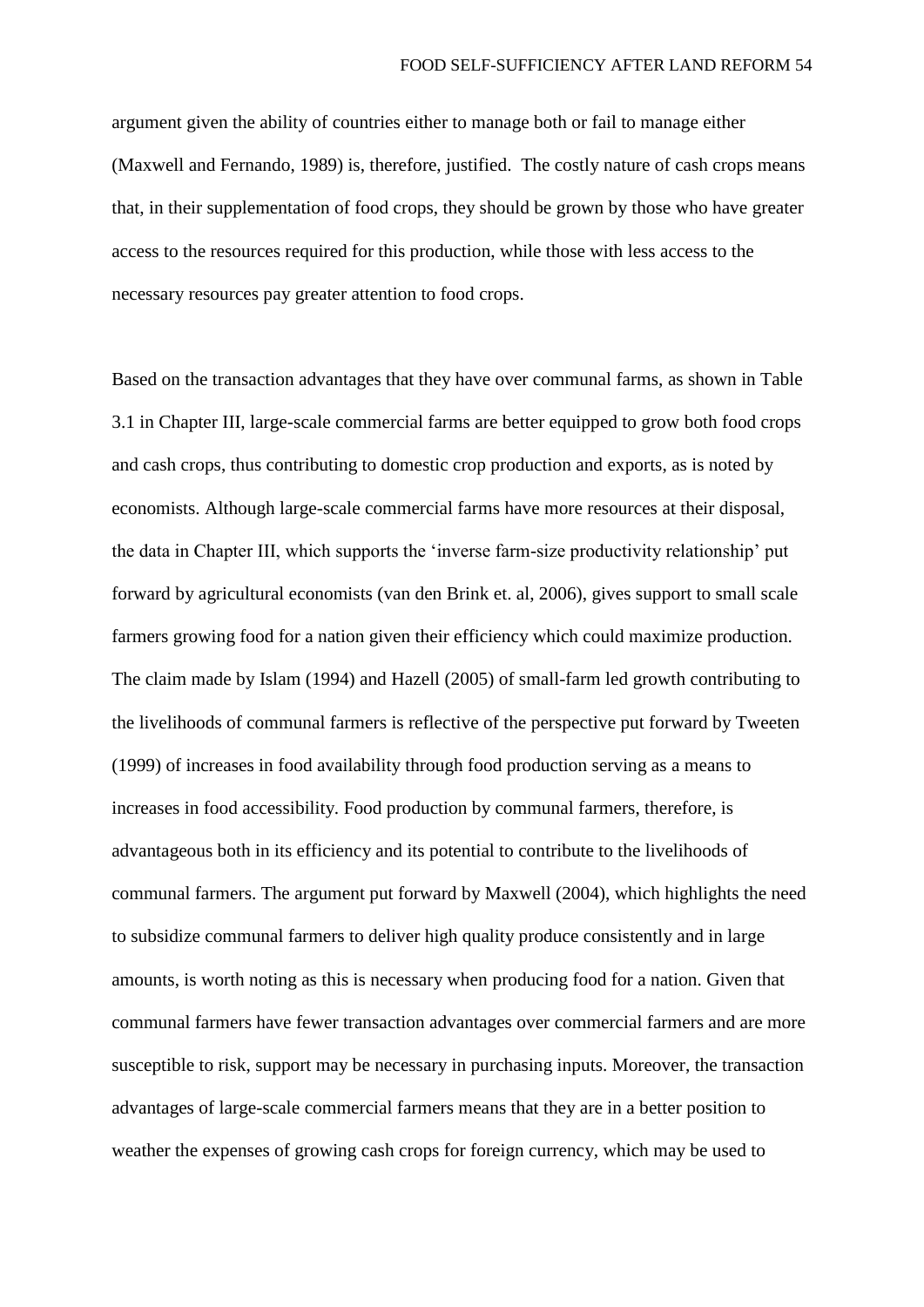argument given the ability of countries either to manage both or fail to manage either (Maxwell and Fernando, 1989) is, therefore, justified. The costly nature of cash crops means that, in their supplementation of food crops, they should be grown by those who have greater access to the resources required for this production, while those with less access to the necessary resources pay greater attention to food crops.

Based on the transaction advantages that they have over communal farms, as shown in Table 3.1 in Chapter III, large-scale commercial farms are better equipped to grow both food crops and cash crops, thus contributing to domestic crop production and exports, as is noted by economists. Although large-scale commercial farms have more resources at their disposal, the data in Chapter III, which supports the 'inverse farm-size productivity relationship' put forward by agricultural economists (van den Brink et. al, 2006), gives support to small scale farmers growing food for a nation given their efficiency which could maximize production. The claim made by Islam (1994) and Hazell (2005) of small-farm led growth contributing to the livelihoods of communal farmers is reflective of the perspective put forward by Tweeten (1999) of increases in food availability through food production serving as a means to increases in food accessibility. Food production by communal farmers, therefore, is advantageous both in its efficiency and its potential to contribute to the livelihoods of communal farmers. The argument put forward by Maxwell (2004), which highlights the need to subsidize communal farmers to deliver high quality produce consistently and in large amounts, is worth noting as this is necessary when producing food for a nation. Given that communal farmers have fewer transaction advantages over commercial farmers and are more susceptible to risk, support may be necessary in purchasing inputs. Moreover, the transaction advantages of large-scale commercial farmers means that they are in a better position to weather the expenses of growing cash crops for foreign currency, which may be used to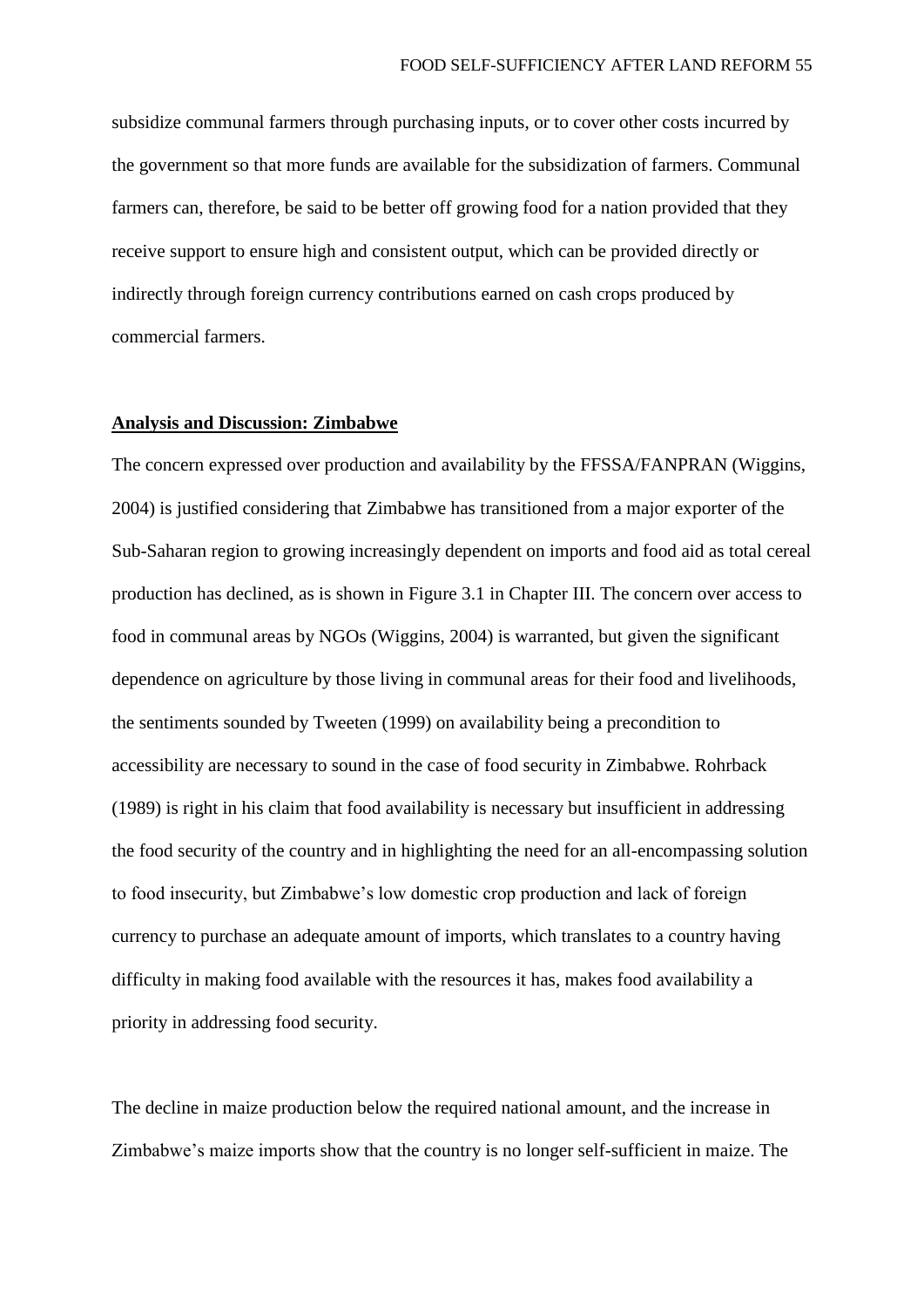subsidize communal farmers through purchasing inputs, or to cover other costs incurred by the government so that more funds are available for the subsidization of farmers. Communal farmers can, therefore, be said to be better off growing food for a nation provided that they receive support to ensure high and consistent output, which can be provided directly or indirectly through foreign currency contributions earned on cash crops produced by commercial farmers.

### **Analysis and Discussion: Zimbabwe**

The concern expressed over production and availability by the FFSSA/FANPRAN (Wiggins, 2004) is justified considering that Zimbabwe has transitioned from a major exporter of the Sub-Saharan region to growing increasingly dependent on imports and food aid as total cereal production has declined, as is shown in Figure 3.1 in Chapter III. The concern over access to food in communal areas by NGOs (Wiggins, 2004) is warranted, but given the significant dependence on agriculture by those living in communal areas for their food and livelihoods, the sentiments sounded by Tweeten (1999) on availability being a precondition to accessibility are necessary to sound in the case of food security in Zimbabwe. Rohrback (1989) is right in his claim that food availability is necessary but insufficient in addressing the food security of the country and in highlighting the need for an all-encompassing solution to food insecurity, but Zimbabwe's low domestic crop production and lack of foreign currency to purchase an adequate amount of imports, which translates to a country having difficulty in making food available with the resources it has, makes food availability a priority in addressing food security.

The decline in maize production below the required national amount, and the increase in Zimbabwe's maize imports show that the country is no longer self-sufficient in maize. The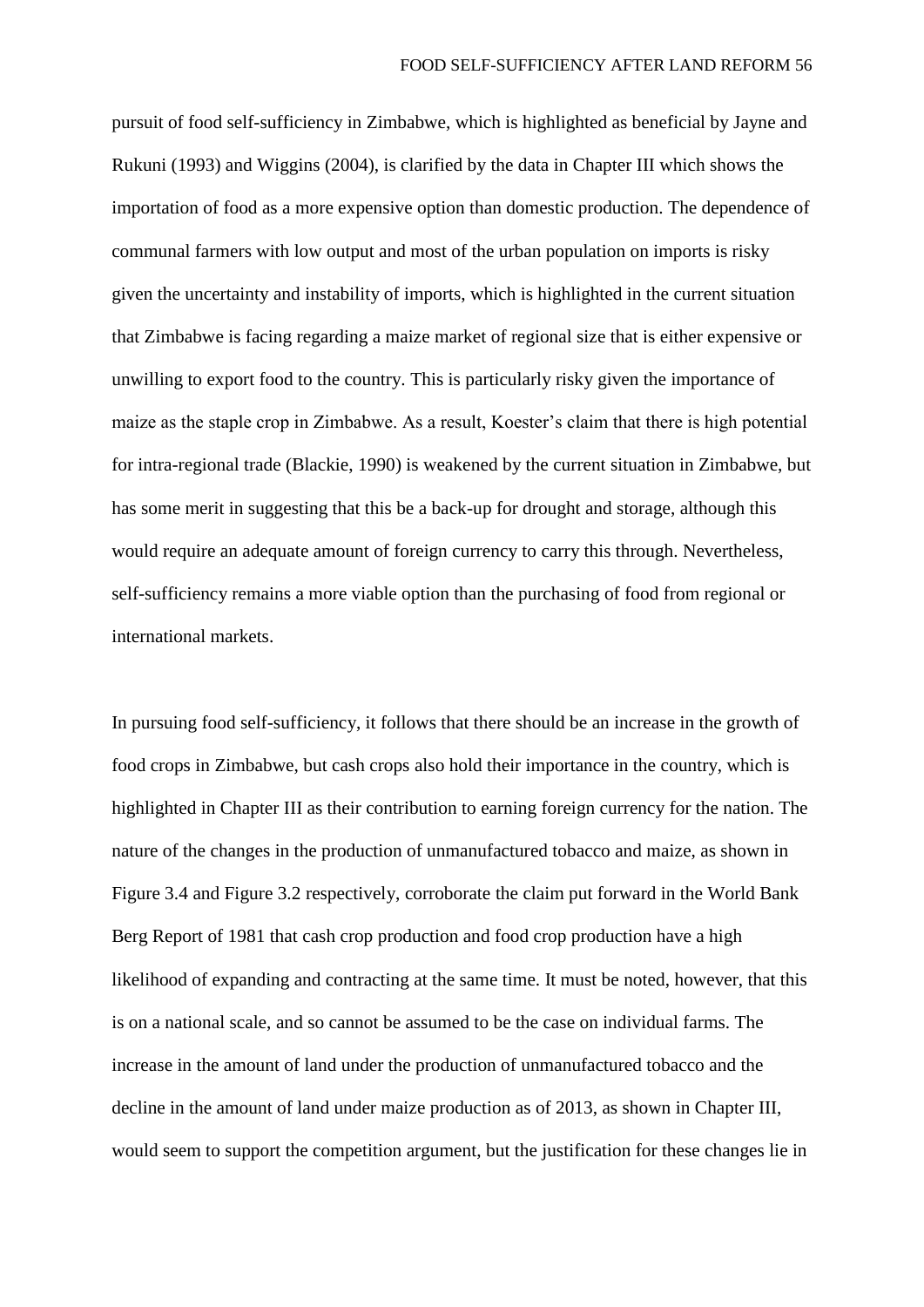pursuit of food self-sufficiency in Zimbabwe, which is highlighted as beneficial by Jayne and Rukuni (1993) and Wiggins (2004), is clarified by the data in Chapter III which shows the importation of food as a more expensive option than domestic production. The dependence of communal farmers with low output and most of the urban population on imports is risky given the uncertainty and instability of imports, which is highlighted in the current situation that Zimbabwe is facing regarding a maize market of regional size that is either expensive or unwilling to export food to the country. This is particularly risky given the importance of maize as the staple crop in Zimbabwe. As a result, Koester's claim that there is high potential for intra-regional trade (Blackie, 1990) is weakened by the current situation in Zimbabwe, but has some merit in suggesting that this be a back-up for drought and storage, although this would require an adequate amount of foreign currency to carry this through. Nevertheless, self-sufficiency remains a more viable option than the purchasing of food from regional or international markets.

In pursuing food self-sufficiency, it follows that there should be an increase in the growth of food crops in Zimbabwe, but cash crops also hold their importance in the country, which is highlighted in Chapter III as their contribution to earning foreign currency for the nation. The nature of the changes in the production of unmanufactured tobacco and maize, as shown in Figure 3.4 and Figure 3.2 respectively, corroborate the claim put forward in the World Bank Berg Report of 1981 that cash crop production and food crop production have a high likelihood of expanding and contracting at the same time. It must be noted, however, that this is on a national scale, and so cannot be assumed to be the case on individual farms. The increase in the amount of land under the production of unmanufactured tobacco and the decline in the amount of land under maize production as of 2013, as shown in Chapter III, would seem to support the competition argument, but the justification for these changes lie in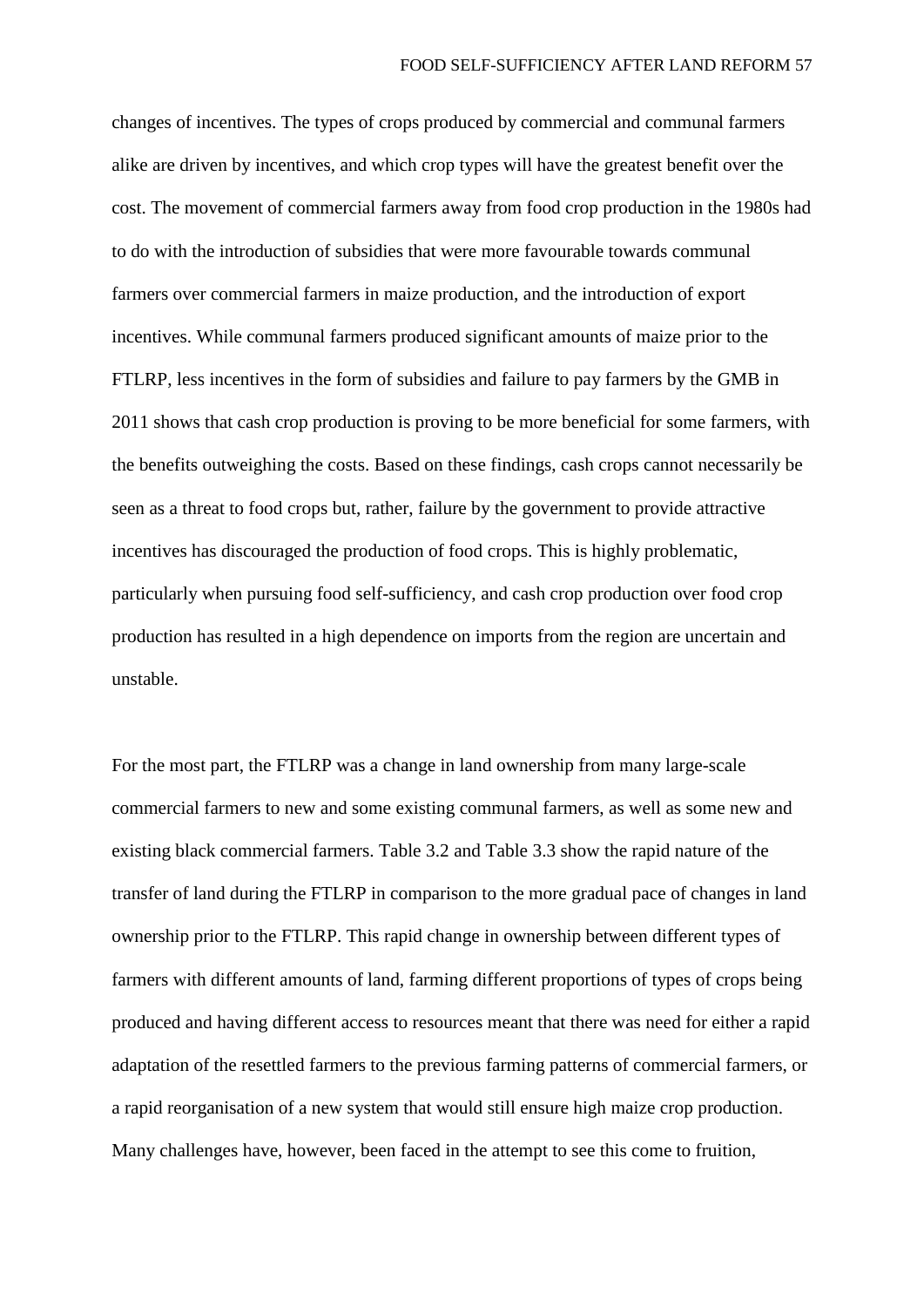changes of incentives. The types of crops produced by commercial and communal farmers alike are driven by incentives, and which crop types will have the greatest benefit over the cost. The movement of commercial farmers away from food crop production in the 1980s had to do with the introduction of subsidies that were more favourable towards communal farmers over commercial farmers in maize production, and the introduction of export incentives. While communal farmers produced significant amounts of maize prior to the FTLRP, less incentives in the form of subsidies and failure to pay farmers by the GMB in 2011 shows that cash crop production is proving to be more beneficial for some farmers, with the benefits outweighing the costs. Based on these findings, cash crops cannot necessarily be seen as a threat to food crops but, rather, failure by the government to provide attractive incentives has discouraged the production of food crops. This is highly problematic, particularly when pursuing food self-sufficiency, and cash crop production over food crop production has resulted in a high dependence on imports from the region are uncertain and unstable.

For the most part, the FTLRP was a change in land ownership from many large-scale commercial farmers to new and some existing communal farmers, as well as some new and existing black commercial farmers. Table 3.2 and Table 3.3 show the rapid nature of the transfer of land during the FTLRP in comparison to the more gradual pace of changes in land ownership prior to the FTLRP. This rapid change in ownership between different types of farmers with different amounts of land, farming different proportions of types of crops being produced and having different access to resources meant that there was need for either a rapid adaptation of the resettled farmers to the previous farming patterns of commercial farmers, or a rapid reorganisation of a new system that would still ensure high maize crop production. Many challenges have, however, been faced in the attempt to see this come to fruition,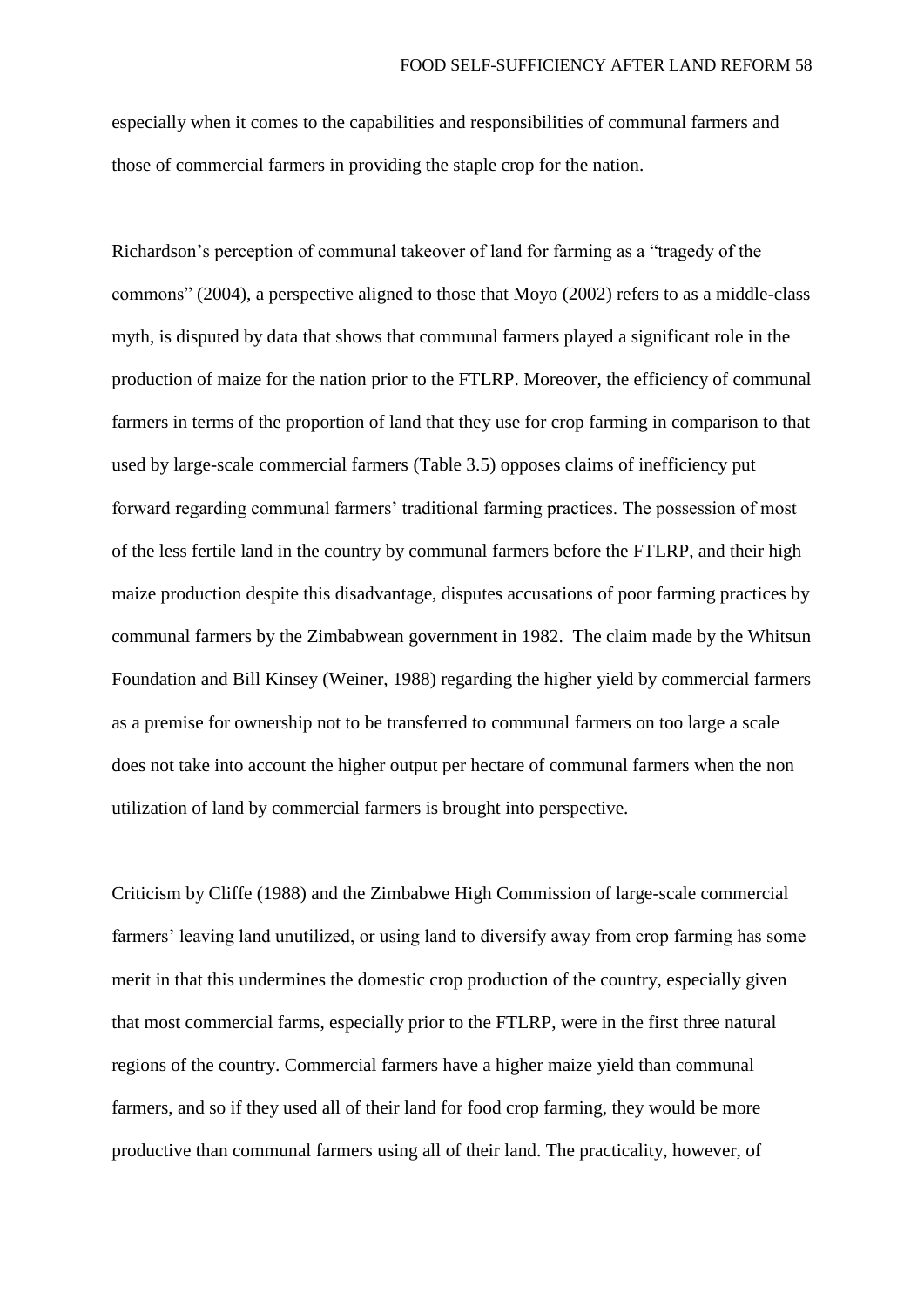especially when it comes to the capabilities and responsibilities of communal farmers and those of commercial farmers in providing the staple crop for the nation.

Richardson's perception of communal takeover of land for farming as a "tragedy of the commons" (2004), a perspective aligned to those that Moyo (2002) refers to as a middle-class myth, is disputed by data that shows that communal farmers played a significant role in the production of maize for the nation prior to the FTLRP. Moreover, the efficiency of communal farmers in terms of the proportion of land that they use for crop farming in comparison to that used by large-scale commercial farmers (Table 3.5) opposes claims of inefficiency put forward regarding communal farmers' traditional farming practices. The possession of most of the less fertile land in the country by communal farmers before the FTLRP, and their high maize production despite this disadvantage, disputes accusations of poor farming practices by communal farmers by the Zimbabwean government in 1982. The claim made by the Whitsun Foundation and Bill Kinsey (Weiner, 1988) regarding the higher yield by commercial farmers as a premise for ownership not to be transferred to communal farmers on too large a scale does not take into account the higher output per hectare of communal farmers when the non utilization of land by commercial farmers is brought into perspective.

Criticism by Cliffe (1988) and the Zimbabwe High Commission of large-scale commercial farmers' leaving land unutilized, or using land to diversify away from crop farming has some merit in that this undermines the domestic crop production of the country, especially given that most commercial farms, especially prior to the FTLRP, were in the first three natural regions of the country. Commercial farmers have a higher maize yield than communal farmers, and so if they used all of their land for food crop farming, they would be more productive than communal farmers using all of their land. The practicality, however, of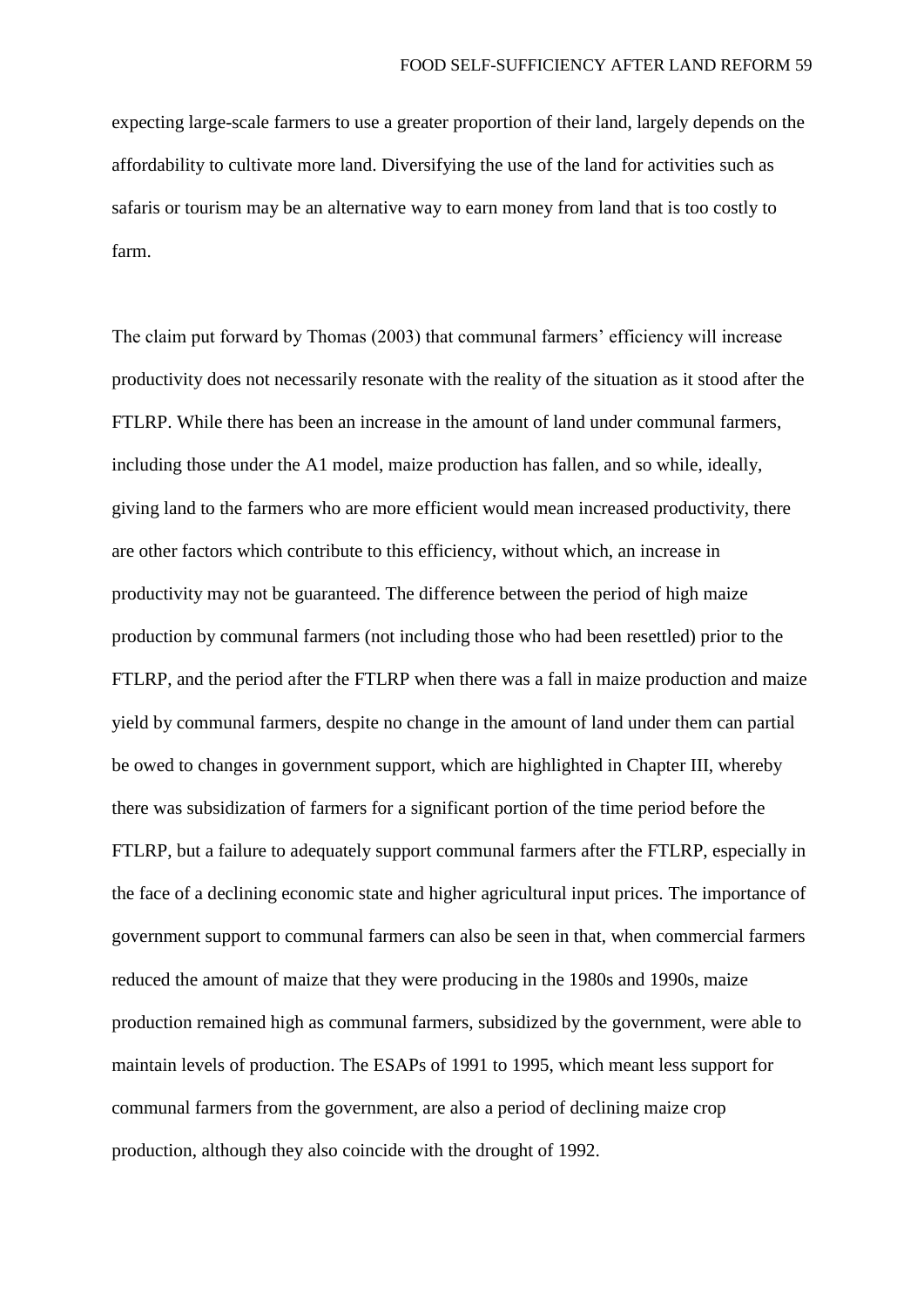expecting large-scale farmers to use a greater proportion of their land, largely depends on the affordability to cultivate more land. Diversifying the use of the land for activities such as safaris or tourism may be an alternative way to earn money from land that is too costly to farm.

The claim put forward by Thomas (2003) that communal farmers' efficiency will increase productivity does not necessarily resonate with the reality of the situation as it stood after the FTLRP. While there has been an increase in the amount of land under communal farmers, including those under the A1 model, maize production has fallen, and so while, ideally, giving land to the farmers who are more efficient would mean increased productivity, there are other factors which contribute to this efficiency, without which, an increase in productivity may not be guaranteed. The difference between the period of high maize production by communal farmers (not including those who had been resettled) prior to the FTLRP, and the period after the FTLRP when there was a fall in maize production and maize yield by communal farmers, despite no change in the amount of land under them can partial be owed to changes in government support, which are highlighted in Chapter III, whereby there was subsidization of farmers for a significant portion of the time period before the FTLRP, but a failure to adequately support communal farmers after the FTLRP, especially in the face of a declining economic state and higher agricultural input prices. The importance of government support to communal farmers can also be seen in that, when commercial farmers reduced the amount of maize that they were producing in the 1980s and 1990s, maize production remained high as communal farmers, subsidized by the government, were able to maintain levels of production. The ESAPs of 1991 to 1995, which meant less support for communal farmers from the government, are also a period of declining maize crop production, although they also coincide with the drought of 1992.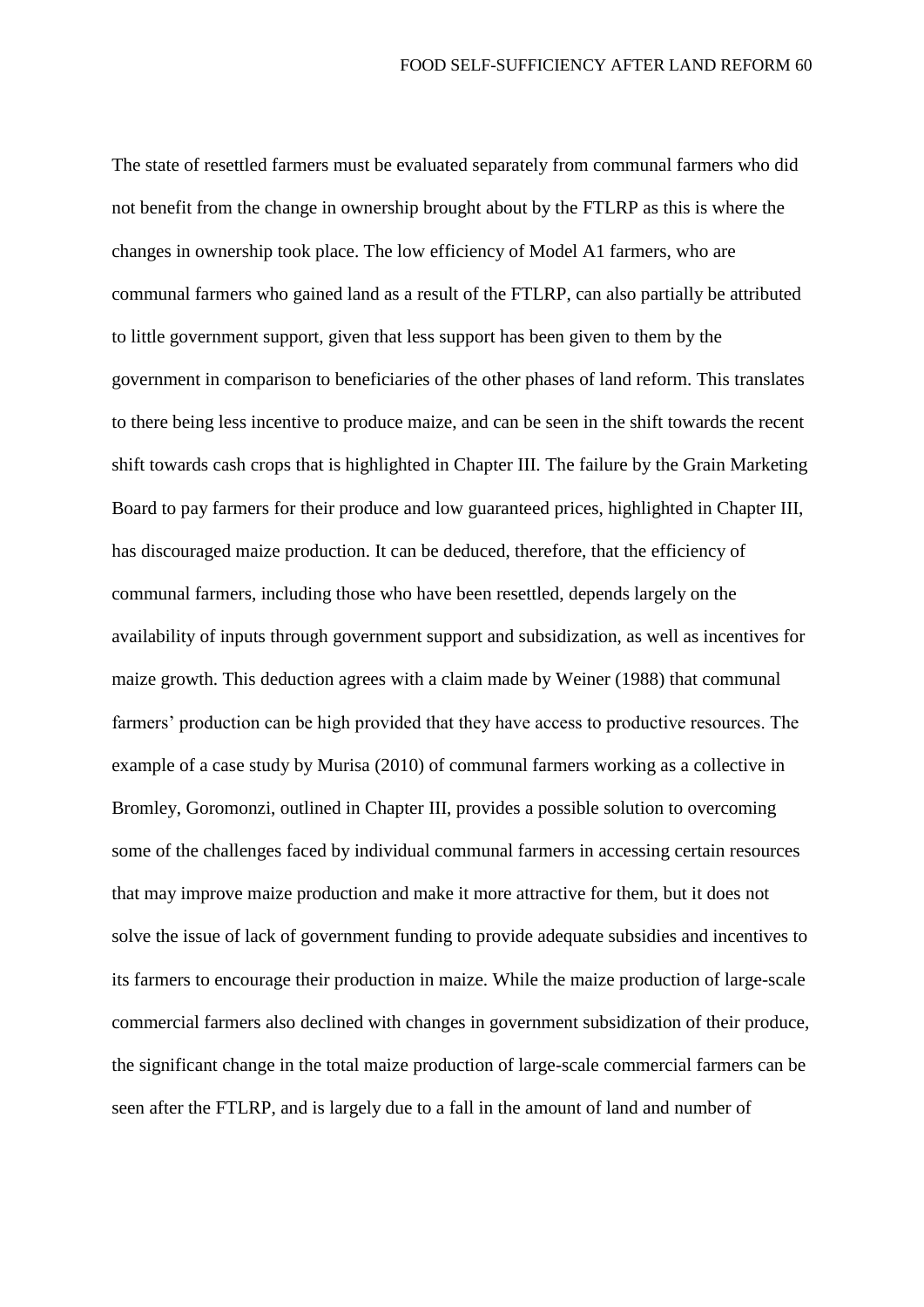The state of resettled farmers must be evaluated separately from communal farmers who did not benefit from the change in ownership brought about by the FTLRP as this is where the changes in ownership took place. The low efficiency of Model A1 farmers, who are communal farmers who gained land as a result of the FTLRP, can also partially be attributed to little government support, given that less support has been given to them by the government in comparison to beneficiaries of the other phases of land reform. This translates to there being less incentive to produce maize, and can be seen in the shift towards the recent shift towards cash crops that is highlighted in Chapter III. The failure by the Grain Marketing Board to pay farmers for their produce and low guaranteed prices, highlighted in Chapter III, has discouraged maize production. It can be deduced, therefore, that the efficiency of communal farmers, including those who have been resettled, depends largely on the availability of inputs through government support and subsidization, as well as incentives for maize growth. This deduction agrees with a claim made by Weiner (1988) that communal farmers' production can be high provided that they have access to productive resources. The example of a case study by Murisa (2010) of communal farmers working as a collective in Bromley, Goromonzi, outlined in Chapter III, provides a possible solution to overcoming some of the challenges faced by individual communal farmers in accessing certain resources that may improve maize production and make it more attractive for them, but it does not solve the issue of lack of government funding to provide adequate subsidies and incentives to its farmers to encourage their production in maize. While the maize production of large-scale commercial farmers also declined with changes in government subsidization of their produce, the significant change in the total maize production of large-scale commercial farmers can be seen after the FTLRP, and is largely due to a fall in the amount of land and number of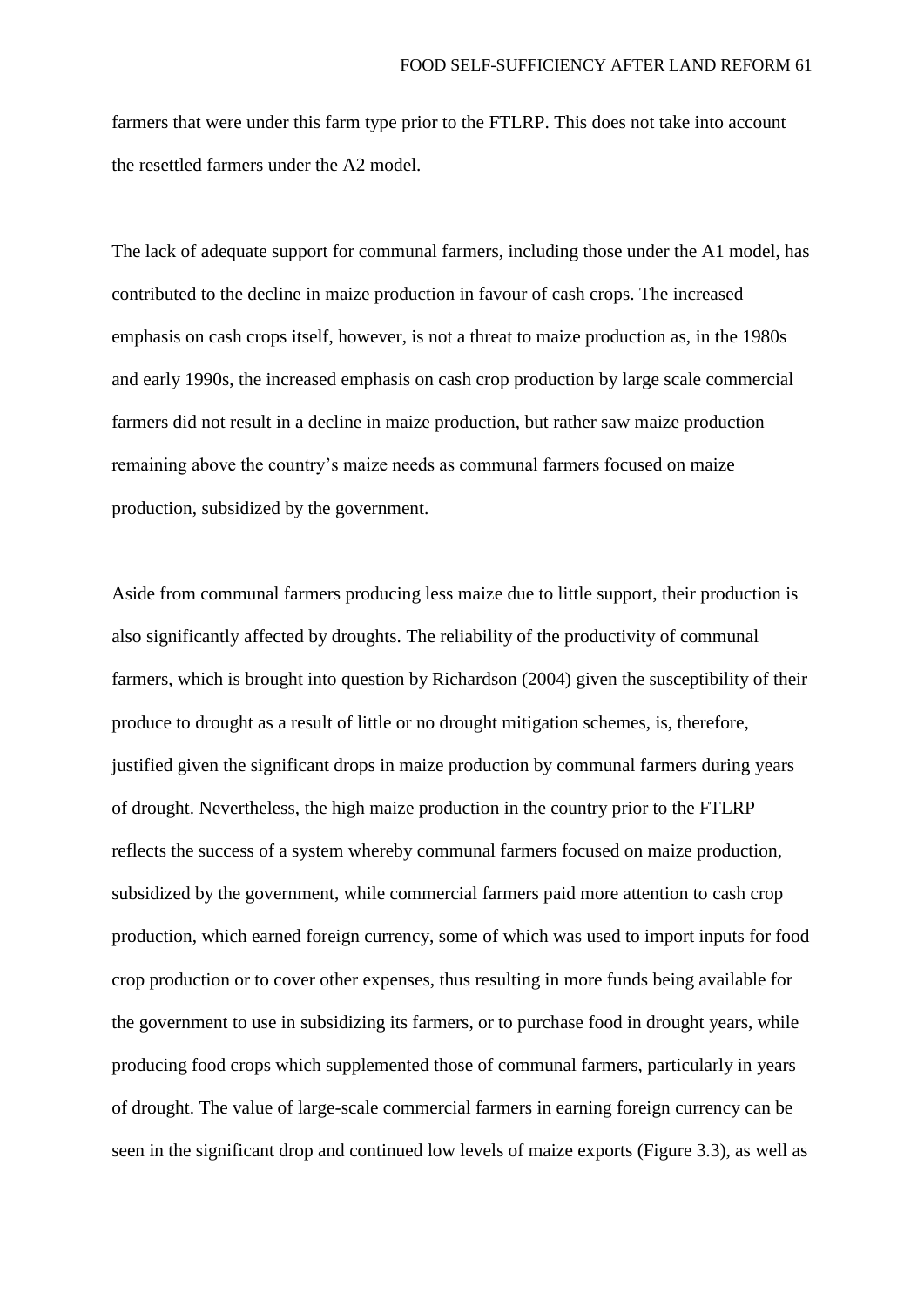farmers that were under this farm type prior to the FTLRP. This does not take into account the resettled farmers under the A2 model.

The lack of adequate support for communal farmers, including those under the A1 model, has contributed to the decline in maize production in favour of cash crops. The increased emphasis on cash crops itself, however, is not a threat to maize production as, in the 1980s and early 1990s, the increased emphasis on cash crop production by large scale commercial farmers did not result in a decline in maize production, but rather saw maize production remaining above the country's maize needs as communal farmers focused on maize production, subsidized by the government.

Aside from communal farmers producing less maize due to little support, their production is also significantly affected by droughts. The reliability of the productivity of communal farmers, which is brought into question by Richardson (2004) given the susceptibility of their produce to drought as a result of little or no drought mitigation schemes, is, therefore, justified given the significant drops in maize production by communal farmers during years of drought. Nevertheless, the high maize production in the country prior to the FTLRP reflects the success of a system whereby communal farmers focused on maize production, subsidized by the government, while commercial farmers paid more attention to cash crop production, which earned foreign currency, some of which was used to import inputs for food crop production or to cover other expenses, thus resulting in more funds being available for the government to use in subsidizing its farmers, or to purchase food in drought years, while producing food crops which supplemented those of communal farmers, particularly in years of drought. The value of large-scale commercial farmers in earning foreign currency can be seen in the significant drop and continued low levels of maize exports (Figure 3.3), as well as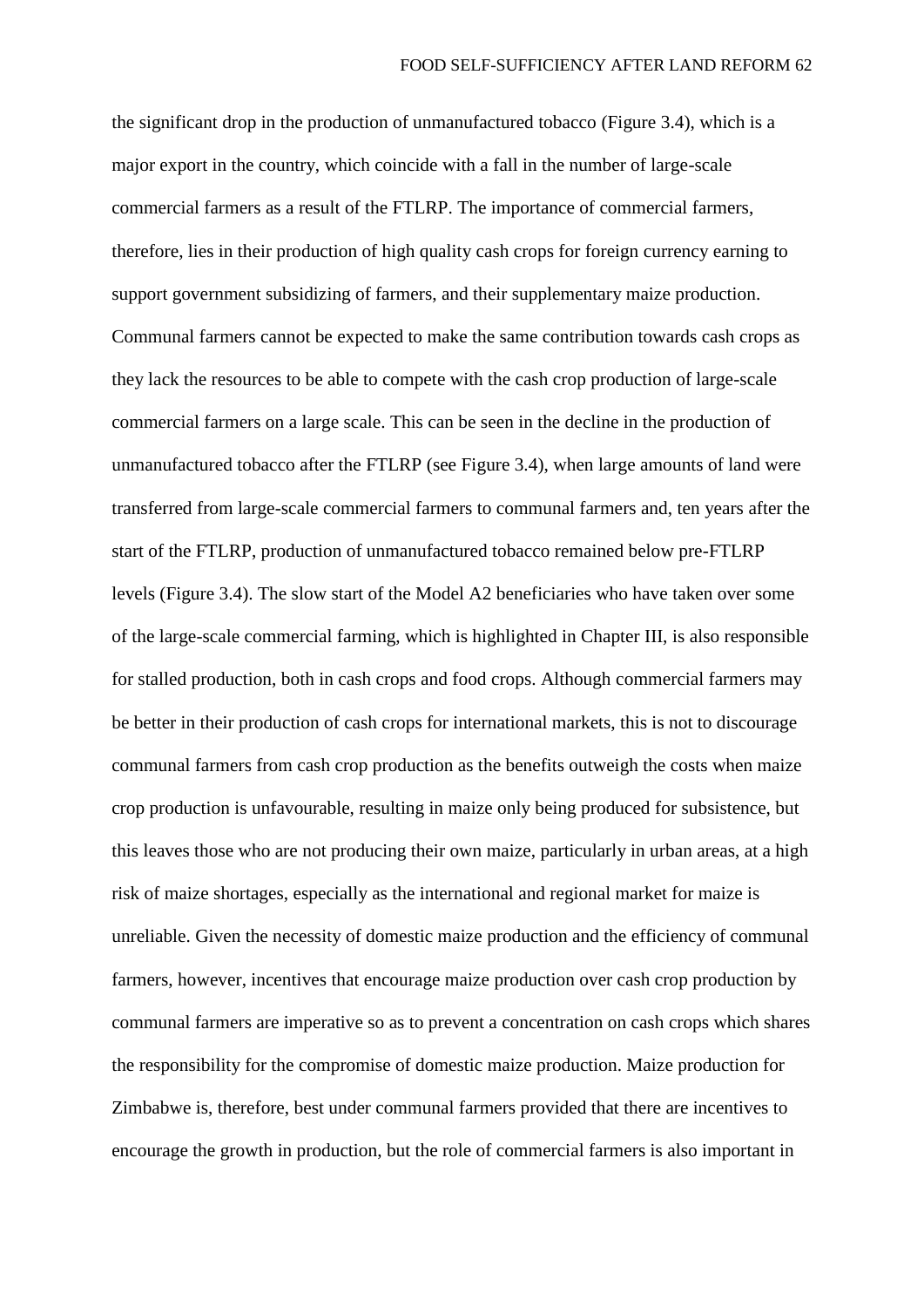the significant drop in the production of unmanufactured tobacco (Figure 3.4), which is a major export in the country, which coincide with a fall in the number of large-scale commercial farmers as a result of the FTLRP. The importance of commercial farmers, therefore, lies in their production of high quality cash crops for foreign currency earning to support government subsidizing of farmers, and their supplementary maize production. Communal farmers cannot be expected to make the same contribution towards cash crops as they lack the resources to be able to compete with the cash crop production of large-scale commercial farmers on a large scale. This can be seen in the decline in the production of unmanufactured tobacco after the FTLRP (see Figure 3.4), when large amounts of land were transferred from large-scale commercial farmers to communal farmers and, ten years after the start of the FTLRP, production of unmanufactured tobacco remained below pre-FTLRP levels (Figure 3.4). The slow start of the Model A2 beneficiaries who have taken over some of the large-scale commercial farming, which is highlighted in Chapter III, is also responsible for stalled production, both in cash crops and food crops. Although commercial farmers may be better in their production of cash crops for international markets, this is not to discourage communal farmers from cash crop production as the benefits outweigh the costs when maize crop production is unfavourable, resulting in maize only being produced for subsistence, but this leaves those who are not producing their own maize, particularly in urban areas, at a high risk of maize shortages, especially as the international and regional market for maize is unreliable. Given the necessity of domestic maize production and the efficiency of communal farmers, however, incentives that encourage maize production over cash crop production by communal farmers are imperative so as to prevent a concentration on cash crops which shares the responsibility for the compromise of domestic maize production. Maize production for Zimbabwe is, therefore, best under communal farmers provided that there are incentives to encourage the growth in production, but the role of commercial farmers is also important in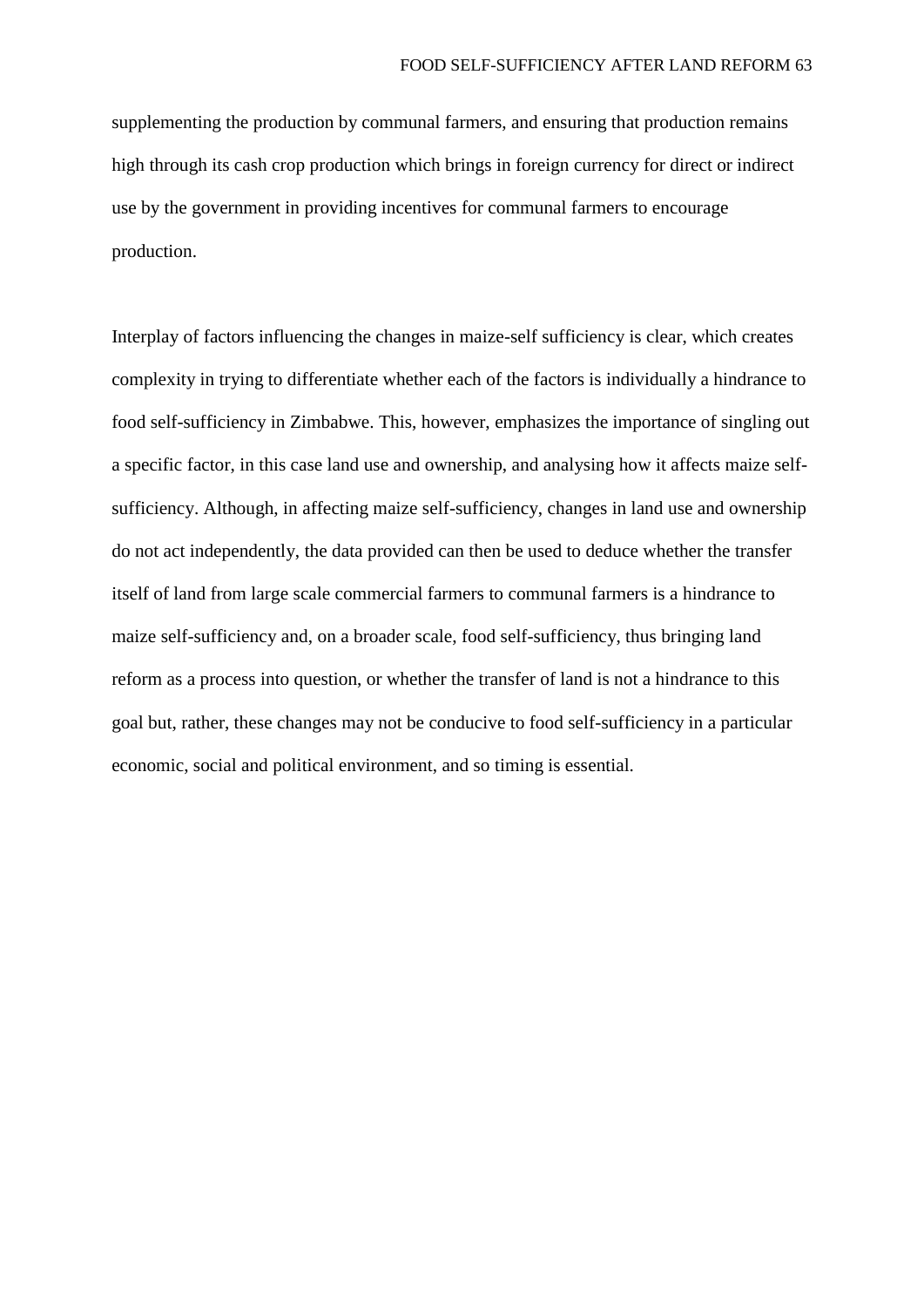supplementing the production by communal farmers, and ensuring that production remains high through its cash crop production which brings in foreign currency for direct or indirect use by the government in providing incentives for communal farmers to encourage production.

Interplay of factors influencing the changes in maize-self sufficiency is clear, which creates complexity in trying to differentiate whether each of the factors is individually a hindrance to food self-sufficiency in Zimbabwe. This, however, emphasizes the importance of singling out a specific factor, in this case land use and ownership, and analysing how it affects maize selfsufficiency. Although, in affecting maize self-sufficiency, changes in land use and ownership do not act independently, the data provided can then be used to deduce whether the transfer itself of land from large scale commercial farmers to communal farmers is a hindrance to maize self-sufficiency and, on a broader scale, food self-sufficiency, thus bringing land reform as a process into question, or whether the transfer of land is not a hindrance to this goal but, rather, these changes may not be conducive to food self-sufficiency in a particular economic, social and political environment, and so timing is essential.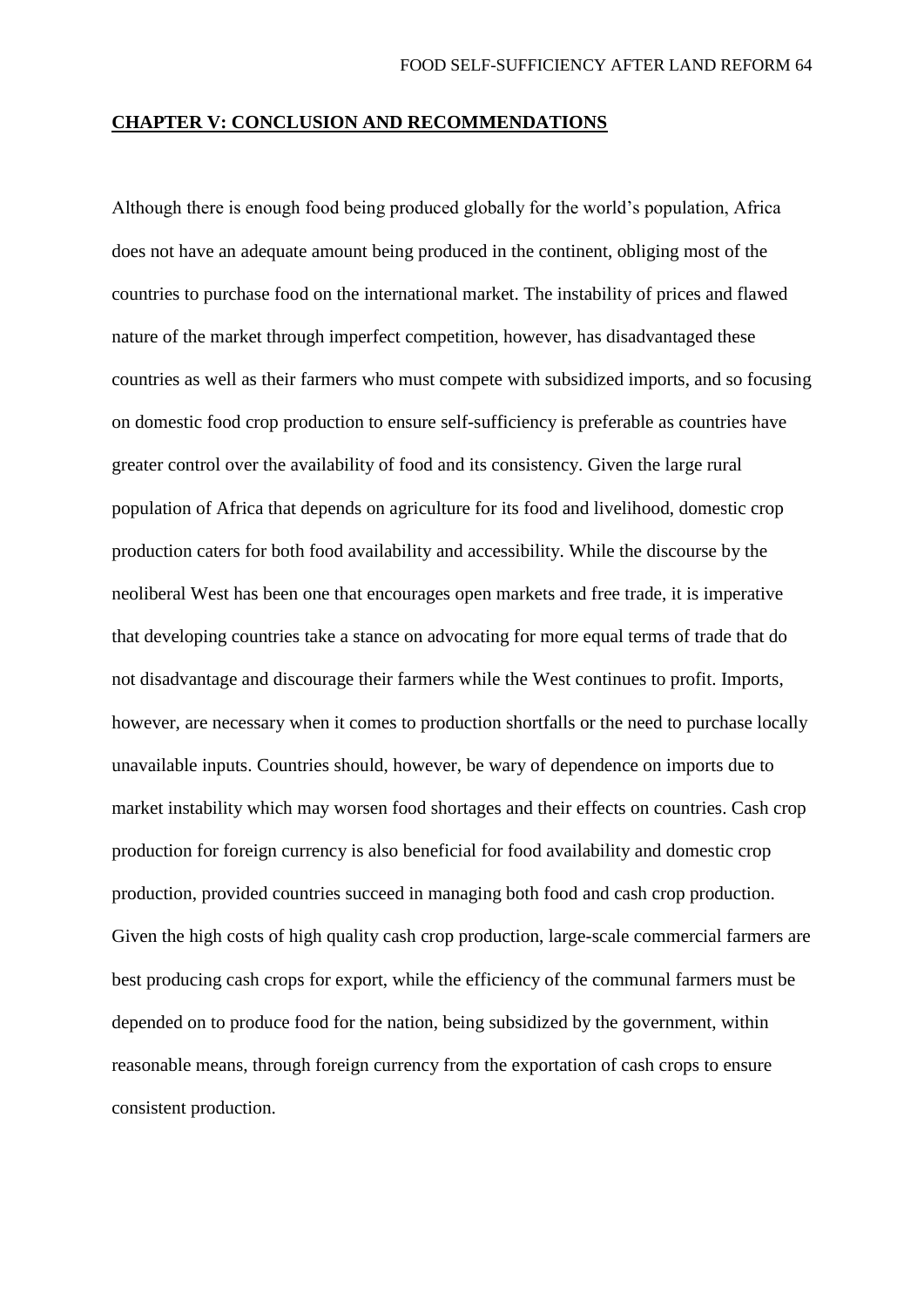### **CHAPTER V: CONCLUSION AND RECOMMENDATIONS**

Although there is enough food being produced globally for the world's population, Africa does not have an adequate amount being produced in the continent, obliging most of the countries to purchase food on the international market. The instability of prices and flawed nature of the market through imperfect competition, however, has disadvantaged these countries as well as their farmers who must compete with subsidized imports, and so focusing on domestic food crop production to ensure self-sufficiency is preferable as countries have greater control over the availability of food and its consistency. Given the large rural population of Africa that depends on agriculture for its food and livelihood, domestic crop production caters for both food availability and accessibility. While the discourse by the neoliberal West has been one that encourages open markets and free trade, it is imperative that developing countries take a stance on advocating for more equal terms of trade that do not disadvantage and discourage their farmers while the West continues to profit. Imports, however, are necessary when it comes to production shortfalls or the need to purchase locally unavailable inputs. Countries should, however, be wary of dependence on imports due to market instability which may worsen food shortages and their effects on countries. Cash crop production for foreign currency is also beneficial for food availability and domestic crop production, provided countries succeed in managing both food and cash crop production. Given the high costs of high quality cash crop production, large-scale commercial farmers are best producing cash crops for export, while the efficiency of the communal farmers must be depended on to produce food for the nation, being subsidized by the government, within reasonable means, through foreign currency from the exportation of cash crops to ensure consistent production.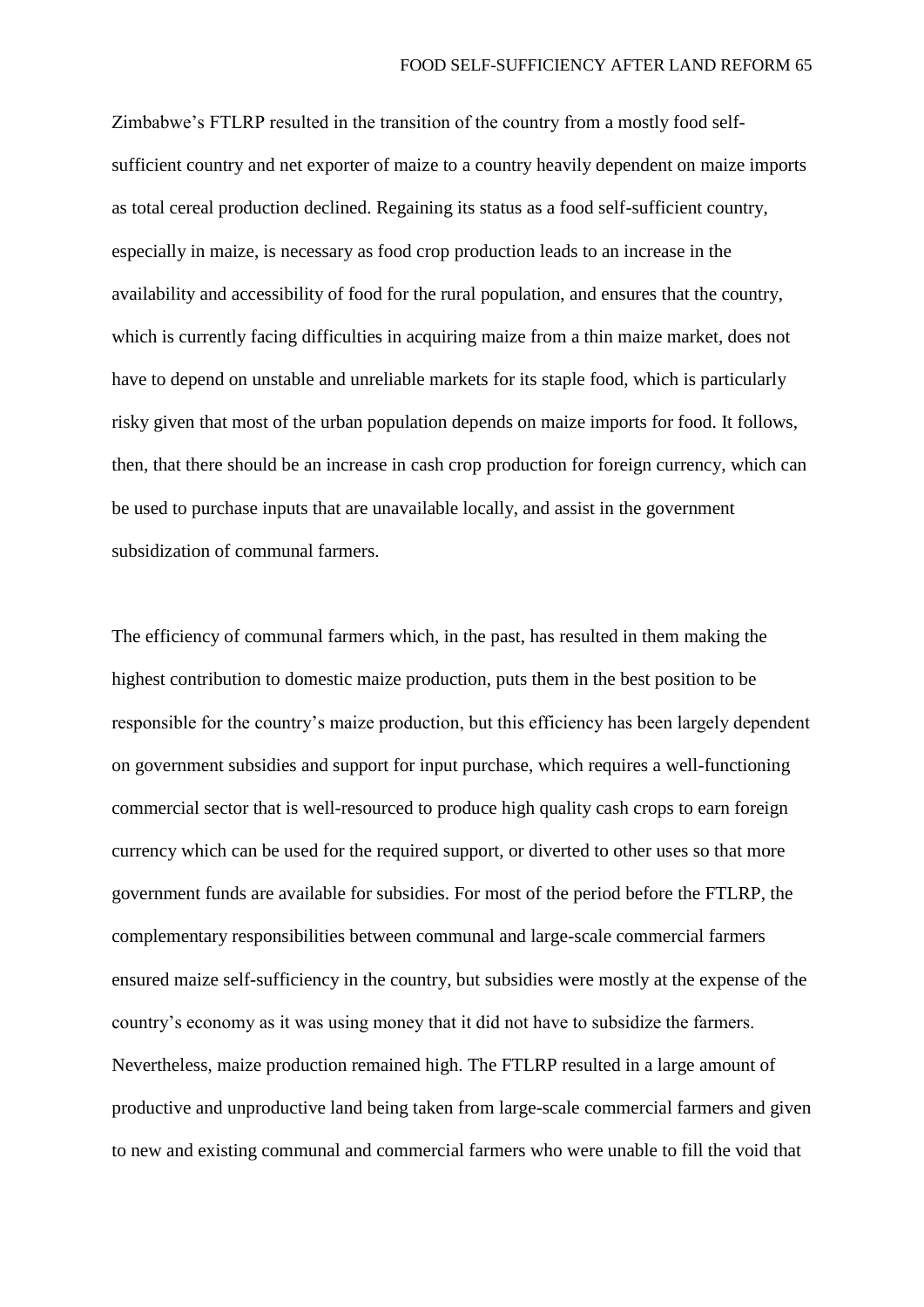Zimbabwe's FTLRP resulted in the transition of the country from a mostly food selfsufficient country and net exporter of maize to a country heavily dependent on maize imports as total cereal production declined. Regaining its status as a food self-sufficient country, especially in maize, is necessary as food crop production leads to an increase in the availability and accessibility of food for the rural population, and ensures that the country, which is currently facing difficulties in acquiring maize from a thin maize market, does not have to depend on unstable and unreliable markets for its staple food, which is particularly risky given that most of the urban population depends on maize imports for food. It follows, then, that there should be an increase in cash crop production for foreign currency, which can be used to purchase inputs that are unavailable locally, and assist in the government subsidization of communal farmers.

The efficiency of communal farmers which, in the past, has resulted in them making the highest contribution to domestic maize production, puts them in the best position to be responsible for the country's maize production, but this efficiency has been largely dependent on government subsidies and support for input purchase, which requires a well-functioning commercial sector that is well-resourced to produce high quality cash crops to earn foreign currency which can be used for the required support, or diverted to other uses so that more government funds are available for subsidies. For most of the period before the FTLRP, the complementary responsibilities between communal and large-scale commercial farmers ensured maize self-sufficiency in the country, but subsidies were mostly at the expense of the country's economy as it was using money that it did not have to subsidize the farmers. Nevertheless, maize production remained high. The FTLRP resulted in a large amount of productive and unproductive land being taken from large-scale commercial farmers and given to new and existing communal and commercial farmers who were unable to fill the void that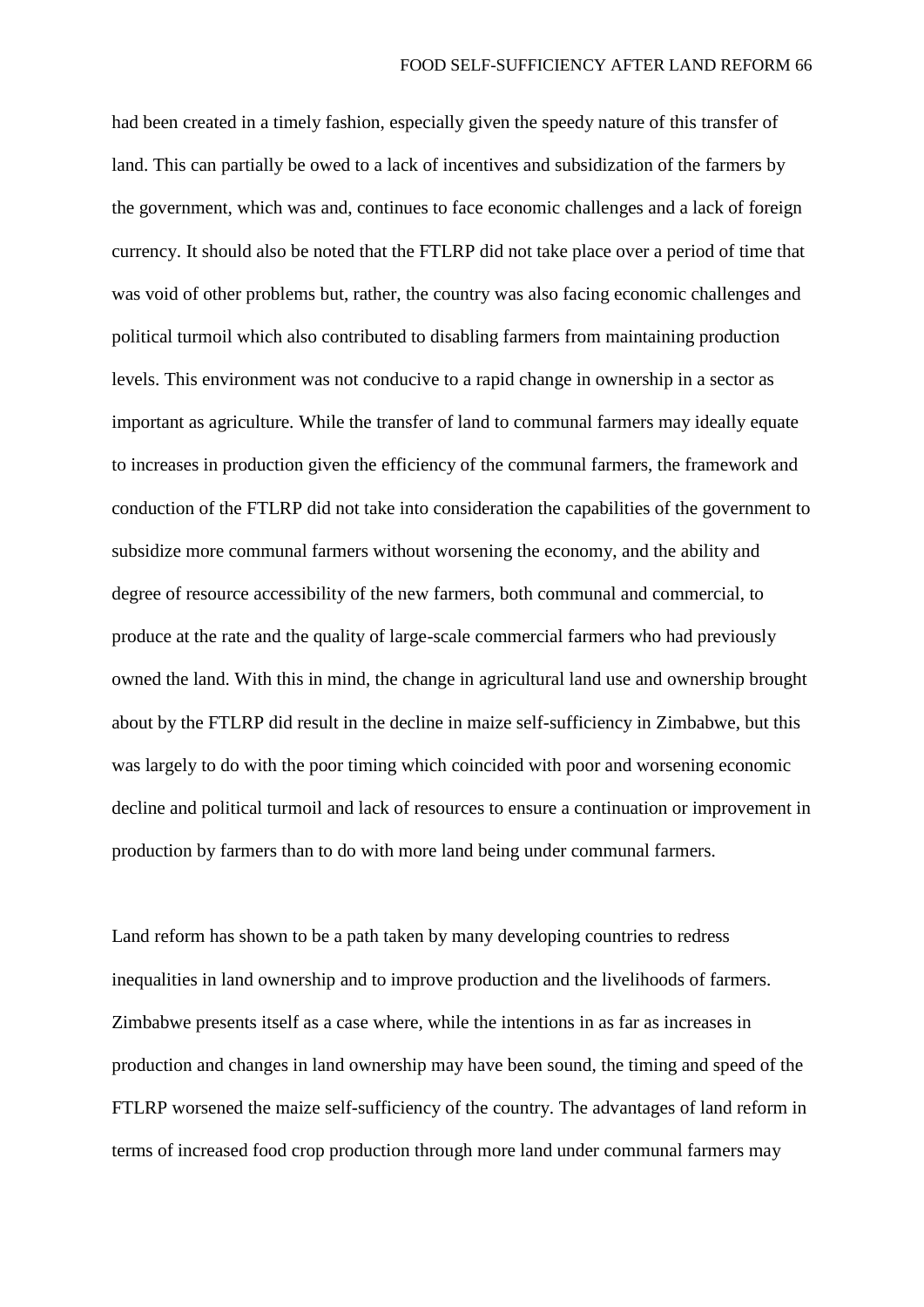had been created in a timely fashion, especially given the speedy nature of this transfer of land. This can partially be owed to a lack of incentives and subsidization of the farmers by the government, which was and, continues to face economic challenges and a lack of foreign currency. It should also be noted that the FTLRP did not take place over a period of time that was void of other problems but, rather, the country was also facing economic challenges and political turmoil which also contributed to disabling farmers from maintaining production levels. This environment was not conducive to a rapid change in ownership in a sector as important as agriculture. While the transfer of land to communal farmers may ideally equate to increases in production given the efficiency of the communal farmers, the framework and conduction of the FTLRP did not take into consideration the capabilities of the government to subsidize more communal farmers without worsening the economy, and the ability and degree of resource accessibility of the new farmers, both communal and commercial, to produce at the rate and the quality of large-scale commercial farmers who had previously owned the land. With this in mind, the change in agricultural land use and ownership brought about by the FTLRP did result in the decline in maize self-sufficiency in Zimbabwe, but this was largely to do with the poor timing which coincided with poor and worsening economic decline and political turmoil and lack of resources to ensure a continuation or improvement in production by farmers than to do with more land being under communal farmers.

Land reform has shown to be a path taken by many developing countries to redress inequalities in land ownership and to improve production and the livelihoods of farmers. Zimbabwe presents itself as a case where, while the intentions in as far as increases in production and changes in land ownership may have been sound, the timing and speed of the FTLRP worsened the maize self-sufficiency of the country. The advantages of land reform in terms of increased food crop production through more land under communal farmers may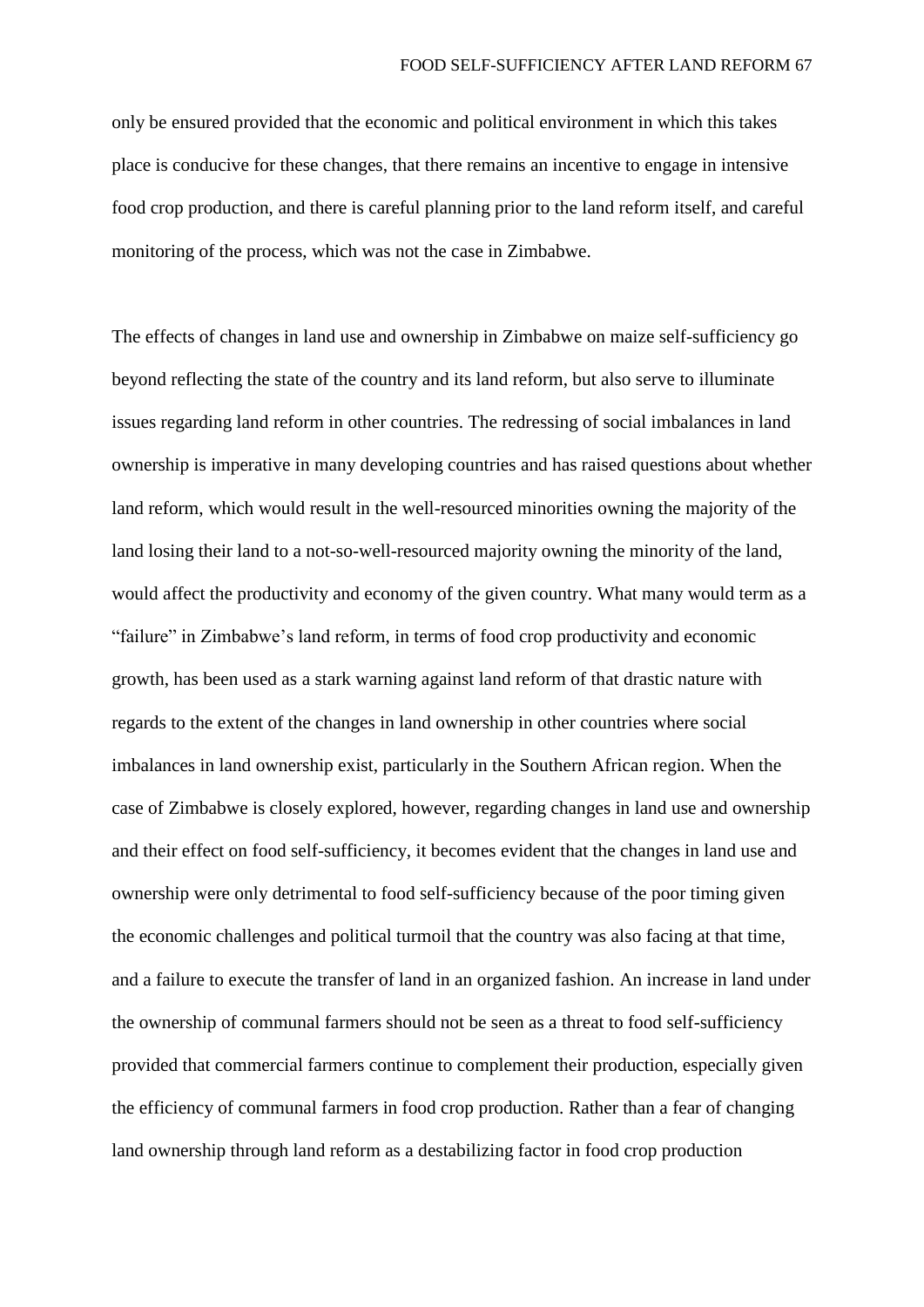only be ensured provided that the economic and political environment in which this takes place is conducive for these changes, that there remains an incentive to engage in intensive food crop production, and there is careful planning prior to the land reform itself, and careful monitoring of the process, which was not the case in Zimbabwe.

The effects of changes in land use and ownership in Zimbabwe on maize self-sufficiency go beyond reflecting the state of the country and its land reform, but also serve to illuminate issues regarding land reform in other countries. The redressing of social imbalances in land ownership is imperative in many developing countries and has raised questions about whether land reform, which would result in the well-resourced minorities owning the majority of the land losing their land to a not-so-well-resourced majority owning the minority of the land, would affect the productivity and economy of the given country. What many would term as a "failure" in Zimbabwe's land reform, in terms of food crop productivity and economic growth, has been used as a stark warning against land reform of that drastic nature with regards to the extent of the changes in land ownership in other countries where social imbalances in land ownership exist, particularly in the Southern African region. When the case of Zimbabwe is closely explored, however, regarding changes in land use and ownership and their effect on food self-sufficiency, it becomes evident that the changes in land use and ownership were only detrimental to food self-sufficiency because of the poor timing given the economic challenges and political turmoil that the country was also facing at that time, and a failure to execute the transfer of land in an organized fashion. An increase in land under the ownership of communal farmers should not be seen as a threat to food self-sufficiency provided that commercial farmers continue to complement their production, especially given the efficiency of communal farmers in food crop production. Rather than a fear of changing land ownership through land reform as a destabilizing factor in food crop production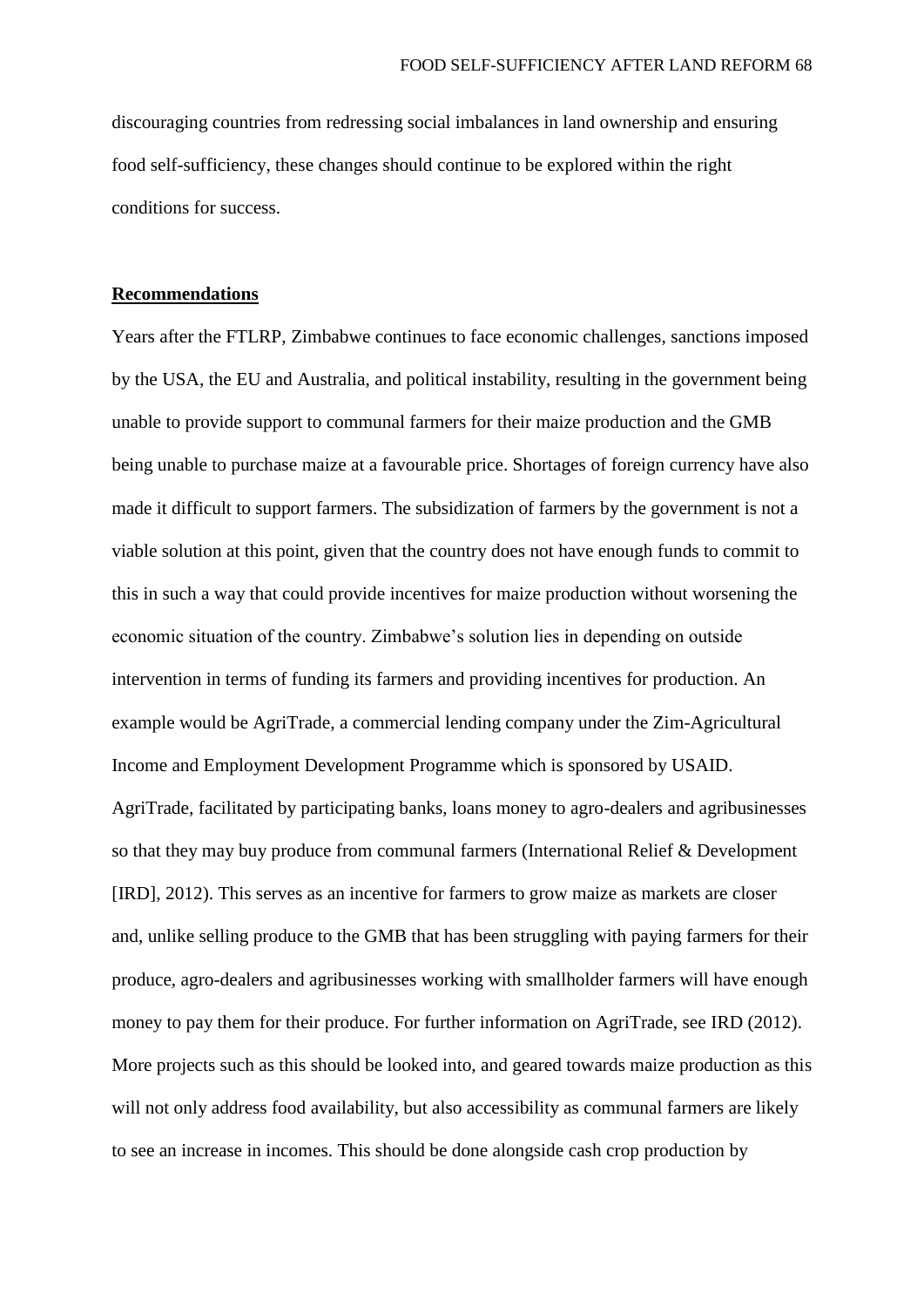discouraging countries from redressing social imbalances in land ownership and ensuring food self-sufficiency, these changes should continue to be explored within the right conditions for success.

## **Recommendations**

Years after the FTLRP, Zimbabwe continues to face economic challenges, sanctions imposed by the USA, the EU and Australia, and political instability, resulting in the government being unable to provide support to communal farmers for their maize production and the GMB being unable to purchase maize at a favourable price. Shortages of foreign currency have also made it difficult to support farmers. The subsidization of farmers by the government is not a viable solution at this point, given that the country does not have enough funds to commit to this in such a way that could provide incentives for maize production without worsening the economic situation of the country. Zimbabwe's solution lies in depending on outside intervention in terms of funding its farmers and providing incentives for production. An example would be AgriTrade, a commercial lending company under the Zim-Agricultural Income and Employment Development Programme which is sponsored by USAID. AgriTrade, facilitated by participating banks, loans money to agro-dealers and agribusinesses so that they may buy produce from communal farmers (International Relief & Development [IRD], 2012). This serves as an incentive for farmers to grow maize as markets are closer and, unlike selling produce to the GMB that has been struggling with paying farmers for their produce, agro-dealers and agribusinesses working with smallholder farmers will have enough money to pay them for their produce. For further information on AgriTrade, see IRD (2012). More projects such as this should be looked into, and geared towards maize production as this will not only address food availability, but also accessibility as communal farmers are likely to see an increase in incomes. This should be done alongside cash crop production by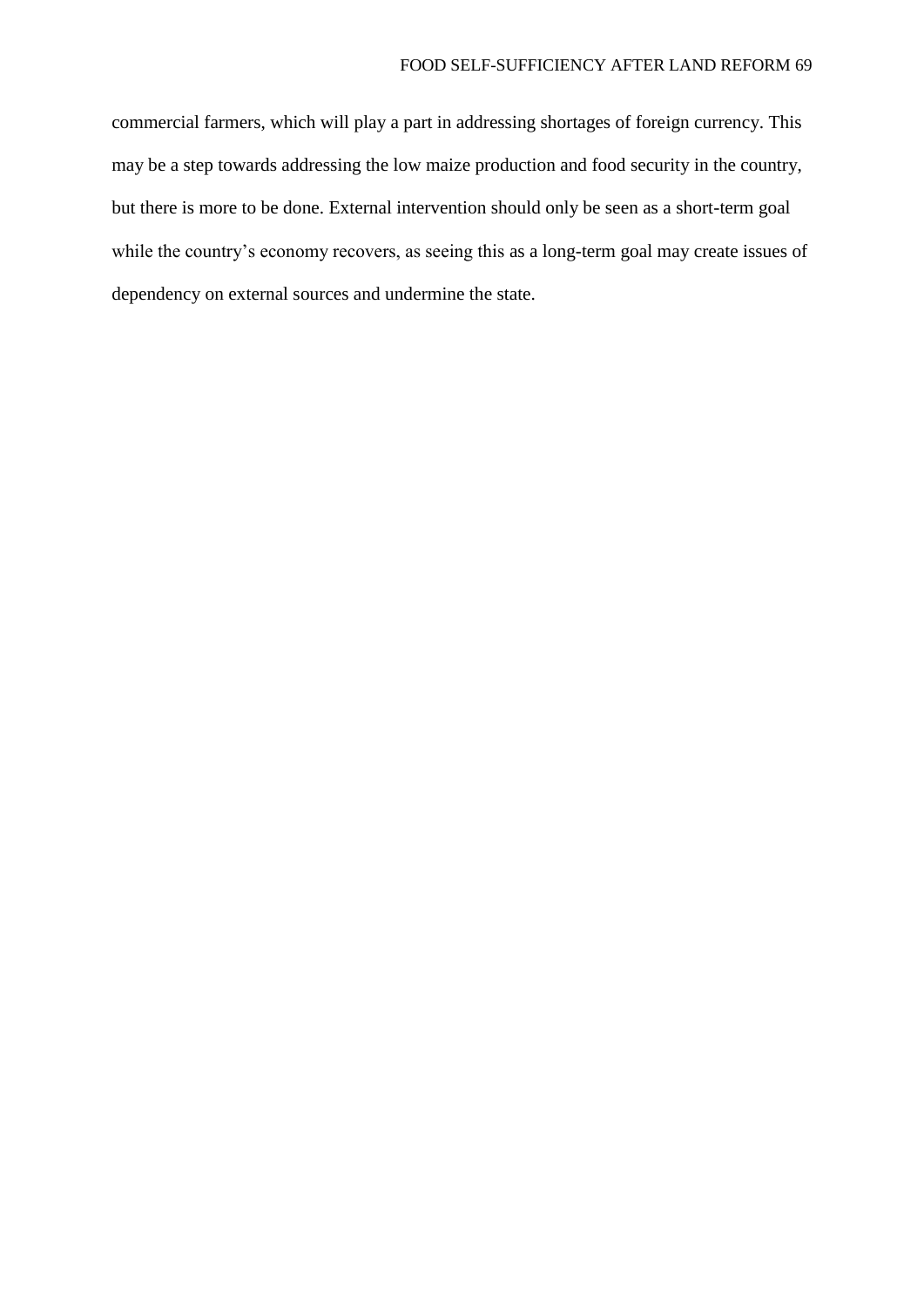commercial farmers, which will play a part in addressing shortages of foreign currency. This may be a step towards addressing the low maize production and food security in the country, but there is more to be done. External intervention should only be seen as a short-term goal while the country's economy recovers, as seeing this as a long-term goal may create issues of dependency on external sources and undermine the state.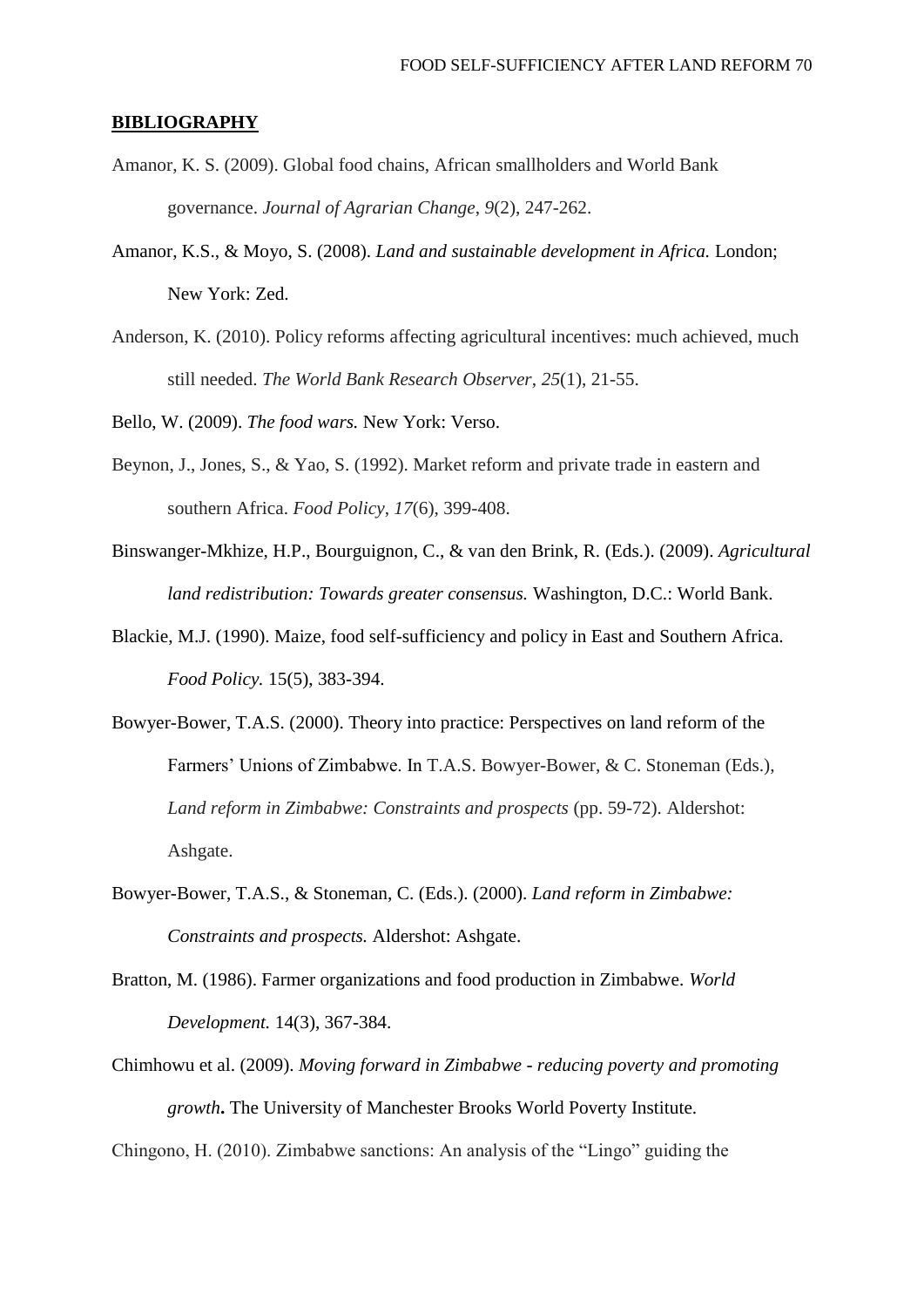## **BIBLIOGRAPHY**

- Amanor, K. S. (2009). Global food chains, African smallholders and World Bank governance. *Journal of Agrarian Change*, *9*(2), 247-262.
- Amanor, K.S., & Moyo, S. (2008). *Land and sustainable development in Africa.* London; New York: Zed.
- Anderson, K. (2010). Policy reforms affecting agricultural incentives: much achieved, much still needed. *The World Bank Research Observer*, *25*(1), 21-55.
- Bello, W. (2009). *The food wars.* New York: Verso.
- Beynon, J., Jones, S., & Yao, S. (1992). Market reform and private trade in eastern and southern Africa. *Food Policy*, *17*(6), 399-408.
- Binswanger-Mkhize, H.P., Bourguignon, C., & van den Brink, R. (Eds.). (2009). *Agricultural land redistribution: Towards greater consensus.* Washington, D.C.: World Bank.
- Blackie, M.J. (1990). Maize, food self-sufficiency and policy in East and Southern Africa. *Food Policy.* 15(5), 383-394.
- Bowyer-Bower, T.A.S. (2000). Theory into practice: Perspectives on land reform of the Farmers' Unions of Zimbabwe. In T.A.S. Bowyer-Bower, & C. Stoneman (Eds.), *Land reform in Zimbabwe: Constraints and prospects* (pp. 59-72). Aldershot: Ashgate.
- Bowyer-Bower, T.A.S., & Stoneman, C. (Eds.). (2000). *Land reform in Zimbabwe: Constraints and prospects.* Aldershot: Ashgate.
- Bratton, M. (1986). Farmer organizations and food production in Zimbabwe. *World Development.* 14(3), 367-384.
- Chimhowu et al. (2009). *Moving forward in Zimbabwe - reducing poverty and promoting growth***.** The University of Manchester Brooks World Poverty Institute.

Chingono, H. (2010). Zimbabwe sanctions: An analysis of the "Lingo" guiding the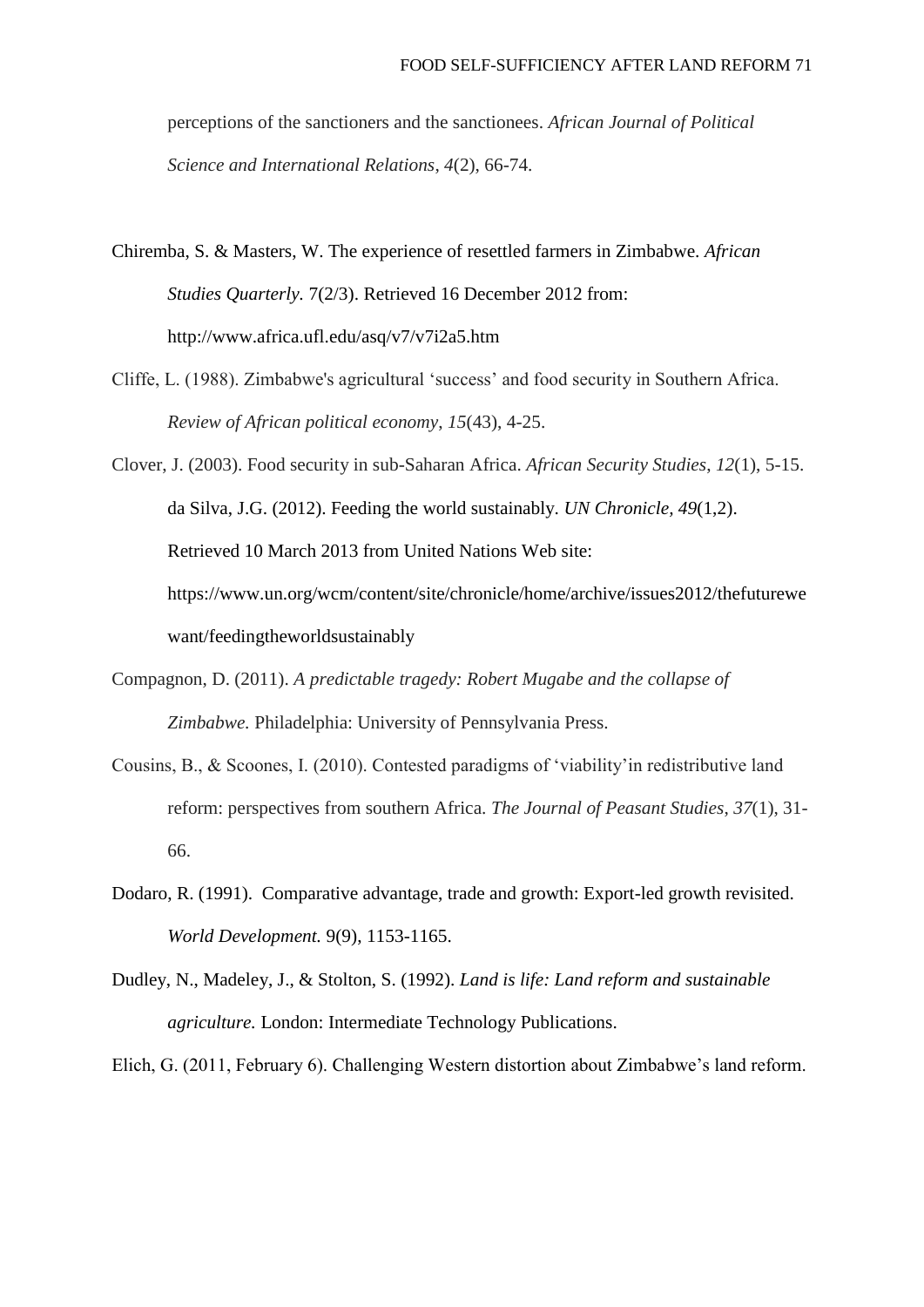perceptions of the sanctioners and the sanctionees. *African Journal of Political Science and International Relations*, *4*(2), 66-74.

Chiremba, S. & Masters, W. The experience of resettled farmers in Zimbabwe. *African Studies Quarterly.* 7(2/3). Retrieved 16 December 2012 from: http://www.africa.ufl.edu/asq/v7/v7i2a5.htm

- Cliffe, L. (1988). Zimbabwe's agricultural 'success' and food security in Southern Africa. *Review of African political economy*, *15*(43), 4-25.
- Clover, J. (2003). Food security in sub-Saharan Africa. *African Security Studies*, *12*(1), 5-15. da Silva, J.G. (2012). Feeding the world sustainably. *UN Chronicle, 49*(1,2). Retrieved 10 March 2013 from United Nations Web site: https://www.un.org/wcm/content/site/chronicle/home/archive/issues2012/thefuturewe want/feedingtheworldsustainably
- Compagnon, D. (2011). *A predictable tragedy: Robert Mugabe and the collapse of Zimbabwe.* Philadelphia: University of Pennsylvania Press.
- Cousins, B., & Scoones, I. (2010). Contested paradigms of 'viability'in redistributive land reform: perspectives from southern Africa. *The Journal of Peasant Studies*, *37*(1), 31- 66.
- Dodaro, R. (1991). Comparative advantage, trade and growth: Export-led growth revisited. *World Development.* 9(9), 1153-1165.
- Dudley, N., Madeley, J., & Stolton, S. (1992). *Land is life: Land reform and sustainable agriculture.* London: Intermediate Technology Publications.

Elich, G. (2011, February 6). Challenging Western distortion about Zimbabwe's land reform.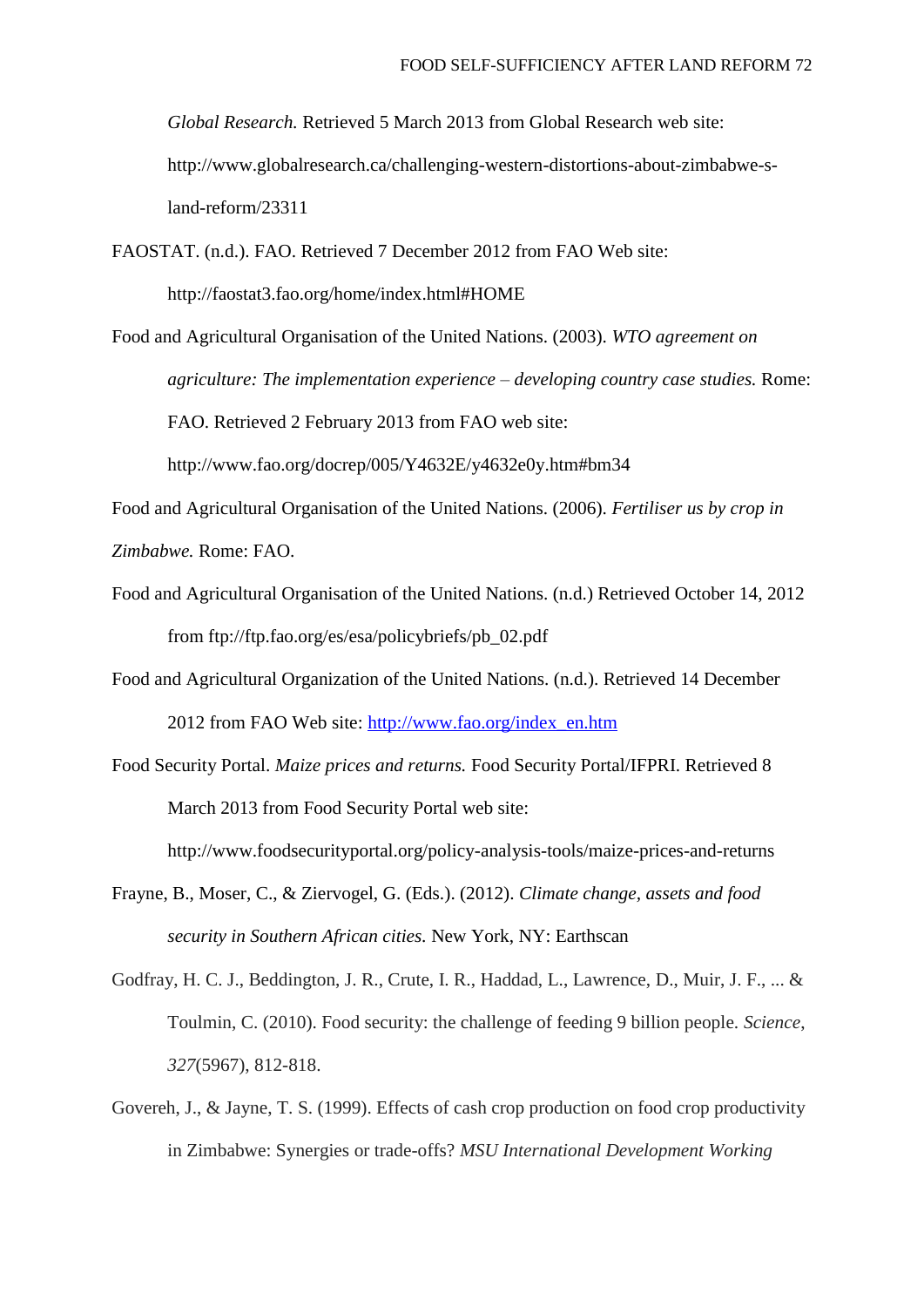*Global Research.* Retrieved 5 March 2013 from Global Research web site: http://www.globalresearch.ca/challenging-western-distortions-about-zimbabwe-sland-reform/23311

FAOSTAT. (n.d.). FAO. Retrieved 7 December 2012 from FAO Web site:

http://faostat3.fao.org/home/index.html#HOME

Food and Agricultural Organisation of the United Nations. (2003). *WTO agreement on agriculture: The implementation experience – developing country case studies.* Rome: FAO. Retrieved 2 February 2013 from FAO web site: http://www.fao.org/docrep/005/Y4632E/y4632e0y.htm#bm34

Food and Agricultural Organisation of the United Nations. (2006). *Fertiliser us by crop in* 

*Zimbabwe.* Rome: FAO.

Food and Agricultural Organisation of the United Nations. (n.d.) Retrieved October 14, 2012 from ftp://ftp.fao.org/es/esa/policybriefs/pb\_02.pdf

Food and Agricultural Organization of the United Nations. (n.d.). Retrieved 14 December 2012 from FAO Web site: [http://www.fao.org/index\\_en.htm](http://www.fao.org/index_en.htm)

Food Security Portal. *Maize prices and returns.* Food Security Portal/IFPRI. Retrieved 8 March 2013 from Food Security Portal web site:

http://www.foodsecurityportal.org/policy-analysis-tools/maize-prices-and-returns

- Frayne, B., Moser, C., & Ziervogel, G. (Eds.). (2012). *Climate change, assets and food security in Southern African cities.* New York, NY: Earthscan
- Godfray, H. C. J., Beddington, J. R., Crute, I. R., Haddad, L., Lawrence, D., Muir, J. F., ... & Toulmin, C. (2010). Food security: the challenge of feeding 9 billion people. *Science*, *327*(5967), 812-818.
- Govereh, J., & Jayne, T. S. (1999). Effects of cash crop production on food crop productivity in Zimbabwe: Synergies or trade-offs? *MSU International Development Working*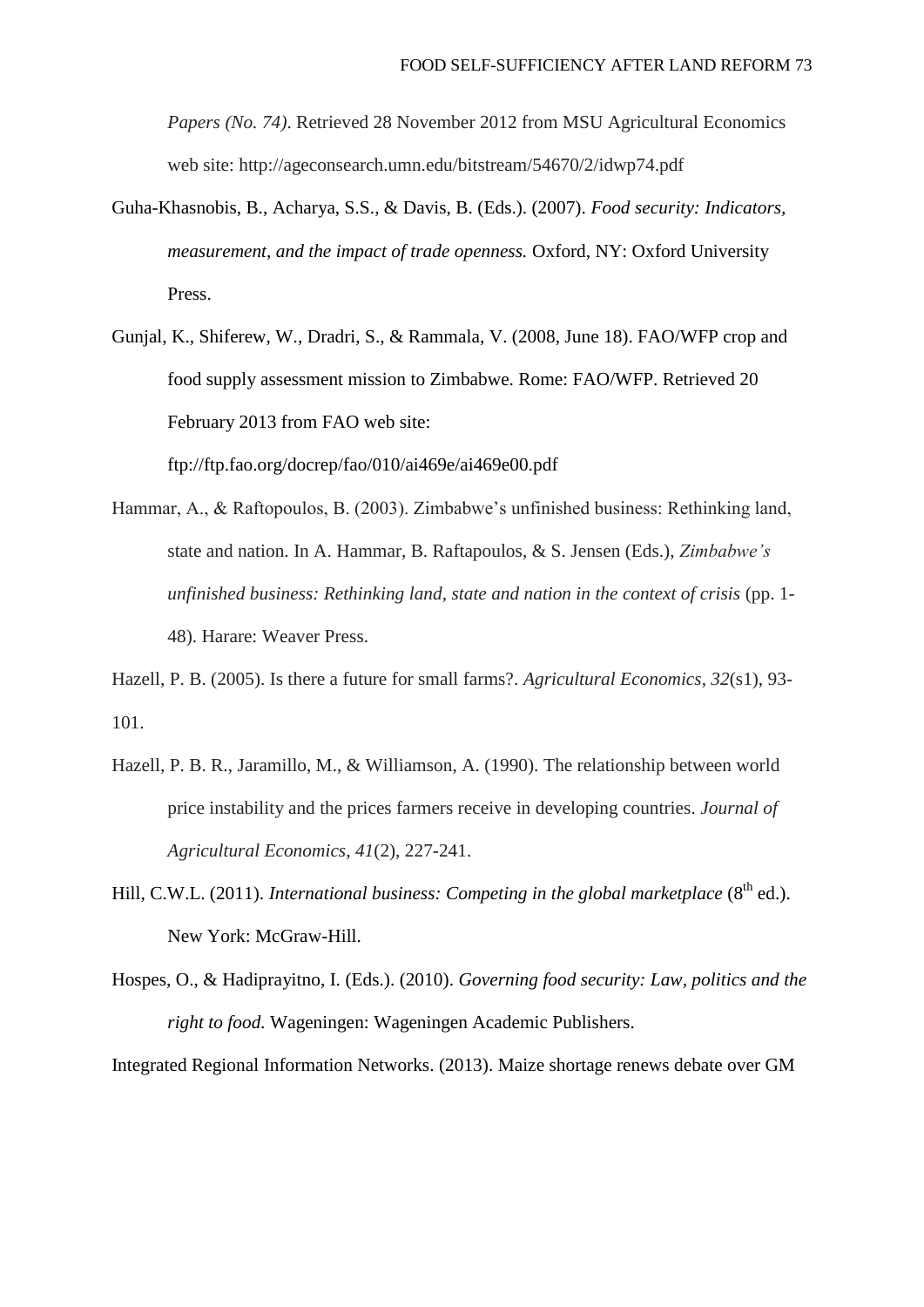*Papers (No. 74)*. Retrieved 28 November 2012 from MSU Agricultural Economics web site: http://ageconsearch.umn.edu/bitstream/54670/2/idwp74.pdf

- Guha-Khasnobis, B., Acharya, S.S., & Davis, B. (Eds.). (2007). *Food security: Indicators, measurement, and the impact of trade openness.* Oxford, NY: Oxford University Press.
- Gunjal, K., Shiferew, W., Dradri, S., & Rammala, V. (2008, June 18). FAO/WFP crop and food supply assessment mission to Zimbabwe. Rome: FAO/WFP. Retrieved 20 February 2013 from FAO web site:

ftp://ftp.fao.org/docrep/fao/010/ai469e/ai469e00.pdf

Hammar, A., & Raftopoulos, B. (2003). Zimbabwe's unfinished business: Rethinking land, state and nation. In A. Hammar, B. Raftapoulos, & S. Jensen (Eds.), *Zimbabwe's unfinished business: Rethinking land, state and nation in the context of crisis* (pp. 1- 48). Harare: Weaver Press.

Hazell, P. B. (2005). Is there a future for small farms?. *Agricultural Economics*, *32*(s1), 93- 101.

- Hazell, P. B. R., Jaramillo, M., & Williamson, A. (1990). The relationship between world price instability and the prices farmers receive in developing countries. *Journal of Agricultural Economics*, *41*(2), 227-241.
- Hill, C.W.L. (2011). *International business: Competing in the global marketplace* (8<sup>th</sup> ed.). New York: McGraw-Hill.
- Hospes, O., & Hadiprayitno, I. (Eds.). (2010). *Governing food security: Law, politics and the right to food.* Wageningen: Wageningen Academic Publishers.

Integrated Regional Information Networks. (2013). Maize shortage renews debate over GM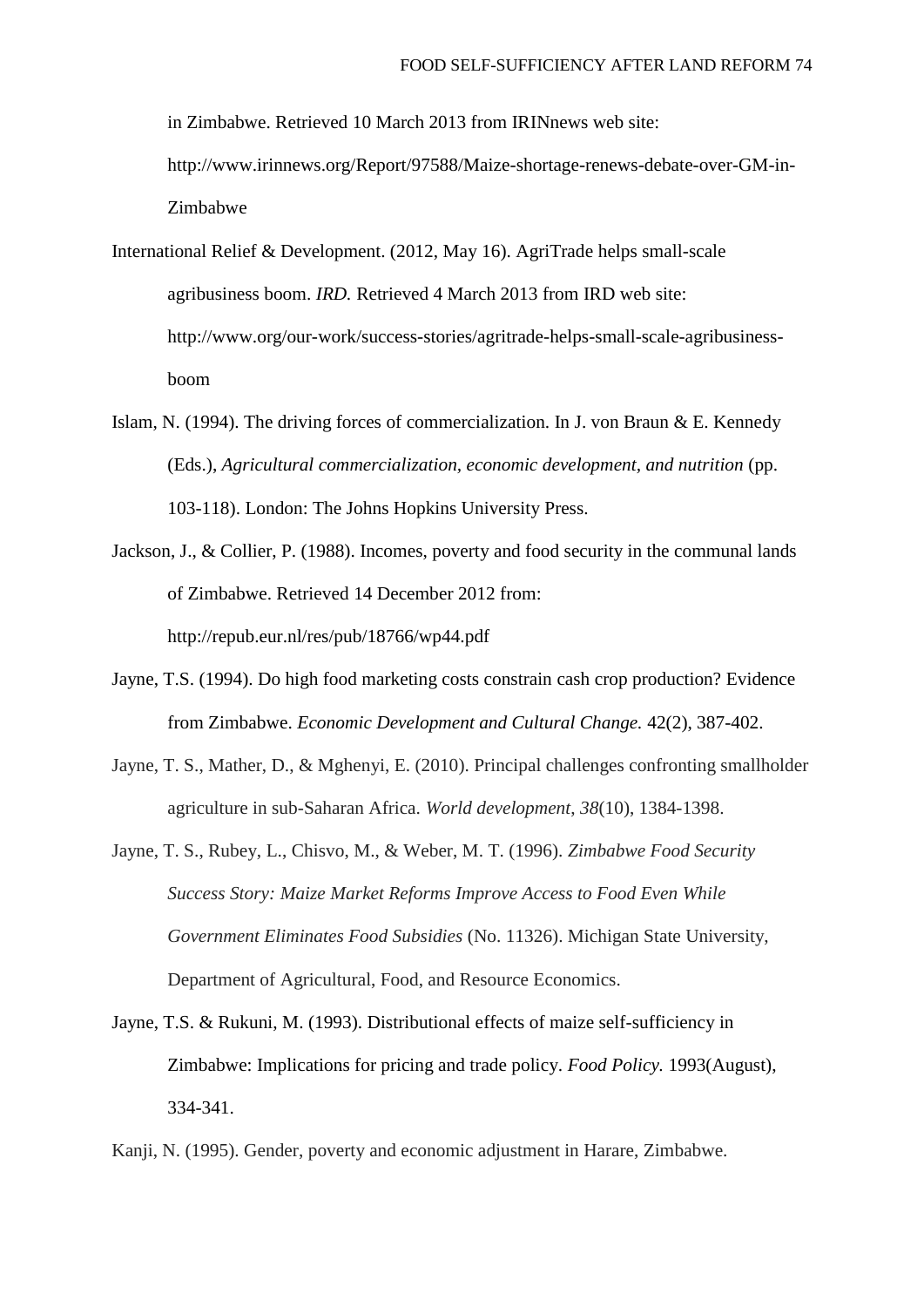in Zimbabwe. Retrieved 10 March 2013 from IRINnews web site:

http://www.irinnews.org/Report/97588/Maize-shortage-renews-debate-over-GM-in-Zimbabwe

International Relief & Development. (2012, May 16). AgriTrade helps small-scale agribusiness boom. *IRD.* Retrieved 4 March 2013 from IRD web site: http://www.org/our-work/success-stories/agritrade-helps-small-scale-agribusinessboom

- Islam, N. (1994). The driving forces of commercialization. In J. von Braun & E. Kennedy (Eds.), *Agricultural commercialization, economic development, and nutrition* (pp. 103-118). London: The Johns Hopkins University Press.
- Jackson, J., & Collier, P. (1988). Incomes, poverty and food security in the communal lands of Zimbabwe. Retrieved 14 December 2012 from: http://repub.eur.nl/res/pub/18766/wp44.pdf
- Jayne, T.S. (1994). Do high food marketing costs constrain cash crop production? Evidence from Zimbabwe. *Economic Development and Cultural Change.* 42(2), 387-402.
- Jayne, T. S., Mather, D., & Mghenyi, E. (2010). Principal challenges confronting smallholder agriculture in sub-Saharan Africa. *World development*, *38*(10), 1384-1398.
- Jayne, T. S., Rubey, L., Chisvo, M., & Weber, M. T. (1996). *Zimbabwe Food Security Success Story: Maize Market Reforms Improve Access to Food Even While Government Eliminates Food Subsidies* (No. 11326). Michigan State University, Department of Agricultural, Food, and Resource Economics.
- Jayne, T.S. & Rukuni, M. (1993). Distributional effects of maize self-sufficiency in Zimbabwe: Implications for pricing and trade policy. *Food Policy.* 1993(August), 334-341.
- Kanji, N. (1995). Gender, poverty and economic adjustment in Harare, Zimbabwe.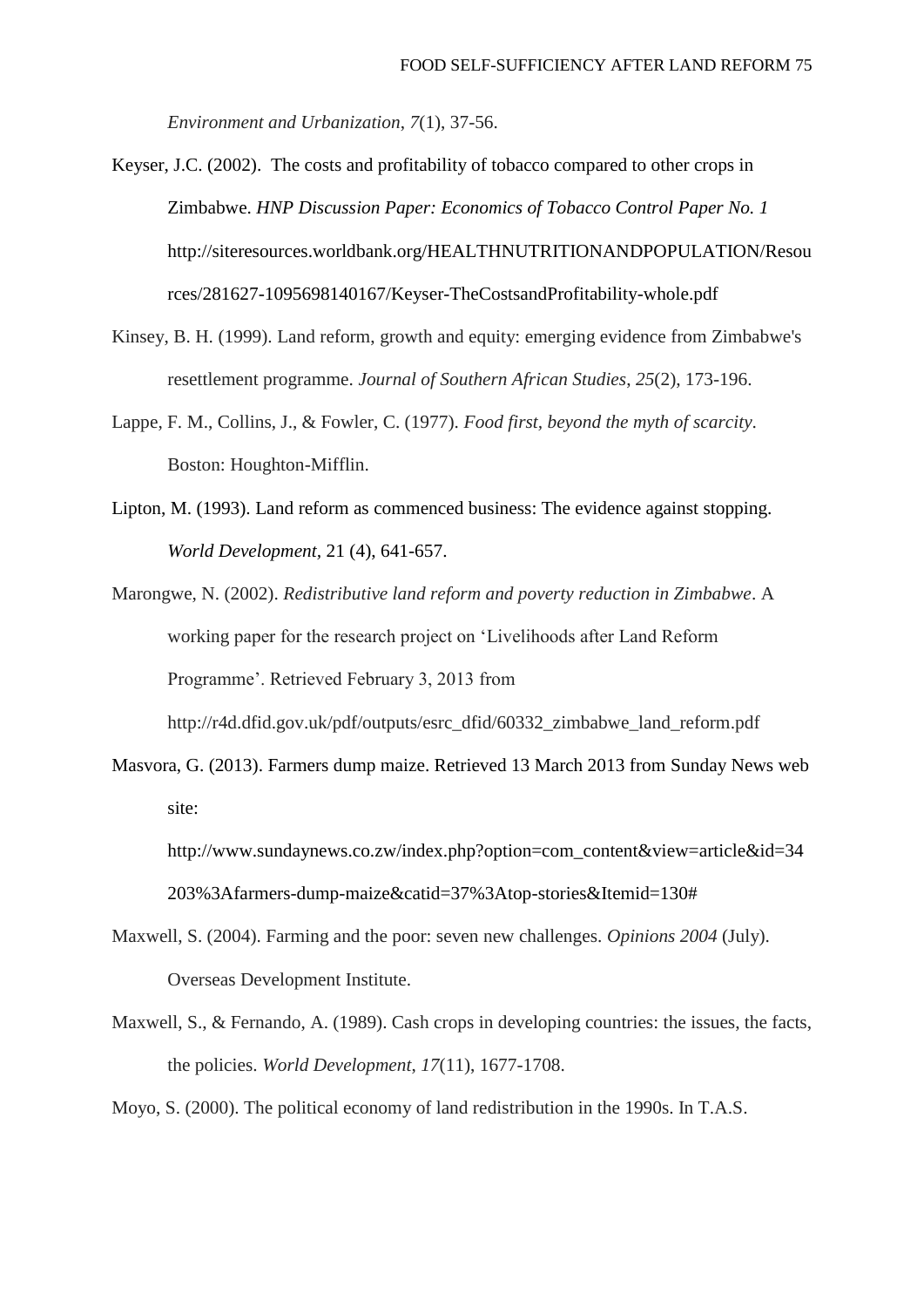*Environment and Urbanization*, *7*(1), 37-56.

Keyser, J.C. (2002). The costs and profitability of tobacco compared to other crops in Zimbabwe. *HNP Discussion Paper: Economics of Tobacco Control Paper No. 1* http://siteresources.worldbank.org/HEALTHNUTRITIONANDPOPULATION/Resou rces/281627-1095698140167/Keyser-TheCostsandProfitability-whole.pdf

- Kinsey, B. H. (1999). Land reform, growth and equity: emerging evidence from Zimbabwe's resettlement programme. *Journal of Southern African Studies*, *25*(2), 173-196.
- Lappe, F. M., Collins, J., & Fowler, C. (1977). *Food first, beyond the myth of scarcity*. Boston: Houghton-Mifflin.
- Lipton, M. (1993). Land reform as commenced business: The evidence against stopping. *World Development,* 21 (4), 641-657.

Marongwe, N. (2002). *Redistributive land reform and poverty reduction in Zimbabwe*. A working paper for the research project on 'Livelihoods after Land Reform Programme'. Retrieved February 3, 2013 from

http://r4d.dfid.gov.uk/pdf/outputs/esrc\_dfid/60332\_zimbabwe\_land\_reform.pdf

Masvora, G. (2013). Farmers dump maize. Retrieved 13 March 2013 from Sunday News web site:

http://www.sundaynews.co.zw/index.php?option=com\_content&view=article&id=34 203%3Afarmers-dump-maize&catid=37%3Atop-stories&Itemid=130#

- Maxwell, S. (2004). Farming and the poor: seven new challenges. *Opinions 2004* (July). Overseas Development Institute.
- Maxwell, S., & Fernando, A. (1989). Cash crops in developing countries: the issues, the facts, the policies. *World Development*, *17*(11), 1677-1708.

Moyo, S. (2000). The political economy of land redistribution in the 1990s. In T.A.S.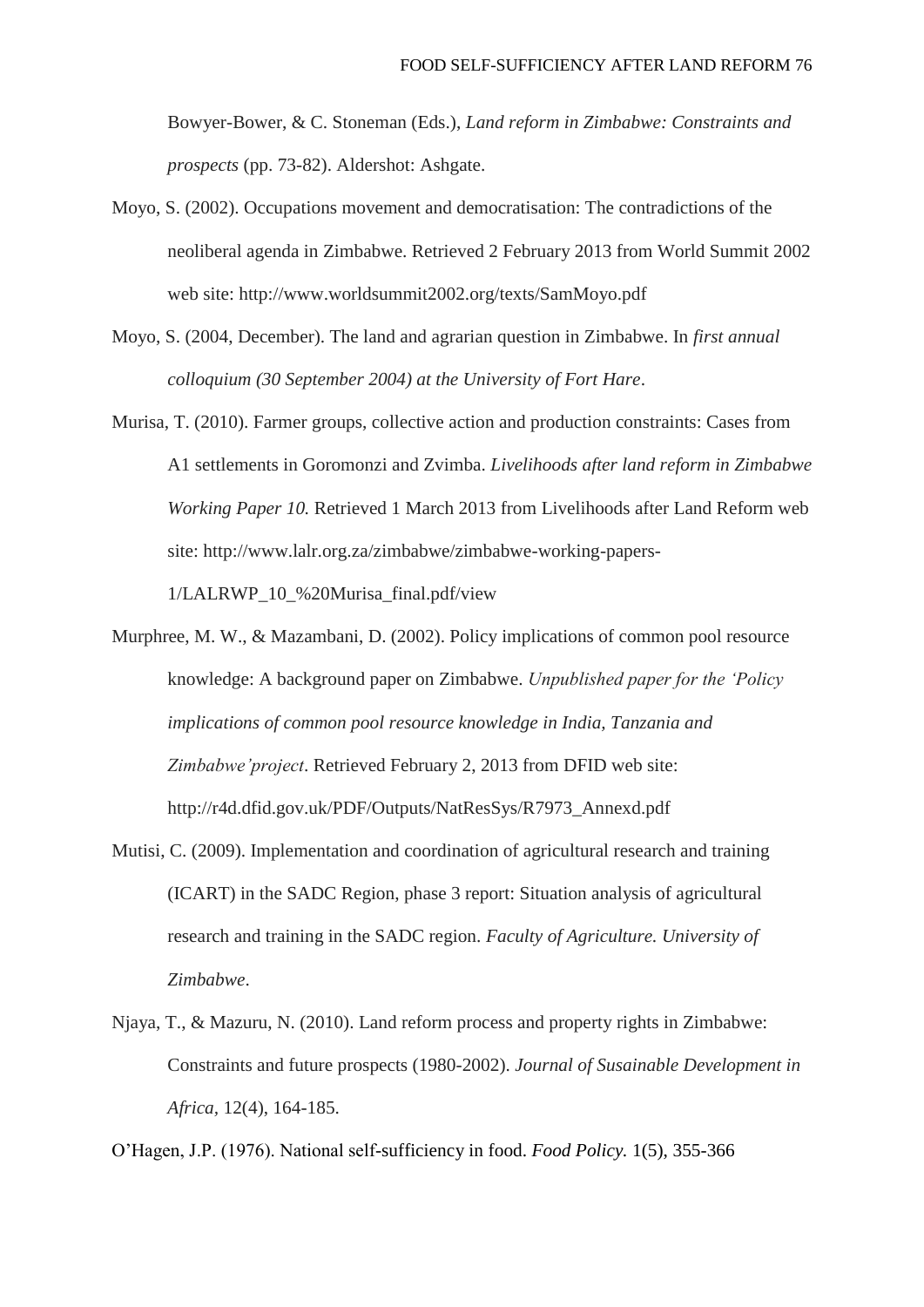Bowyer-Bower, & C. Stoneman (Eds.), *Land reform in Zimbabwe: Constraints and prospects* (pp. 73-82). Aldershot: Ashgate.

- Moyo, S. (2002). Occupations movement and democratisation: The contradictions of the neoliberal agenda in Zimbabwe. Retrieved 2 February 2013 from World Summit 2002 web site: http://www.worldsummit2002.org/texts/SamMoyo.pdf
- Moyo, S. (2004, December). The land and agrarian question in Zimbabwe. In *first annual colloquium (30 September 2004) at the University of Fort Hare*.
- Murisa, T. (2010). Farmer groups, collective action and production constraints: Cases from A1 settlements in Goromonzi and Zvimba. *Livelihoods after land reform in Zimbabwe Working Paper 10.* Retrieved 1 March 2013 from Livelihoods after Land Reform web site: http://www.lalr.org.za/zimbabwe/zimbabwe-working-papers-

1/LALRWP\_10\_%20Murisa\_final.pdf/view

- Murphree, M. W., & Mazambani, D. (2002). Policy implications of common pool resource knowledge: A background paper on Zimbabwe. *Unpublished paper for the 'Policy implications of common pool resource knowledge in India, Tanzania and Zimbabwe'project*. Retrieved February 2, 2013 from DFID web site: http://r4d.dfid.gov.uk/PDF/Outputs/NatResSys/R7973\_Annexd.pdf
- Mutisi, C. (2009). Implementation and coordination of agricultural research and training (ICART) in the SADC Region, phase 3 report: Situation analysis of agricultural research and training in the SADC region. *Faculty of Agriculture. University of Zimbabwe*.
- Njaya, T., & Mazuru, N. (2010). Land reform process and property rights in Zimbabwe: Constraints and future prospects (1980-2002). *Journal of Susainable Development in Africa,* 12(4), 164-185.

O'Hagen, J.P. (1976). National self-sufficiency in food. *Food Policy.* 1(5), 355-366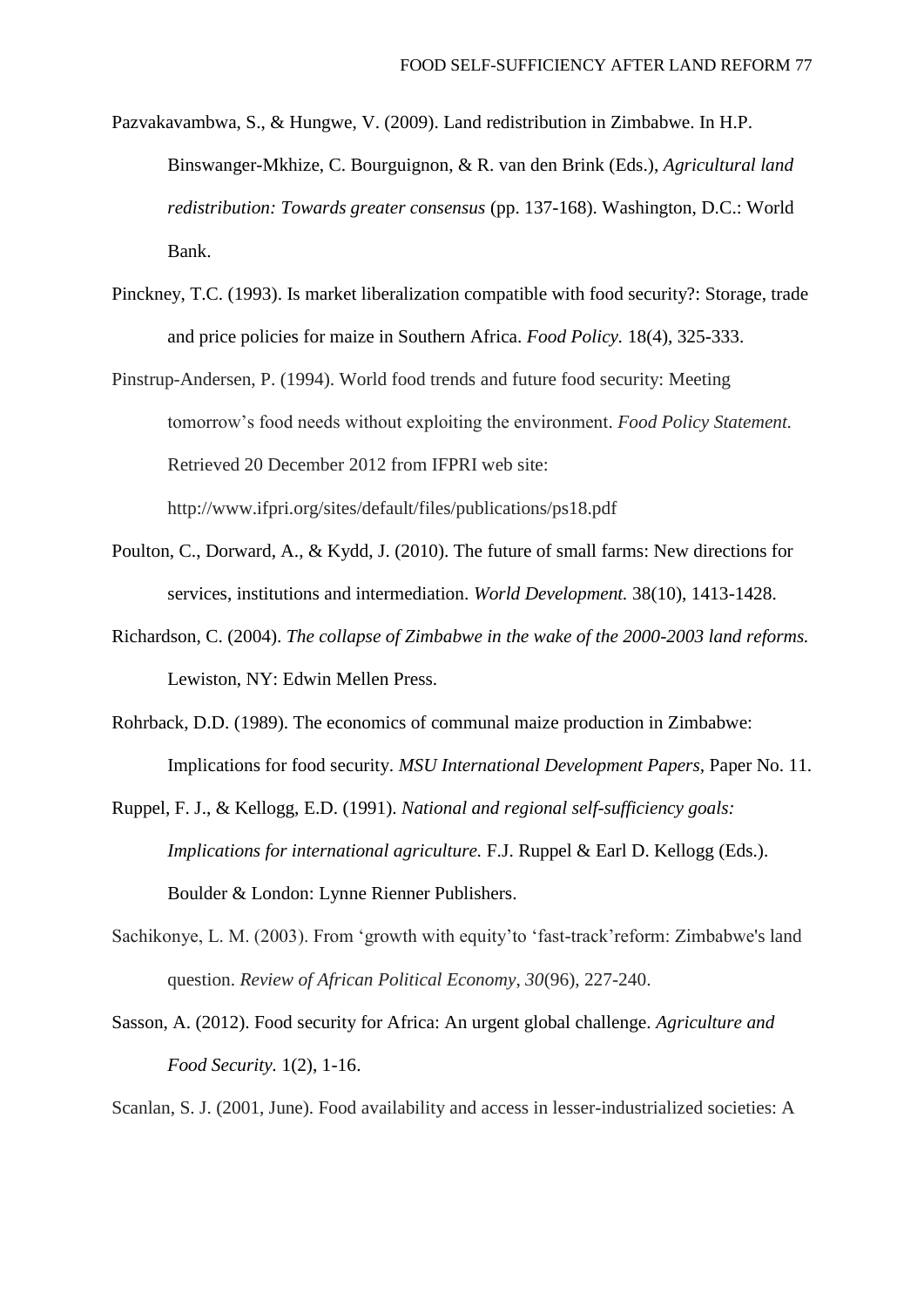- Pazvakavambwa, S., & Hungwe, V. (2009). Land redistribution in Zimbabwe. In H.P. Binswanger-Mkhize, C. Bourguignon, & R. van den Brink (Eds.), *Agricultural land redistribution: Towards greater consensus* (pp. 137-168). Washington, D.C.: World Bank.
- Pinckney, T.C. (1993). Is market liberalization compatible with food security?: Storage, trade and price policies for maize in Southern Africa. *Food Policy.* 18(4), 325-333.
- Pinstrup-Andersen, P. (1994). World food trends and future food security: Meeting tomorrow's food needs without exploiting the environment. *Food Policy Statement.* Retrieved 20 December 2012 from IFPRI web site: http://www.ifpri.org/sites/default/files/publications/ps18.pdf
- Poulton, C., Dorward, A., & Kydd, J. (2010). The future of small farms: New directions for services, institutions and intermediation. *World Development.* 38(10), 1413-1428.
- Richardson, C. (2004). *The collapse of Zimbabwe in the wake of the 2000-2003 land reforms.* Lewiston, NY: Edwin Mellen Press.
- Rohrback, D.D. (1989). The economics of communal maize production in Zimbabwe: Implications for food security. *MSU International Development Papers,* Paper No. 11.
- Ruppel, F. J., & Kellogg, E.D. (1991). *National and regional self-sufficiency goals: Implications for international agriculture.* F.J. Ruppel & Earl D. Kellogg (Eds.). Boulder & London: Lynne Rienner Publishers.
- Sachikonye, L. M. (2003). From 'growth with equity'to 'fast-track'reform: Zimbabwe's land question. *Review of African Political Economy*, *30*(96), 227-240.
- Sasson, A. (2012). Food security for Africa: An urgent global challenge. *Agriculture and Food Security.* 1(2), 1-16.

Scanlan, S. J. (2001, June). Food availability and access in lesser-industrialized societies: A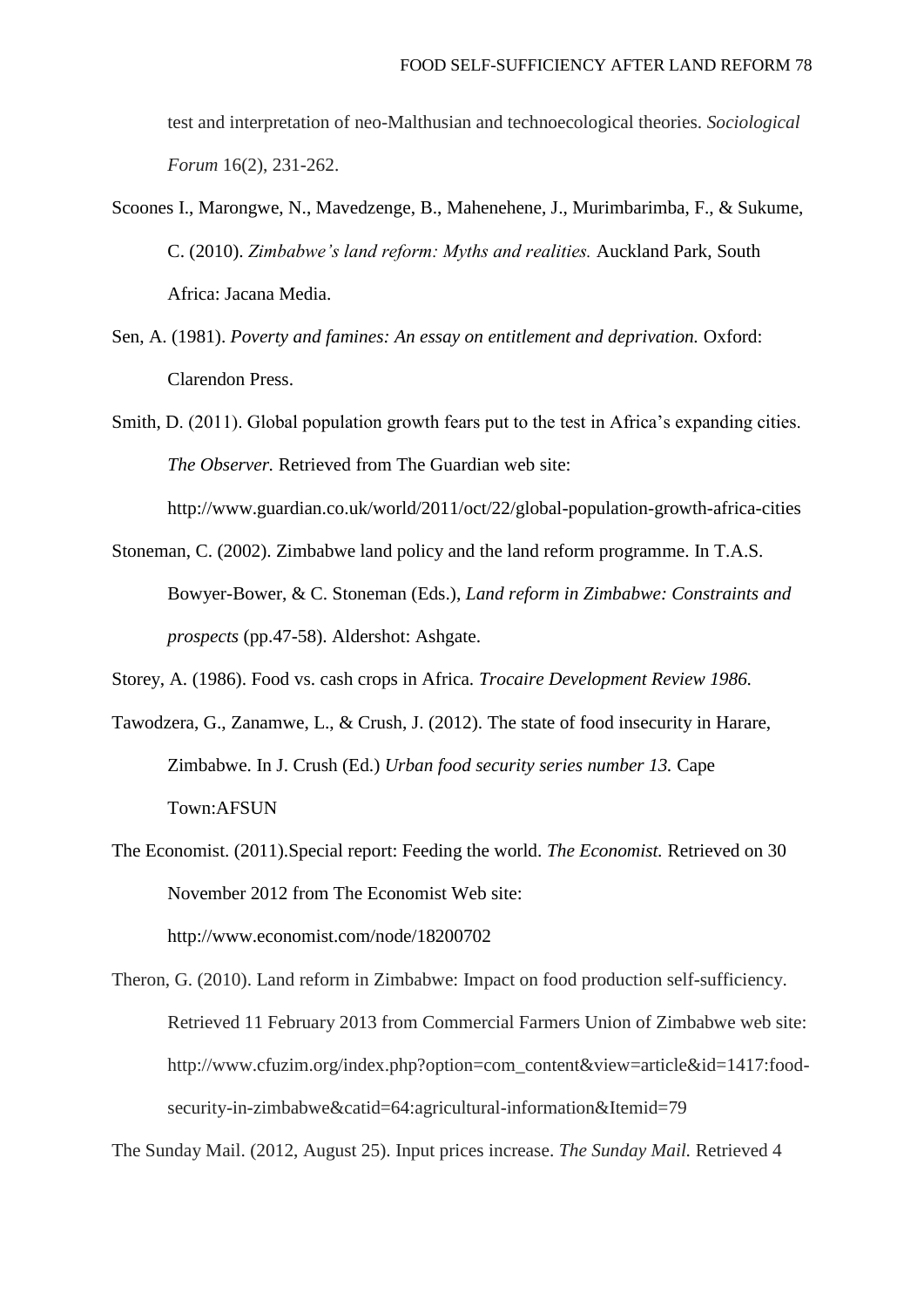test and interpretation of neo-Malthusian and technoecological theories. *Sociological Forum* 16(2), 231-262.

- Scoones I., Marongwe, N., Mavedzenge, B., Mahenehene, J., Murimbarimba, F., & Sukume, C. (2010). *Zimbabwe's land reform: Myths and realities.* Auckland Park, South Africa: Jacana Media.
- Sen, A. (1981). *Poverty and famines: An essay on entitlement and deprivation*. Oxford: Clarendon Press.
- Smith, D. (2011). Global population growth fears put to the test in Africa's expanding cities. *The Observer.* Retrieved from The Guardian web site:

http://www.guardian.co.uk/world/2011/oct/22/global-population-growth-africa-cities

Stoneman, C. (2002). Zimbabwe land policy and the land reform programme. In T.A.S. Bowyer-Bower, & C. Stoneman (Eds.), *Land reform in Zimbabwe: Constraints and prospects* (pp.47-58). Aldershot: Ashgate.

Storey, A. (1986). Food vs. cash crops in Africa. *Trocaire Development Review 1986.*

- Tawodzera, G., Zanamwe, L., & Crush, J. (2012). The state of food insecurity in Harare, Zimbabwe. In J. Crush (Ed.) *Urban food security series number 13.* Cape Town:AFSUN
- The Economist. (2011).Special report: Feeding the world. *The Economist.* Retrieved on 30 November 2012 from The Economist Web site: <http://www.economist.com/node/18200702>

Theron, G. (2010). Land reform in Zimbabwe: Impact on food production self-sufficiency. Retrieved 11 February 2013 from Commercial Farmers Union of Zimbabwe web site: http://www.cfuzim.org/index.php?option=com\_content&view=article&id=1417:foodsecurity-in-zimbabwe&catid=64:agricultural-information&Itemid=79

The Sunday Mail. (2012, August 25). Input prices increase. *The Sunday Mail.* Retrieved 4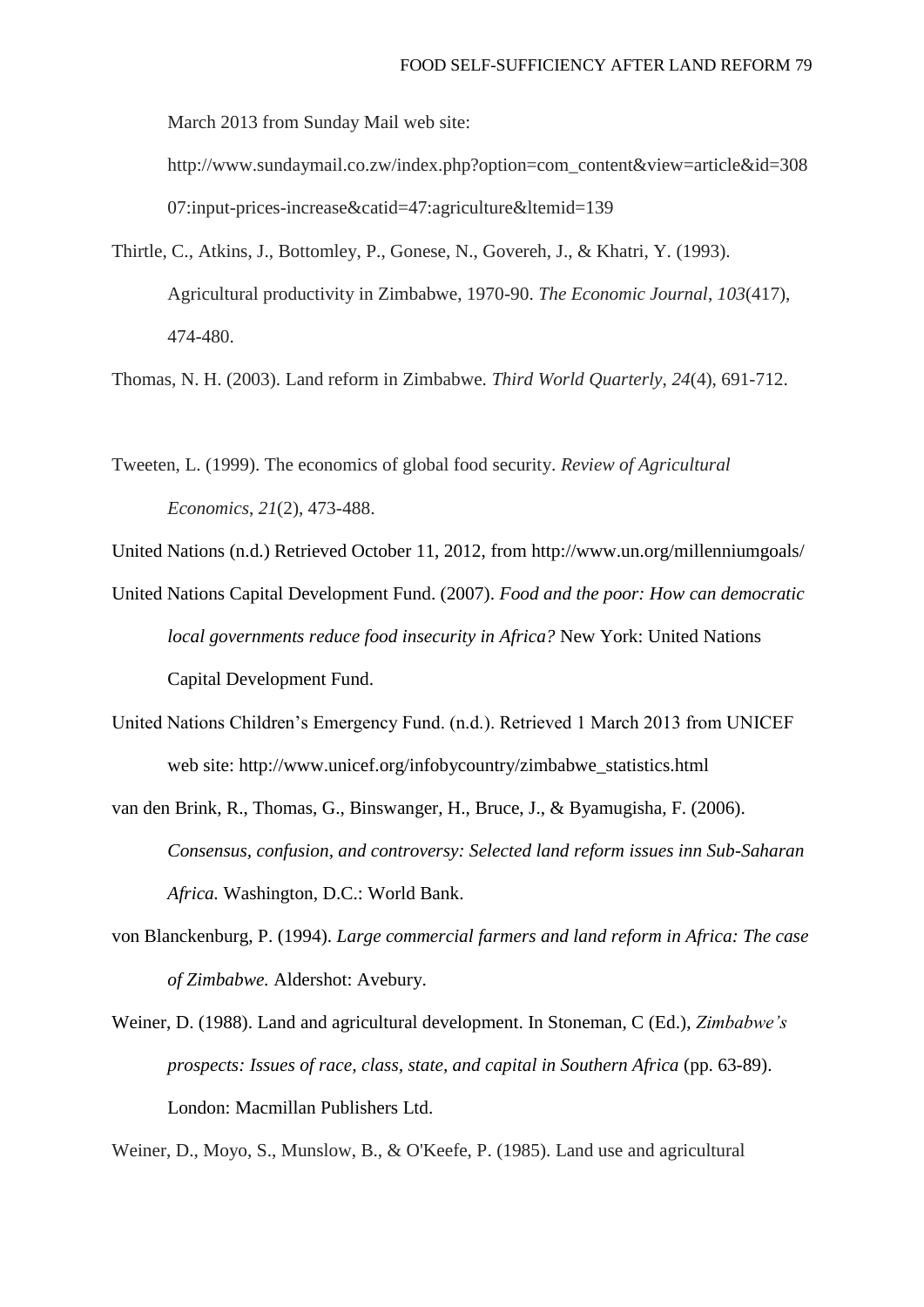March 2013 from Sunday Mail web site:

http://www.sundaymail.co.zw/index.php?option=com\_content&view=article&id=308  $07:$ input-prices-increase&catid=47:agriculture&ltemid=139

Thirtle, C., Atkins, J., Bottomley, P., Gonese, N., Govereh, J., & Khatri, Y. (1993). Agricultural productivity in Zimbabwe, 1970-90. *The Economic Journal*, *103*(417), 474-480.

Thomas, N. H. (2003). Land reform in Zimbabwe. *Third World Quarterly*, *24*(4), 691-712.

Tweeten, L. (1999). The economics of global food security. *Review of Agricultural Economics*, *21*(2), 473-488.

United Nations (n.d.) Retrieved October 11, 2012, from http://www.un.org/millenniumgoals/

- United Nations Capital Development Fund. (2007). *Food and the poor: How can democratic local governments reduce food insecurity in Africa?* New York: United Nations Capital Development Fund.
- United Nations Children's Emergency Fund. (n.d.). Retrieved 1 March 2013 from UNICEF web site: http://www.unicef.org/infobycountry/zimbabwe\_statistics.html
- van den Brink, R., Thomas, G., Binswanger, H., Bruce, J., & Byamugisha, F. (2006). *Consensus, confusion, and controversy: Selected land reform issues inn Sub-Saharan Africa.* Washington, D.C.: World Bank.
- von Blanckenburg, P. (1994). *Large commercial farmers and land reform in Africa: The case of Zimbabwe.* Aldershot: Avebury.
- Weiner, D. (1988). Land and agricultural development. In Stoneman, C (Ed.), *Zimbabwe's prospects: Issues of race, class, state, and capital in Southern Africa (pp. 63-89).* London: Macmillan Publishers Ltd.

Weiner, D., Moyo, S., Munslow, B., & O'Keefe, P. (1985). Land use and agricultural